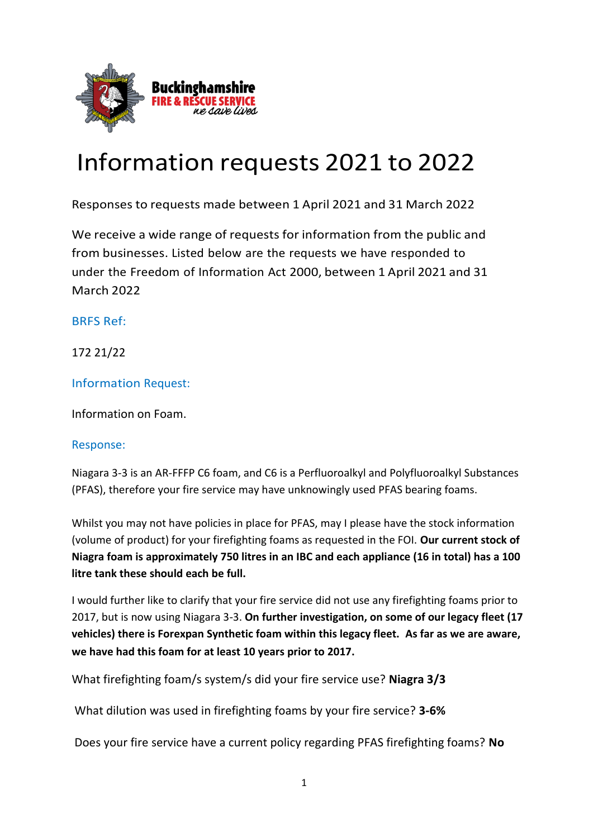

# Information requests 2021 to 2022

Responses to requests made between 1 April 2021 and 31 March 2022

We receive a wide range of requests for information from the public and from businesses. Listed below are the requests we have responded to under the Freedom of Information Act 2000, between 1 April 2021 and 31 March 2022

BRFS Ref:

172 21/22

Information Request:

Information on Foam.

#### Response:

Niagara 3-3 is an AR-FFFP C6 foam, and C6 is a Perfluoroalkyl and Polyfluoroalkyl Substances (PFAS), therefore your fire service may have unknowingly used PFAS bearing foams.

Whilst you may not have policies in place for PFAS, may I please have the stock information (volume of product) for your firefighting foams as requested in the FOI. **Our current stock of Niagra foam is approximately 750 litres in an IBC and each appliance (16 in total) has a 100 litre tank these should each be full.**

I would further like to clarify that your fire service did not use any firefighting foams prior to 2017, but is now using Niagara 3-3. **On further investigation, on some of our legacy fleet (17 vehicles) there is Forexpan Synthetic foam within this legacy fleet. As far as we are aware, we have had this foam for at least 10 years prior to 2017.**

What firefighting foam/s system/s did your fire service use? **Niagra 3/3**

What dilution was used in firefighting foams by your fire service? **3-6%**

Does your fire service have a current policy regarding PFAS firefighting foams? **No**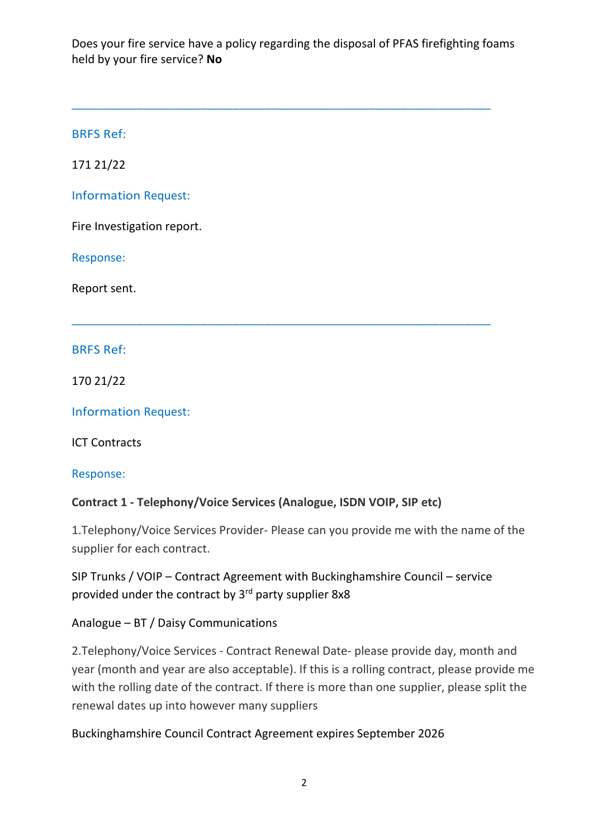Does your fire service have a policy regarding the disposal of PFAS firefighting foams held by your fire service? **No**

\_\_\_\_\_\_\_\_\_\_\_\_\_\_\_\_\_\_\_\_\_\_\_\_\_\_\_\_\_\_\_\_\_\_\_\_\_\_\_\_\_\_\_\_\_\_\_\_\_\_\_\_\_\_\_\_\_\_\_\_\_\_\_\_\_

\_\_\_\_\_\_\_\_\_\_\_\_\_\_\_\_\_\_\_\_\_\_\_\_\_\_\_\_\_\_\_\_\_\_\_\_\_\_\_\_\_\_\_\_\_\_\_\_\_\_\_\_\_\_\_\_\_\_\_\_\_\_\_\_\_

BRFS Ref:

171 21/22

Information Request:

Fire Investigation report.

Response:

Report sent.

BRFS Ref:

170 21/22

Information Request:

ICT Contracts

Response:

**Contract 1 - Telephony/Voice Services (Analogue, ISDN VOIP, SIP etc)**

1.Telephony/Voice Services Provider- Please can you provide me with the name of the supplier for each contract.

SIP Trunks / VOIP – Contract Agreement with Buckinghamshire Council – service provided under the contract by 3rd party supplier 8x8

Analogue – BT / Daisy Communications

2.Telephony/Voice Services - Contract Renewal Date- please provide day, month and year (month and year are also acceptable). If this is a rolling contract, please provide me with the rolling date of the contract. If there is more than one supplier, please split the renewal dates up into however many suppliers

Buckinghamshire Council Contract Agreement expires September 2026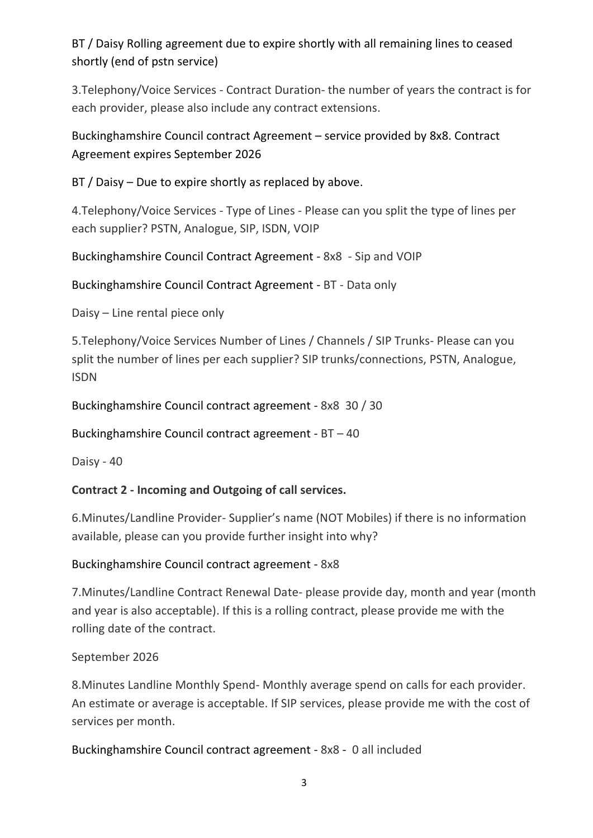# BT / Daisy Rolling agreement due to expire shortly with all remaining lines to ceased shortly (end of pstn service)

3.Telephony/Voice Services - Contract Duration- the number of years the contract is for each provider, please also include any contract extensions.

# Buckinghamshire Council contract Agreement – service provided by 8x8. Contract Agreement expires September 2026

BT / Daisy – Due to expire shortly as replaced by above.

4.Telephony/Voice Services - Type of Lines - Please can you split the type of lines per each supplier? PSTN, Analogue, SIP, ISDN, VOIP

Buckinghamshire Council Contract Agreement - 8x8 - Sip and VOIP

Buckinghamshire Council Contract Agreement - BT - Data only

Daisy – Line rental piece only

5.Telephony/Voice Services Number of Lines / Channels / SIP Trunks- Please can you split the number of lines per each supplier? SIP trunks/connections, PSTN, Analogue, ISDN

Buckinghamshire Council contract agreement - 8x8 30 / 30

Buckinghamshire Council contract agreement - BT – 40

Daisy - 40

# **Contract 2 - Incoming and Outgoing of call services.**

6.Minutes/Landline Provider- Supplier's name (NOT Mobiles) if there is no information available, please can you provide further insight into why?

# Buckinghamshire Council contract agreement - 8x8

7.Minutes/Landline Contract Renewal Date- please provide day, month and year (month and year is also acceptable). If this is a rolling contract, please provide me with the rolling date of the contract.

# September 2026

8.Minutes Landline Monthly Spend- Monthly average spend on calls for each provider. An estimate or average is acceptable. If SIP services, please provide me with the cost of services per month.

Buckinghamshire Council contract agreement - 8x8 - 0 all included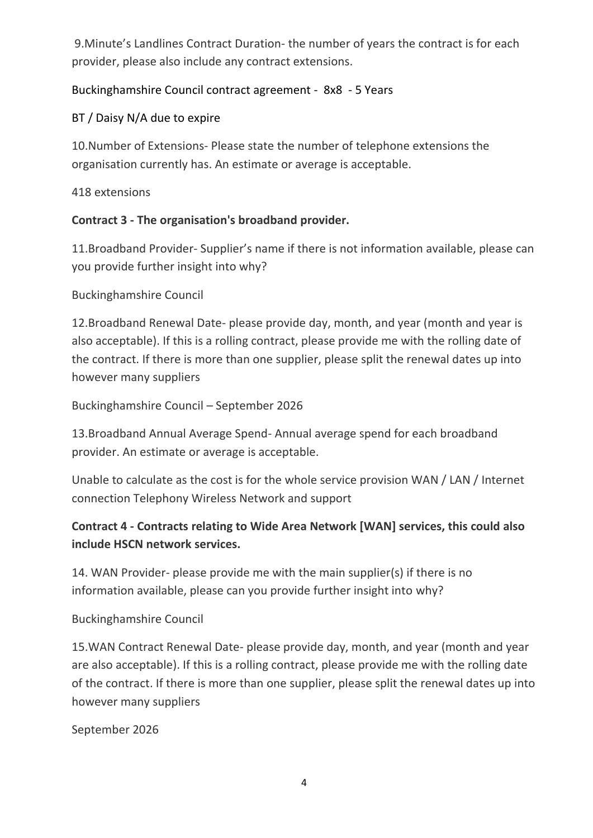9.Minute's Landlines Contract Duration- the number of years the contract is for each provider, please also include any contract extensions.

# Buckinghamshire Council contract agreement - 8x8 - 5 Years

## BT / Daisy N/A due to expire

10.Number of Extensions- Please state the number of telephone extensions the organisation currently has. An estimate or average is acceptable.

## 418 extensions

## **Contract 3 - The organisation's broadband provider.**

11.Broadband Provider- Supplier's name if there is not information available, please can you provide further insight into why?

## Buckinghamshire Council

12.Broadband Renewal Date- please provide day, month, and year (month and year is also acceptable). If this is a rolling contract, please provide me with the rolling date of the contract. If there is more than one supplier, please split the renewal dates up into however many suppliers

Buckinghamshire Council – September 2026

13.Broadband Annual Average Spend- Annual average spend for each broadband provider. An estimate or average is acceptable.

Unable to calculate as the cost is for the whole service provision WAN / LAN / Internet connection Telephony Wireless Network and support

# **Contract 4 - Contracts relating to Wide Area Network [WAN] services, this could also include HSCN network services.**

14. WAN Provider- please provide me with the main supplier(s) if there is no information available, please can you provide further insight into why?

## Buckinghamshire Council

15.WAN Contract Renewal Date- please provide day, month, and year (month and year are also acceptable). If this is a rolling contract, please provide me with the rolling date of the contract. If there is more than one supplier, please split the renewal dates up into however many suppliers

September 2026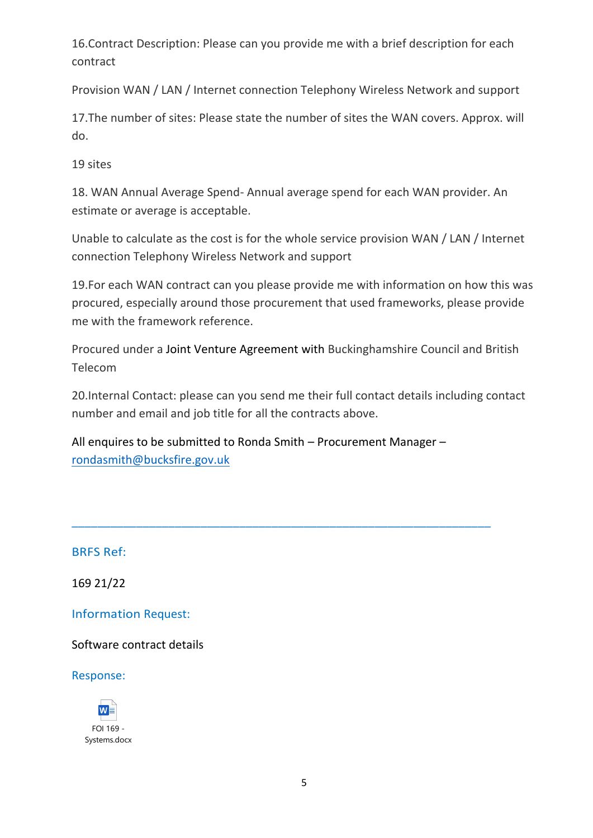16.Contract Description: Please can you provide me with a brief description for each contract

Provision WAN / LAN / Internet connection Telephony Wireless Network and support

17.The number of sites: Please state the number of sites the WAN covers. Approx. will do.

19 sites

18. WAN Annual Average Spend- Annual average spend for each WAN provider. An estimate or average is acceptable.

Unable to calculate as the cost is for the whole service provision WAN / LAN / Internet connection Telephony Wireless Network and support

19.For each WAN contract can you please provide me with information on how this was procured, especially around those procurement that used frameworks, please provide me with the framework reference.

Procured under a Joint Venture Agreement with Buckinghamshire Council and British Telecom

20.Internal Contact: please can you send me their full contact details including contact number and email and job title for all the contracts above.

All enquires to be submitted to Ronda Smith – Procurement Manager – [rondasmith@bucksfire.gov.uk](mailto:rondasmith@bucksfire.gov.uk)

\_\_\_\_\_\_\_\_\_\_\_\_\_\_\_\_\_\_\_\_\_\_\_\_\_\_\_\_\_\_\_\_\_\_\_\_\_\_\_\_\_\_\_\_\_\_\_\_\_\_\_\_\_\_\_\_\_\_\_\_\_\_\_\_\_

BRFS Ref:

169 21/22

Information Request:

Software contract details

Response:

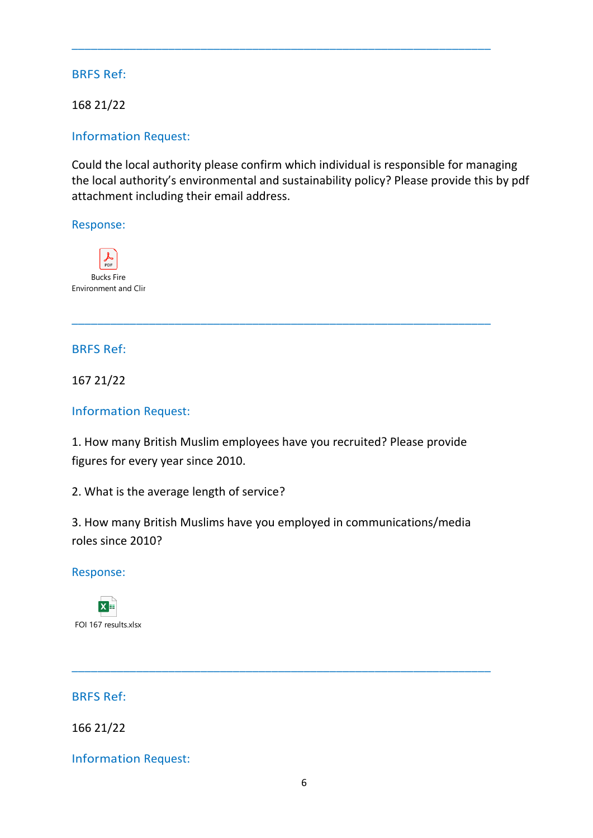168 21/22

## Information Request:

Could the local authority please confirm which individual is responsible for managing the local authority's environmental and sustainability policy? Please provide this by pdf attachment including their email address.

\_\_\_\_\_\_\_\_\_\_\_\_\_\_\_\_\_\_\_\_\_\_\_\_\_\_\_\_\_\_\_\_\_\_\_\_\_\_\_\_\_\_\_\_\_\_\_\_\_\_\_\_\_\_\_\_\_\_\_\_\_\_\_\_\_

#### Response:



#### BRFS Ref:

167 21/22

## Information Request:

1. How many British Muslim employees have you recruited? Please provide figures for every year since 2010.

\_\_\_\_\_\_\_\_\_\_\_\_\_\_\_\_\_\_\_\_\_\_\_\_\_\_\_\_\_\_\_\_\_\_\_\_\_\_\_\_\_\_\_\_\_\_\_\_\_\_\_\_\_\_\_\_\_\_\_\_\_\_\_\_\_

2. What is the average length of service?

3. How many British Muslims have you employed in communications/media roles since 2010?

\_\_\_\_\_\_\_\_\_\_\_\_\_\_\_\_\_\_\_\_\_\_\_\_\_\_\_\_\_\_\_\_\_\_\_\_\_\_\_\_\_\_\_\_\_\_\_\_\_\_\_\_\_\_\_\_\_\_\_\_\_\_\_\_\_

#### Response:



#### BRFS Ref:

166 21/22

Information Request: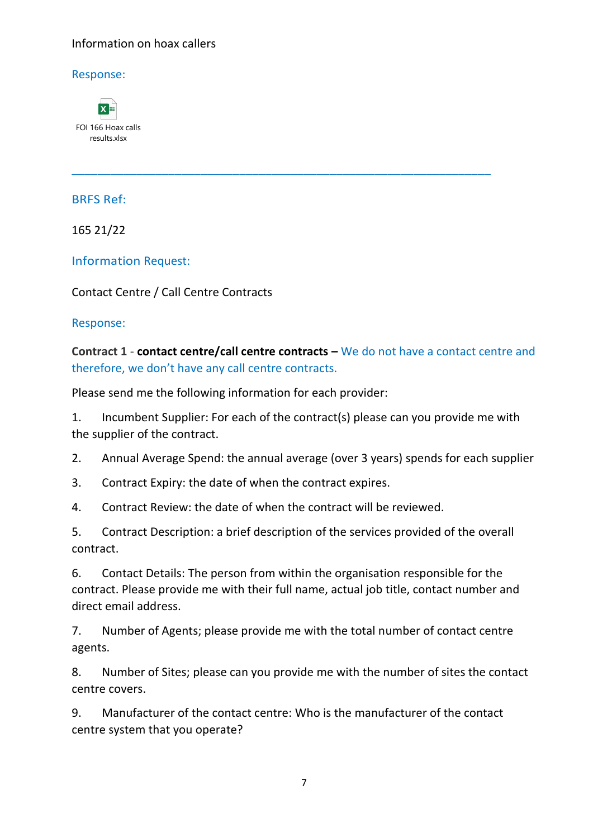#### Information on hoax callers

Response:



BRFS Ref:

165 21/22

Information Request:

Contact Centre / Call Centre Contracts

Response:

**Contract 1** - **contact centre/call centre contracts –** We do not have a contact centre and therefore, we don't have any call centre contracts.

\_\_\_\_\_\_\_\_\_\_\_\_\_\_\_\_\_\_\_\_\_\_\_\_\_\_\_\_\_\_\_\_\_\_\_\_\_\_\_\_\_\_\_\_\_\_\_\_\_\_\_\_\_\_\_\_\_\_\_\_\_\_\_\_\_

Please send me the following information for each provider:

1. Incumbent Supplier: For each of the contract(s) please can you provide me with the supplier of the contract.

2. Annual Average Spend: the annual average (over 3 years) spends for each supplier

3. Contract Expiry: the date of when the contract expires.

4. Contract Review: the date of when the contract will be reviewed.

5. Contract Description: a brief description of the services provided of the overall contract.

6. Contact Details: The person from within the organisation responsible for the contract. Please provide me with their full name, actual job title, contact number and direct email address.

7. Number of Agents; please provide me with the total number of contact centre agents.

8. Number of Sites; please can you provide me with the number of sites the contact centre covers.

9. Manufacturer of the contact centre: Who is the manufacturer of the contact centre system that you operate?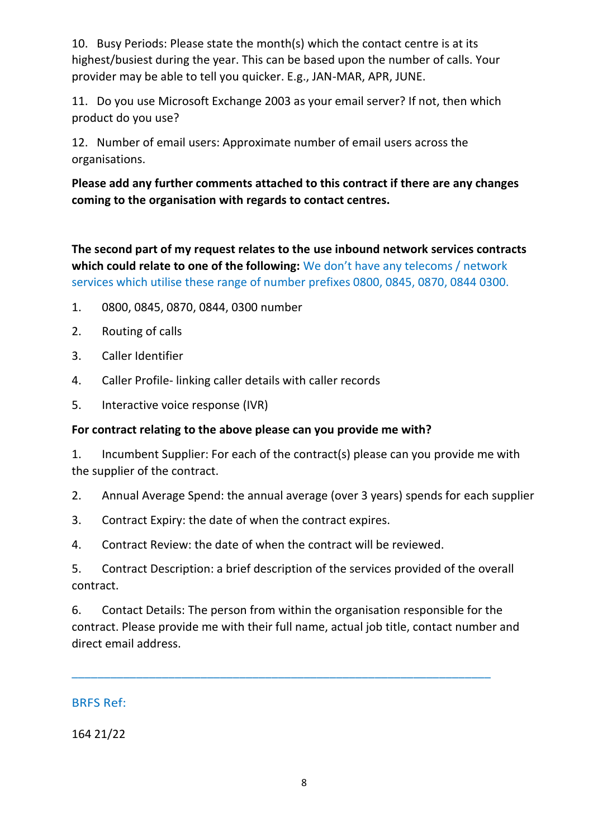10. Busy Periods: Please state the month(s) which the contact centre is at its highest/busiest during the year. This can be based upon the number of calls. Your provider may be able to tell you quicker. E.g., JAN-MAR, APR, JUNE.

11. Do you use Microsoft Exchange 2003 as your email server? If not, then which product do you use?

12. Number of email users: Approximate number of email users across the organisations.

**Please add any further comments attached to this contract if there are any changes coming to the organisation with regards to contact centres.**

**The second part of my request relates to the use inbound network services contracts which could relate to one of the following:** We don't have any telecoms / network services which utilise these range of number prefixes 0800, 0845, 0870, 0844 0300.

- 1. 0800, 0845, 0870, 0844, 0300 number
- 2. Routing of calls
- 3. Caller Identifier
- 4. Caller Profile- linking caller details with caller records
- 5. Interactive voice response (IVR)

## **For contract relating to the above please can you provide me with?**

1. Incumbent Supplier: For each of the contract(s) please can you provide me with the supplier of the contract.

- 2. Annual Average Spend: the annual average (over 3 years) spends for each supplier
- 3. Contract Expiry: the date of when the contract expires.
- 4. Contract Review: the date of when the contract will be reviewed.

5. Contract Description: a brief description of the services provided of the overall contract.

6. Contact Details: The person from within the organisation responsible for the contract. Please provide me with their full name, actual job title, contact number and direct email address.

\_\_\_\_\_\_\_\_\_\_\_\_\_\_\_\_\_\_\_\_\_\_\_\_\_\_\_\_\_\_\_\_\_\_\_\_\_\_\_\_\_\_\_\_\_\_\_\_\_\_\_\_\_\_\_\_\_\_\_\_\_\_\_\_\_

## BRFS Ref:

164 21/22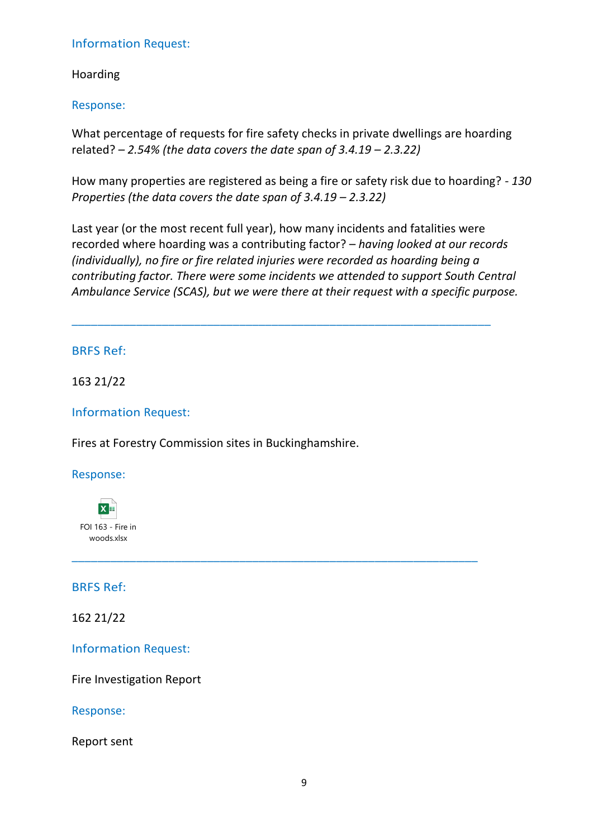#### Information Request:

Hoarding

Response:

What percentage of requests for fire safety checks in private dwellings are hoarding related? *– 2.54% (the data covers the date span of 3.4.19 – 2.3.22)*

How many properties are registered as being a fire or safety risk due to hoarding? - *130 Properties (the data covers the date span of 3.4.19 – 2.3.22)* 

Last year (or the most recent full year), how many incidents and fatalities were recorded where hoarding was a contributing factor? – *having looked at our records (individually), no fire or fire related injuries were recorded as hoarding being a contributing factor. There were some incidents we attended to support South Central Ambulance Service (SCAS), but we were there at their request with a specific purpose.*

\_\_\_\_\_\_\_\_\_\_\_\_\_\_\_\_\_\_\_\_\_\_\_\_\_\_\_\_\_\_\_\_\_\_\_\_\_\_\_\_\_\_\_\_\_\_\_\_\_\_\_\_\_\_\_\_\_\_\_\_\_\_\_\_\_

\_\_\_\_\_\_\_\_\_\_\_\_\_\_\_\_\_\_\_\_\_\_\_\_\_\_\_\_\_\_\_\_\_\_\_\_\_\_\_\_\_\_\_\_\_\_\_\_\_\_\_\_\_\_\_\_\_\_\_\_\_\_\_

## BRFS Ref:

163 21/22

Information Request:

Fires at Forestry Commission sites in Buckinghamshire.

Response:



BRFS Ref:

162 21/22

Information Request:

Fire Investigation Report

Response:

Report sent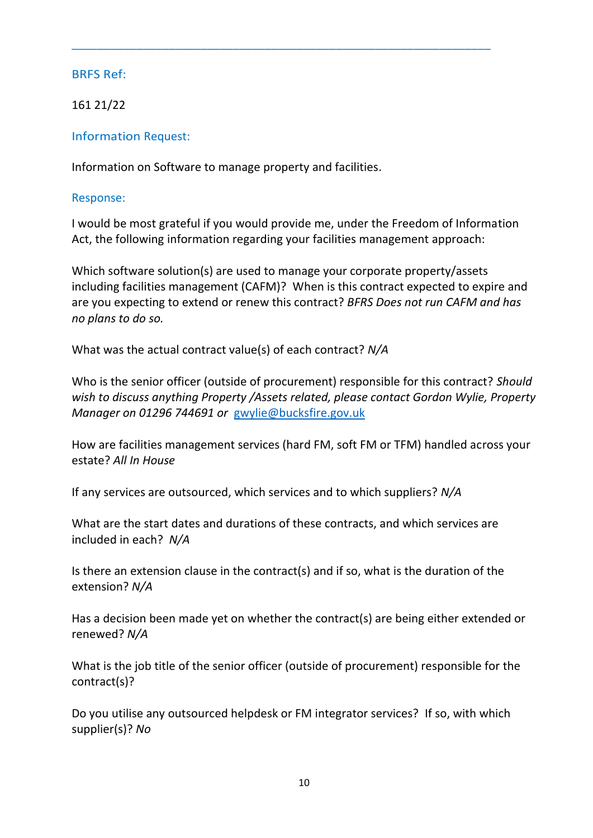161 21/22

Information Request:

Information on Software to manage property and facilities.

Response:

I would be most grateful if you would provide me, under the Freedom of Information Act, the following information regarding your facilities management approach:

\_\_\_\_\_\_\_\_\_\_\_\_\_\_\_\_\_\_\_\_\_\_\_\_\_\_\_\_\_\_\_\_\_\_\_\_\_\_\_\_\_\_\_\_\_\_\_\_\_\_\_\_\_\_\_\_\_\_\_\_\_\_\_\_\_

Which software solution(s) are used to manage your corporate property/assets including facilities management (CAFM)? When is this contract expected to expire and are you expecting to extend or renew this contract? *BFRS Does not run CAFM and has no plans to do so.*

What was the actual contract value(s) of each contract? *N/A*

Who is the senior officer (outside of procurement) responsible for this contract? *Should wish to discuss anything Property /Assets related, please contact Gordon Wylie, Property Manager on 01296 744691 or* [gwylie@bucksfire.gov.uk](mailto:gwylie@bucksfire.gov.uk)

How are facilities management services (hard FM, soft FM or TFM) handled across your estate? *All In House*

If any services are outsourced, which services and to which suppliers? *N/A*

What are the start dates and durations of these contracts, and which services are included in each? *N/A*

Is there an extension clause in the contract(s) and if so, what is the duration of the extension? *N/A*

Has a decision been made yet on whether the contract(s) are being either extended or renewed? *N/A*

What is the job title of the senior officer (outside of procurement) responsible for the contract(s)?

Do you utilise any outsourced helpdesk or FM integrator services? If so, with which supplier(s)? *No*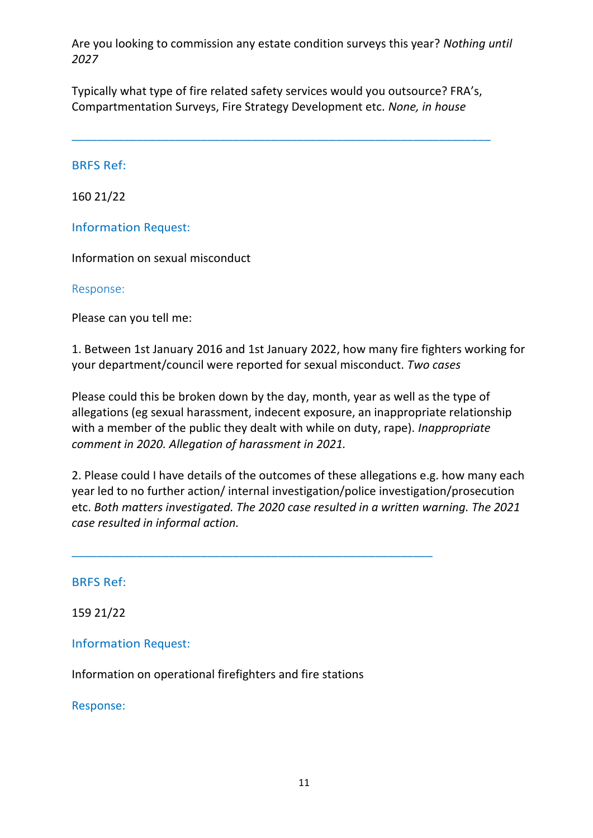Are you looking to commission any estate condition surveys this year? *Nothing until 2027*

Typically what type of fire related safety services would you outsource? FRA's, Compartmentation Surveys, Fire Strategy Development etc. *None, in house*

\_\_\_\_\_\_\_\_\_\_\_\_\_\_\_\_\_\_\_\_\_\_\_\_\_\_\_\_\_\_\_\_\_\_\_\_\_\_\_\_\_\_\_\_\_\_\_\_\_\_\_\_\_\_\_\_\_\_\_\_\_\_\_\_\_

#### BRFS Ref:

160 21/22

Information Request:

Information on sexual misconduct

Response:

Please can you tell me:

1. Between 1st January 2016 and 1st January 2022, how many fire fighters working for your department/council were reported for sexual misconduct. *Two cases*

Please could this be broken down by the day, month, year as well as the type of allegations (eg sexual harassment, indecent exposure, an inappropriate relationship with a member of the public they dealt with while on duty, rape). *Inappropriate comment in 2020. Allegation of harassment in 2021.*

2. Please could I have details of the outcomes of these allegations e.g. how many each year led to no further action/ internal investigation/police investigation/prosecution etc. *Both matters investigated. The 2020 case resulted in a written warning. The 2021 case resulted in informal action.*

BRFS Ref:

159 21/22

Information Request:

Information on operational firefighters and fire stations

\_\_\_\_\_\_\_\_\_\_\_\_\_\_\_\_\_\_\_\_\_\_\_\_\_\_\_\_\_\_\_\_\_\_\_\_\_\_\_\_\_\_\_\_\_\_\_\_\_\_\_\_\_\_\_\_

Response: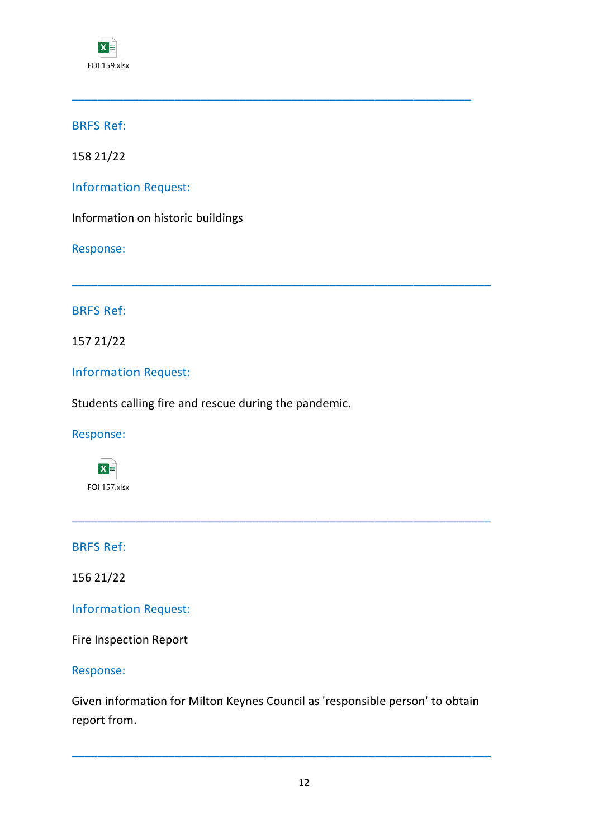

158 21/22

Information Request:

Information on historic buildings

Response:

BRFS Ref:

157 21/22

Information Request:

Students calling fire and rescue during the pandemic.

\_\_\_\_\_\_\_\_\_\_\_\_\_\_\_\_\_\_\_\_\_\_\_\_\_\_\_\_\_\_\_\_\_\_\_\_\_\_\_\_\_\_\_\_\_\_\_\_\_\_\_\_\_\_\_\_\_\_\_\_\_\_

\_\_\_\_\_\_\_\_\_\_\_\_\_\_\_\_\_\_\_\_\_\_\_\_\_\_\_\_\_\_\_\_\_\_\_\_\_\_\_\_\_\_\_\_\_\_\_\_\_\_\_\_\_\_\_\_\_\_\_\_\_\_\_\_\_

Response:

 $X \equiv$ FOI 157.xlsx

BRFS Ref:

156 21/22

Information Request:

Fire Inspection Report

Response:

Given information for Milton Keynes Council as 'responsible person' to obtain report from.

\_\_\_\_\_\_\_\_\_\_\_\_\_\_\_\_\_\_\_\_\_\_\_\_\_\_\_\_\_\_\_\_\_\_\_\_\_\_\_\_\_\_\_\_\_\_\_\_\_\_\_\_\_\_\_\_\_\_\_\_\_\_\_\_\_

\_\_\_\_\_\_\_\_\_\_\_\_\_\_\_\_\_\_\_\_\_\_\_\_\_\_\_\_\_\_\_\_\_\_\_\_\_\_\_\_\_\_\_\_\_\_\_\_\_\_\_\_\_\_\_\_\_\_\_\_\_\_\_\_\_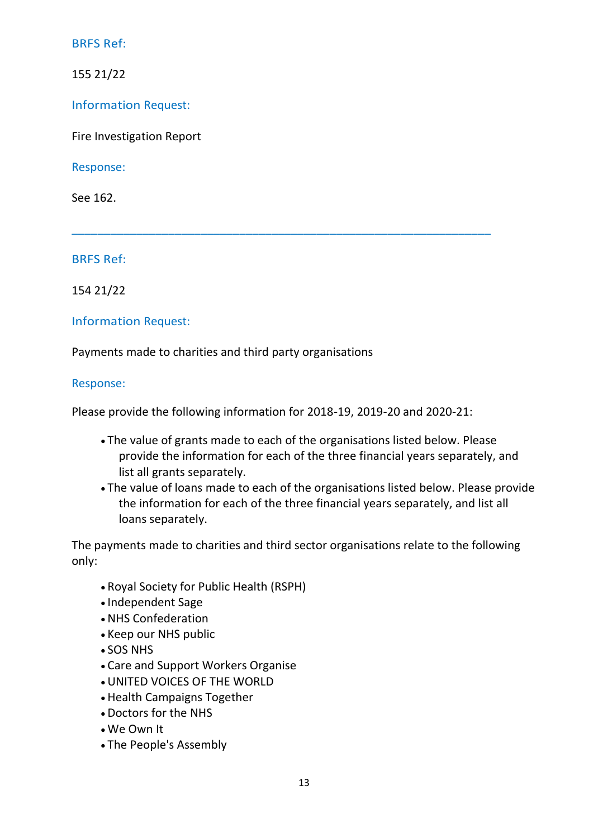155 21/22

Information Request:

Fire Investigation Report

Response:

See 162.

BRFS Ref:

154 21/22

Information Request:

Payments made to charities and third party organisations

#### Response:

Please provide the following information for 2018-19, 2019-20 and 2020-21:

\_\_\_\_\_\_\_\_\_\_\_\_\_\_\_\_\_\_\_\_\_\_\_\_\_\_\_\_\_\_\_\_\_\_\_\_\_\_\_\_\_\_\_\_\_\_\_\_\_\_\_\_\_\_\_\_\_\_\_\_\_\_\_\_\_

- The value of grants made to each of the organisations listed below. Please provide the information for each of the three financial years separately, and list all grants separately.
- The value of loans made to each of the organisations listed below. Please provide the information for each of the three financial years separately, and list all loans separately.

The payments made to charities and third sector organisations relate to the following only:

- Royal Society for Public Health (RSPH)
- Independent Sage
- NHS Confederation
- Keep our NHS public
- SOS NHS
- Care and Support Workers Organise
- UNITED VOICES OF THE WORLD
- Health Campaigns Together
- Doctors for the NHS
- We Own It
- The People's Assembly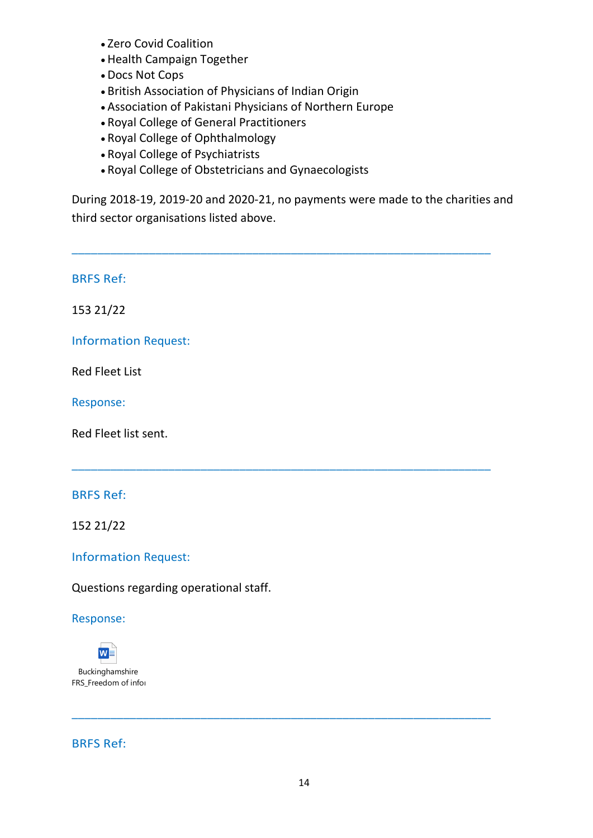- Zero Covid Coalition
- Health Campaign Together
- Docs Not Cops
- British Association of Physicians of Indian Origin
- Association of Pakistani Physicians of Northern Europe
- Royal College of General Practitioners
- Royal College of Ophthalmology
- Royal College of Psychiatrists
- Royal College of Obstetricians and Gynaecologists

During 2018-19, 2019-20 and 2020-21, no payments were made to the charities and third sector organisations listed above.

\_\_\_\_\_\_\_\_\_\_\_\_\_\_\_\_\_\_\_\_\_\_\_\_\_\_\_\_\_\_\_\_\_\_\_\_\_\_\_\_\_\_\_\_\_\_\_\_\_\_\_\_\_\_\_\_\_\_\_\_\_\_\_\_\_

\_\_\_\_\_\_\_\_\_\_\_\_\_\_\_\_\_\_\_\_\_\_\_\_\_\_\_\_\_\_\_\_\_\_\_\_\_\_\_\_\_\_\_\_\_\_\_\_\_\_\_\_\_\_\_\_\_\_\_\_\_\_\_\_\_

BRFS Ref:

153 21/22

Information Request:

Red Fleet List

Response:

Red Fleet list sent.

## BRFS Ref:

152 21/22

Information Request:

Questions regarding operational staff.

## Response:



BRFS Ref:

\_\_\_\_\_\_\_\_\_\_\_\_\_\_\_\_\_\_\_\_\_\_\_\_\_\_\_\_\_\_\_\_\_\_\_\_\_\_\_\_\_\_\_\_\_\_\_\_\_\_\_\_\_\_\_\_\_\_\_\_\_\_\_\_\_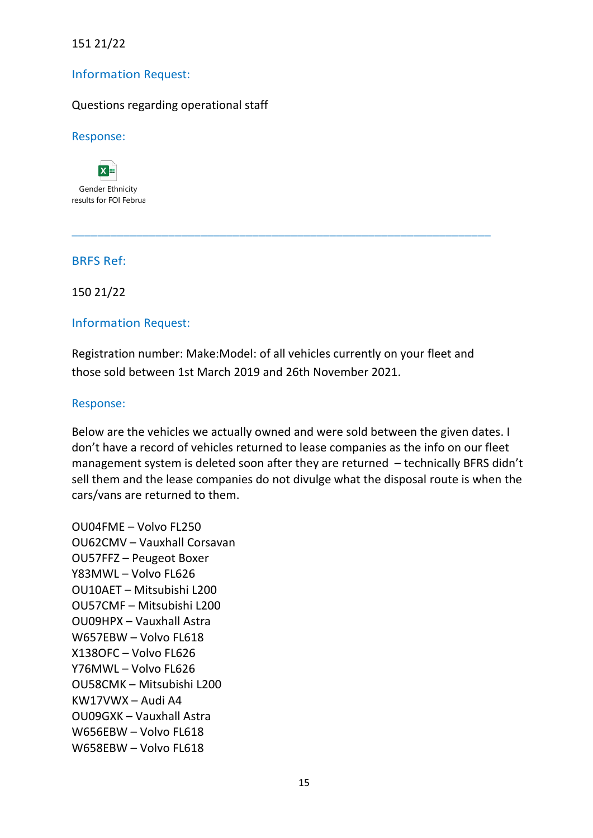## 151 21/22

#### Information Request:

#### Questions regarding operational staff

#### Response:

 $x =$ Gender Ethnicity results for FOI Februa

#### BRFS Ref:

150 21/22

#### Information Request:

Registration number: Make:Model: of all vehicles currently on your fleet and those sold between 1st March 2019 and 26th November 2021.

\_\_\_\_\_\_\_\_\_\_\_\_\_\_\_\_\_\_\_\_\_\_\_\_\_\_\_\_\_\_\_\_\_\_\_\_\_\_\_\_\_\_\_\_\_\_\_\_\_\_\_\_\_\_\_\_\_\_\_\_\_\_\_\_\_

#### Response:

Below are the vehicles we actually owned and were sold between the given dates. I don't have a record of vehicles returned to lease companies as the info on our fleet management system is deleted soon after they are returned – technically BFRS didn't sell them and the lease companies do not divulge what the disposal route is when the cars/vans are returned to them.

OU04FME – Volvo FL250 OU62CMV – Vauxhall Corsavan OU57FFZ – Peugeot Boxer Y83MWL – Volvo FL626 OU10AET – Mitsubishi L200 OU57CMF – Mitsubishi L200 OU09HPX – Vauxhall Astra W657EBW – Volvo FL618 X138OFC – Volvo FL626 Y76MWL – Volvo FL626 OU58CMK – Mitsubishi L200 KW17VWX – Audi A4 OU09GXK – Vauxhall Astra W656EBW – Volvo FL618 W658EBW – Volvo FL618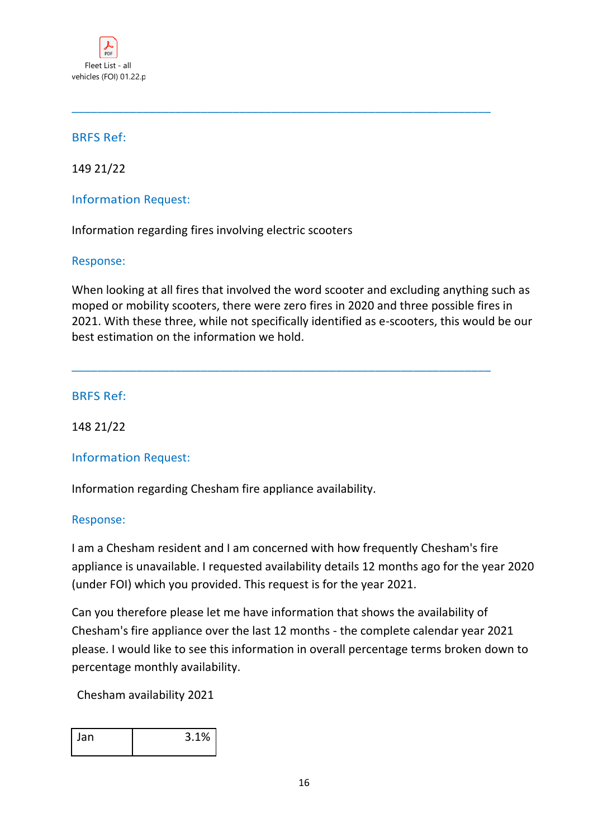

149 21/22

## Information Request:

Information regarding fires involving electric scooters

#### Response:

When looking at all fires that involved the word scooter and excluding anything such as moped or mobility scooters, there were zero fires in 2020 and three possible fires in 2021. With these three, while not specifically identified as e-scooters, this would be our best estimation on the information we hold.

\_\_\_\_\_\_\_\_\_\_\_\_\_\_\_\_\_\_\_\_\_\_\_\_\_\_\_\_\_\_\_\_\_\_\_\_\_\_\_\_\_\_\_\_\_\_\_\_\_\_\_\_\_\_\_\_\_\_\_\_\_\_\_\_\_

\_\_\_\_\_\_\_\_\_\_\_\_\_\_\_\_\_\_\_\_\_\_\_\_\_\_\_\_\_\_\_\_\_\_\_\_\_\_\_\_\_\_\_\_\_\_\_\_\_\_\_\_\_\_\_\_\_\_\_\_\_\_\_\_\_

## BRFS Ref:

148 21/22

## Information Request:

Information regarding Chesham fire appliance availability.

#### Response:

I am a Chesham resident and I am concerned with how frequently Chesham's fire appliance is unavailable. I requested availability details 12 months ago for the year 2020 (under FOI) which you provided. This request is for the year 2021.

Can you therefore please let me have information that shows the availability of Chesham's fire appliance over the last 12 months - the complete calendar year 2021 please. I would like to see this information in overall percentage terms broken down to percentage monthly availability.

Chesham availability 2021

| Jan | 3.1% |
|-----|------|
|     |      |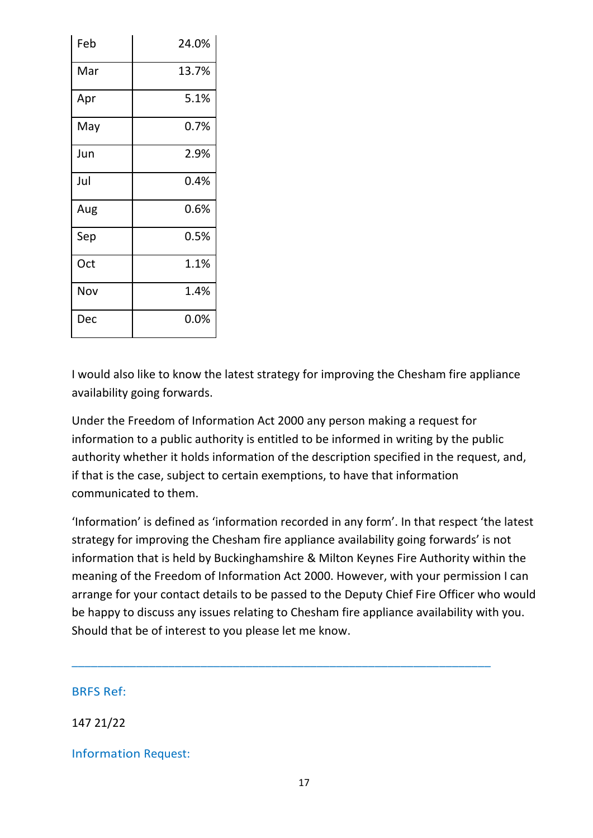| Feb | 24.0% |
|-----|-------|
| Mar | 13.7% |
| Apr | 5.1%  |
| May | 0.7%  |
| Jun | 2.9%  |
| Jul | 0.4%  |
| Aug | 0.6%  |
| Sep | 0.5%  |
| Oct | 1.1%  |
| Nov | 1.4%  |
| Dec | 0.0%  |

I would also like to know the latest strategy for improving the Chesham fire appliance availability going forwards.

Under the Freedom of Information Act 2000 any person making a request for information to a public authority is entitled to be informed in writing by the public authority whether it holds information of the description specified in the request, and, if that is the case, subject to certain exemptions, to have that information communicated to them.

'Information' is defined as 'information recorded in any form'. In that respect 'the latest strategy for improving the Chesham fire appliance availability going forwards' is not information that is held by Buckinghamshire & Milton Keynes Fire Authority within the meaning of the Freedom of Information Act 2000. However, with your permission I can arrange for your contact details to be passed to the Deputy Chief Fire Officer who would be happy to discuss any issues relating to Chesham fire appliance availability with you. Should that be of interest to you please let me know.

\_\_\_\_\_\_\_\_\_\_\_\_\_\_\_\_\_\_\_\_\_\_\_\_\_\_\_\_\_\_\_\_\_\_\_\_\_\_\_\_\_\_\_\_\_\_\_\_\_\_\_\_\_\_\_\_\_\_\_\_\_\_\_\_\_

BRFS Ref:

147 21/22

Information Request: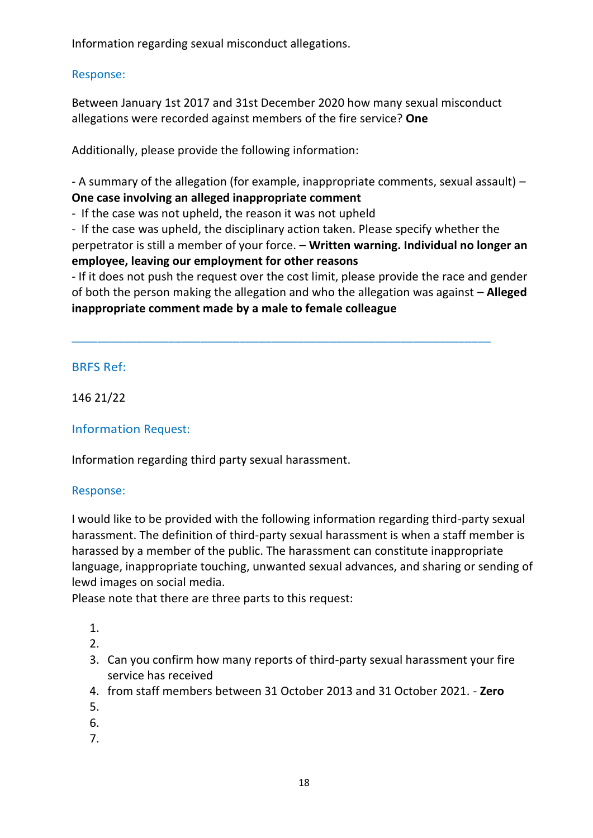Information regarding sexual misconduct allegations.

## Response:

Between January 1st 2017 and 31st December 2020 how many sexual misconduct allegations were recorded against members of the fire service? **One**

Additionally, please provide the following information:

- A summary of the allegation (for example, inappropriate comments, sexual assault) – **One case involving an alleged inappropriate comment** 

- If the case was not upheld, the reason it was not upheld

- If the case was upheld, the disciplinary action taken. Please specify whether the perpetrator is still a member of your force. – **Written warning. Individual no longer an employee, leaving our employment for other reasons** 

- If it does not push the request over the cost limit, please provide the race and gender of both the person making the allegation and who the allegation was against – **Alleged inappropriate comment made by a male to female colleague**

\_\_\_\_\_\_\_\_\_\_\_\_\_\_\_\_\_\_\_\_\_\_\_\_\_\_\_\_\_\_\_\_\_\_\_\_\_\_\_\_\_\_\_\_\_\_\_\_\_\_\_\_\_\_\_\_\_\_\_\_\_\_\_\_\_

# BRFS Ref:

146 21/22

# Information Request:

Information regarding third party sexual harassment.

## Response:

I would like to be provided with the following information regarding third-party sexual harassment. The definition of third-party sexual harassment is when a staff member is harassed by a member of the public. The harassment can constitute inappropriate language, inappropriate touching, unwanted sexual advances, and sharing or sending of lewd images on social media.

Please note that there are three parts to this request:

- 1.
- 2.
- 3. Can you confirm how many reports of third-party sexual harassment your fire service has received
- 4. from staff members between 31 October 2013 and 31 October 2021. **Zero**
- 5.
- 6.
- 7.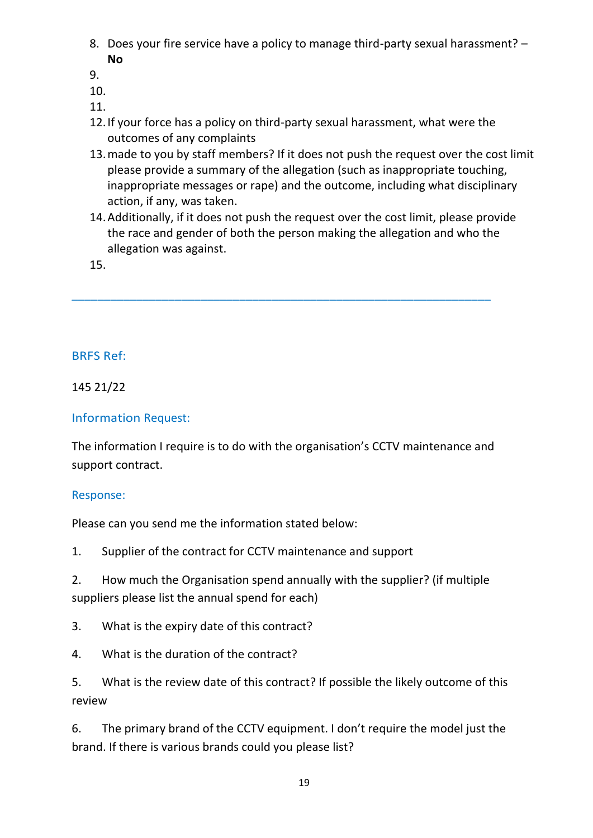- 8. Does your fire service have a policy to manage third-party sexual harassment? **No**
- 9.
- 10.

11.

- 12.If your force has a policy on third-party sexual harassment, what were the outcomes of any complaints
- 13.made to you by staff members? If it does not push the request over the cost limit please provide a summary of the allegation (such as inappropriate touching, inappropriate messages or rape) and the outcome, including what disciplinary action, if any, was taken.
- 14.Additionally, if it does not push the request over the cost limit, please provide the race and gender of both the person making the allegation and who the allegation was against.

15.

# BRFS Ref:

145 21/22

# Information Request:

The information I require is to do with the organisation's CCTV maintenance and support contract.

\_\_\_\_\_\_\_\_\_\_\_\_\_\_\_\_\_\_\_\_\_\_\_\_\_\_\_\_\_\_\_\_\_\_\_\_\_\_\_\_\_\_\_\_\_\_\_\_\_\_\_\_\_\_\_\_\_\_\_\_\_\_\_\_\_

# Response:

Please can you send me the information stated below:

1. Supplier of the contract for CCTV maintenance and support

2. How much the Organisation spend annually with the supplier? (if multiple suppliers please list the annual spend for each)

3. What is the expiry date of this contract?

4. What is the duration of the contract?

5. What is the review date of this contract? If possible the likely outcome of this review

6. The primary brand of the CCTV equipment. I don't require the model just the brand. If there is various brands could you please list?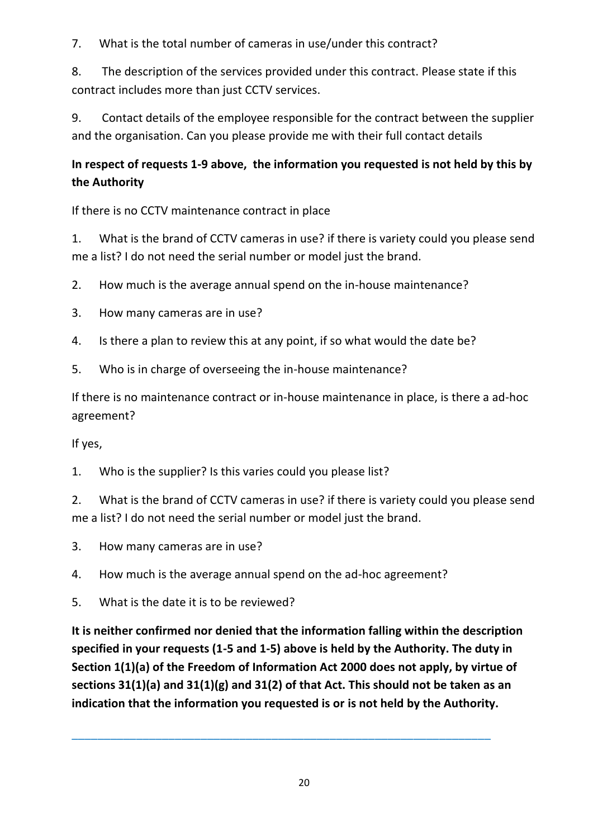7. What is the total number of cameras in use/under this contract?

8. The description of the services provided under this contract. Please state if this contract includes more than just CCTV services.

9. Contact details of the employee responsible for the contract between the supplier and the organisation. Can you please provide me with their full contact details

# **In respect of requests 1-9 above, the information you requested is not held by this by the Authority**

If there is no CCTV maintenance contract in place

1. What is the brand of CCTV cameras in use? if there is variety could you please send me a list? I do not need the serial number or model just the brand.

- 2. How much is the average annual spend on the in-house maintenance?
- 3. How many cameras are in use?
- 4. Is there a plan to review this at any point, if so what would the date be?
- 5. Who is in charge of overseeing the in-house maintenance?

If there is no maintenance contract or in-house maintenance in place, is there a ad-hoc agreement?

If yes,

1. Who is the supplier? Is this varies could you please list?

2. What is the brand of CCTV cameras in use? if there is variety could you please send me a list? I do not need the serial number or model just the brand.

- 3. How many cameras are in use?
- 4. How much is the average annual spend on the ad-hoc agreement?
- 5. What is the date it is to be reviewed?

**It is neither confirmed nor denied that the information falling within the description specified in your requests (1-5 and 1-5) above is held by the Authority. The duty in Section 1(1)(a) of the Freedom of Information Act 2000 does not apply, by virtue of sections 31(1)(a) and 31(1)(g) and 31(2) of that Act. This should not be taken as an indication that the information you requested is or is not held by the Authority.**

\_\_\_\_\_\_\_\_\_\_\_\_\_\_\_\_\_\_\_\_\_\_\_\_\_\_\_\_\_\_\_\_\_\_\_\_\_\_\_\_\_\_\_\_\_\_\_\_\_\_\_\_\_\_\_\_\_\_\_\_\_\_\_\_\_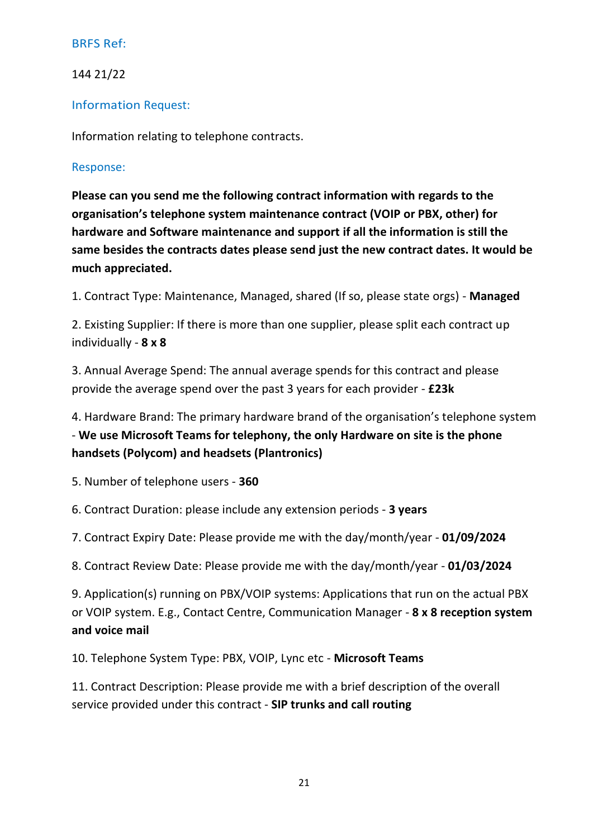## 144 21/22

#### Information Request:

Information relating to telephone contracts.

#### Response:

**Please can you send me the following contract information with regards to the organisation's telephone system maintenance contract (VOIP or PBX, other) for hardware and Software maintenance and support if all the information is still the same besides the contracts dates please send just the new contract dates. It would be much appreciated.**

1. Contract Type: Maintenance, Managed, shared (If so, please state orgs) - **Managed**

2. Existing Supplier: If there is more than one supplier, please split each contract up individually - **8 x 8**

3. Annual Average Spend: The annual average spends for this contract and please provide the average spend over the past 3 years for each provider - **£23k**

4. Hardware Brand: The primary hardware brand of the organisation's telephone system - **We use Microsoft Teams for telephony, the only Hardware on site is the phone handsets (Polycom) and headsets (Plantronics)**

5. Number of telephone users - **360**

6. Contract Duration: please include any extension periods - **3 years**

7. Contract Expiry Date: Please provide me with the day/month/year - **01/09/2024**

8. Contract Review Date: Please provide me with the day/month/year - **01/03/2024**

9. Application(s) running on PBX/VOIP systems: Applications that run on the actual PBX or VOIP system. E.g., Contact Centre, Communication Manager - **8 x 8 reception system and voice mail**

10. Telephone System Type: PBX, VOIP, Lync etc - **Microsoft Teams**

11. Contract Description: Please provide me with a brief description of the overall service provided under this contract - **SIP trunks and call routing**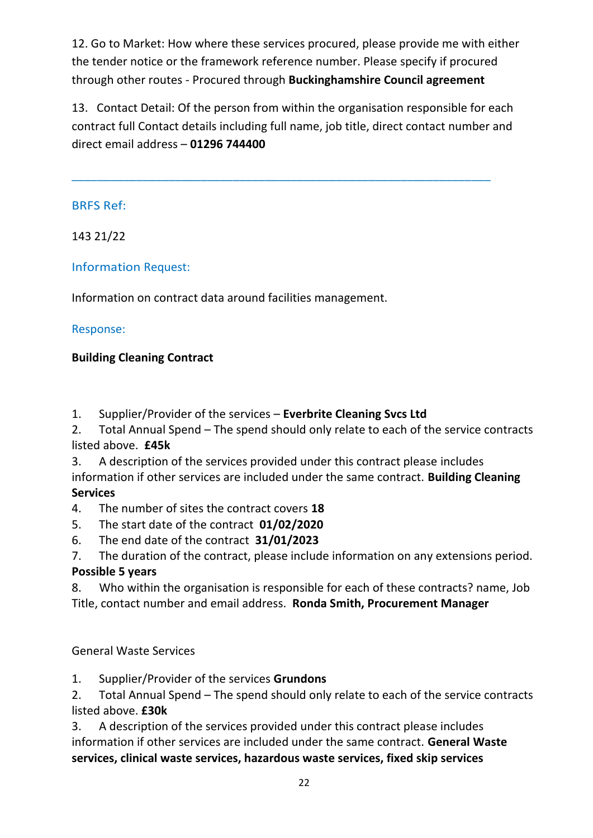12. Go to Market: How where these services procured, please provide me with either the tender notice or the framework reference number. Please specify if procured through other routes - Procured through **Buckinghamshire Council agreement**

13. Contact Detail: Of the person from within the organisation responsible for each contract full Contact details including full name, job title, direct contact number and direct email address – **01296 744400**

\_\_\_\_\_\_\_\_\_\_\_\_\_\_\_\_\_\_\_\_\_\_\_\_\_\_\_\_\_\_\_\_\_\_\_\_\_\_\_\_\_\_\_\_\_\_\_\_\_\_\_\_\_\_\_\_\_\_\_\_\_\_\_\_\_

## BRFS Ref:

143 21/22

## Information Request:

Information on contract data around facilities management.

## Response:

## **Building Cleaning Contract**

1. Supplier/Provider of the services – **Everbrite Cleaning Svcs Ltd**

2. Total Annual Spend – The spend should only relate to each of the service contracts listed above. **£45k**

3. A description of the services provided under this contract please includes information if other services are included under the same contract. **Building Cleaning Services**

4. The number of sites the contract covers **18**

5. The start date of the contract **01/02/2020**

6. The end date of the contract **31/01/2023**

7. The duration of the contract, please include information on any extensions period. **Possible 5 years**

8. Who within the organisation is responsible for each of these contracts? name, Job Title, contact number and email address. **Ronda Smith, Procurement Manager**

General Waste Services

# 1. Supplier/Provider of the services **Grundons**

2. Total Annual Spend – The spend should only relate to each of the service contracts listed above. **£30k**

3. A description of the services provided under this contract please includes information if other services are included under the same contract. **General Waste services, clinical waste services, hazardous waste services, fixed skip services**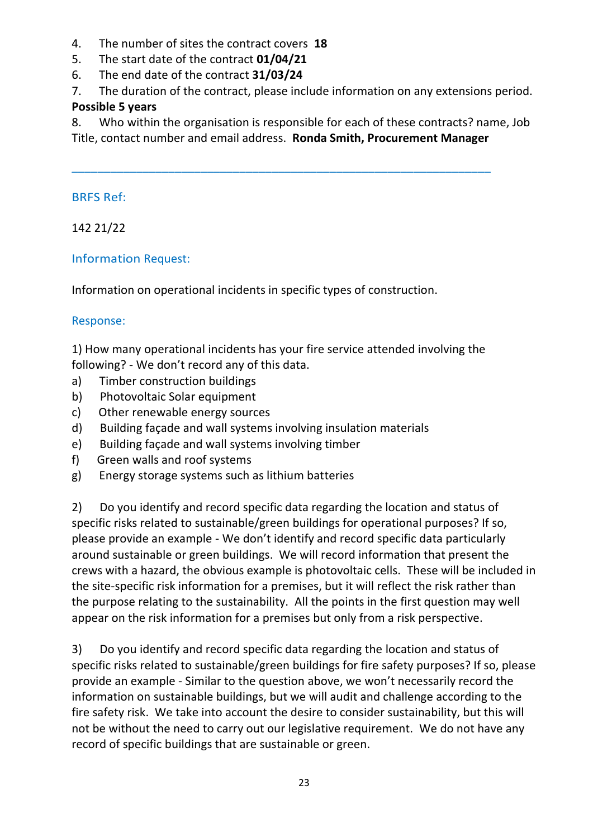- 4. The number of sites the contract covers **18**
- 5. The start date of the contract **01/04/21**
- 6. The end date of the contract **31/03/24**
- 7. The duration of the contract, please include information on any extensions period.

# **Possible 5 years**

8. Who within the organisation is responsible for each of these contracts? name, Job Title, contact number and email address. **Ronda Smith, Procurement Manager**

\_\_\_\_\_\_\_\_\_\_\_\_\_\_\_\_\_\_\_\_\_\_\_\_\_\_\_\_\_\_\_\_\_\_\_\_\_\_\_\_\_\_\_\_\_\_\_\_\_\_\_\_\_\_\_\_\_\_\_\_\_\_\_\_\_

# BRFS Ref:

142 21/22

# Information Request:

Information on operational incidents in specific types of construction.

# Response:

1) How many operational incidents has your fire service attended involving the following? - We don't record any of this data.

- a) Timber construction buildings
- b) Photovoltaic Solar equipment
- c) Other renewable energy sources
- d) Building façade and wall systems involving insulation materials
- e) Building façade and wall systems involving timber
- f) Green walls and roof systems
- g) Energy storage systems such as lithium batteries

2) Do you identify and record specific data regarding the location and status of specific risks related to sustainable/green buildings for operational purposes? If so, please provide an example - We don't identify and record specific data particularly around sustainable or green buildings. We will record information that present the crews with a hazard, the obvious example is photovoltaic cells. These will be included in the site-specific risk information for a premises, but it will reflect the risk rather than the purpose relating to the sustainability. All the points in the first question may well appear on the risk information for a premises but only from a risk perspective.

3) Do you identify and record specific data regarding the location and status of specific risks related to sustainable/green buildings for fire safety purposes? If so, please provide an example - Similar to the question above, we won't necessarily record the information on sustainable buildings, but we will audit and challenge according to the fire safety risk. We take into account the desire to consider sustainability, but this will not be without the need to carry out our legislative requirement. We do not have any record of specific buildings that are sustainable or green.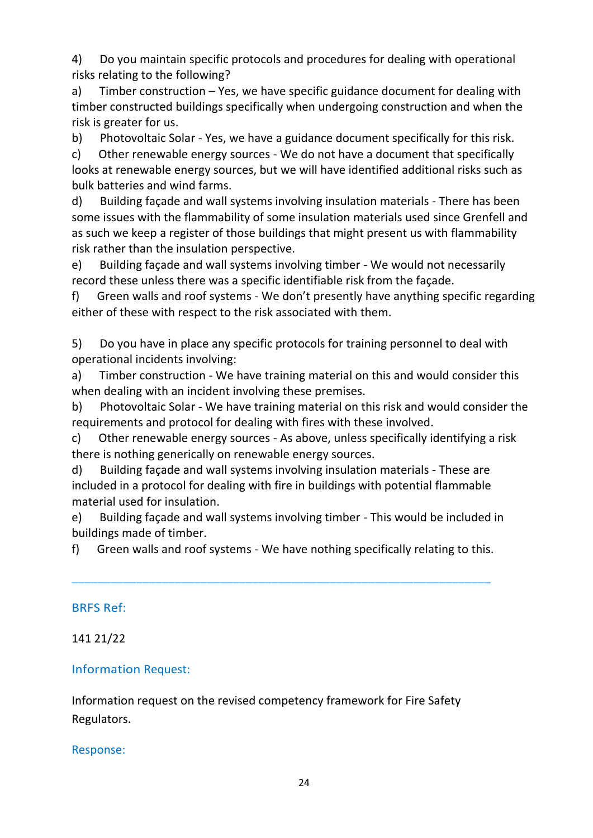4) Do you maintain specific protocols and procedures for dealing with operational risks relating to the following?

a) Timber construction – Yes, we have specific guidance document for dealing with timber constructed buildings specifically when undergoing construction and when the risk is greater for us.

b) Photovoltaic Solar - Yes, we have a guidance document specifically for this risk.

c) Other renewable energy sources - We do not have a document that specifically looks at renewable energy sources, but we will have identified additional risks such as bulk batteries and wind farms.

d) Building façade and wall systems involving insulation materials - There has been some issues with the flammability of some insulation materials used since Grenfell and as such we keep a register of those buildings that might present us with flammability risk rather than the insulation perspective.

e) Building façade and wall systems involving timber - We would not necessarily record these unless there was a specific identifiable risk from the façade.

f) Green walls and roof systems - We don't presently have anything specific regarding either of these with respect to the risk associated with them.

5) Do you have in place any specific protocols for training personnel to deal with operational incidents involving:

a) Timber construction - We have training material on this and would consider this when dealing with an incident involving these premises.

b) Photovoltaic Solar - We have training material on this risk and would consider the requirements and protocol for dealing with fires with these involved.

c) Other renewable energy sources - As above, unless specifically identifying a risk there is nothing generically on renewable energy sources.

d) Building façade and wall systems involving insulation materials - These are included in a protocol for dealing with fire in buildings with potential flammable material used for insulation.

e) Building façade and wall systems involving timber - This would be included in buildings made of timber.

f) Green walls and roof systems - We have nothing specifically relating to this.

\_\_\_\_\_\_\_\_\_\_\_\_\_\_\_\_\_\_\_\_\_\_\_\_\_\_\_\_\_\_\_\_\_\_\_\_\_\_\_\_\_\_\_\_\_\_\_\_\_\_\_\_\_\_\_\_\_\_\_\_\_\_\_\_\_

## BRFS Ref:

# 141 21/22

# Information Request:

Information request on the revised competency framework for Fire Safety Regulators.

## Response: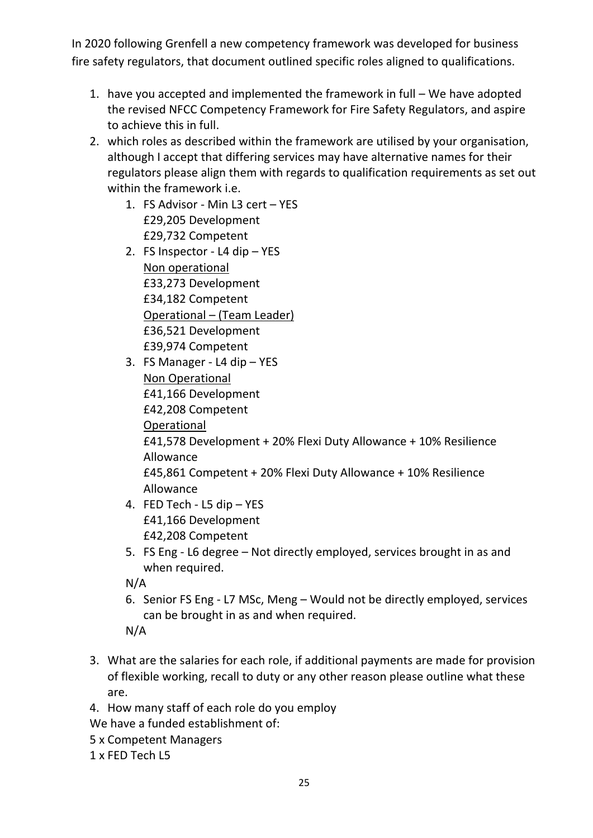In 2020 following Grenfell a new competency framework was developed for business fire safety regulators, that document outlined specific roles aligned to qualifications.

- 1. have you accepted and implemented the framework in full We have adopted the revised NFCC Competency Framework for Fire Safety Regulators, and aspire to achieve this in full.
- 2. which roles as described within the framework are utilised by your organisation, although I accept that differing services may have alternative names for their regulators please align them with regards to qualification requirements as set out within the framework i.e.
	- 1. FS Advisor Min L3 cert YES £29,205 Development £29,732 Competent
	- 2. FS Inspector L4 dip YES Non operational £33,273 Development £34,182 Competent Operational – (Team Leader) £36,521 Development £39,974 Competent
	- 3. FS Manager L4 dip YES Non Operational £41,166 Development £42,208 Competent **Operational** £41,578 Development + 20% Flexi Duty Allowance + 10% Resilience Allowance £45,861 Competent + 20% Flexi Duty Allowance + 10% Resilience Allowance
	- 4. FED Tech L5 dip YES £41,166 Development £42,208 Competent
	- 5. FS Eng L6 degree Not directly employed, services brought in as and when required.

N/A

- 6. Senior FS Eng L7 MSc, Meng Would not be directly employed, services can be brought in as and when required.
- N/A
- 3. What are the salaries for each role, if additional payments are made for provision of flexible working, recall to duty or any other reason please outline what these are.
- 4. How many staff of each role do you employ

We have a funded establishment of:

- 5 x Competent Managers
- 1 x FED Tech L5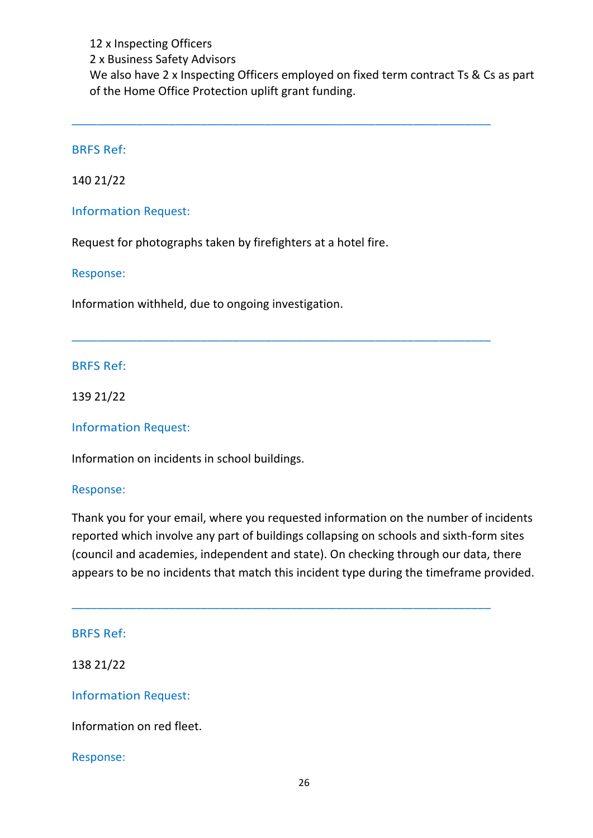12 x Inspecting Officers 2 x Business Safety Advisors We also have 2 x Inspecting Officers employed on fixed term contract Ts & Cs as part of the Home Office Protection uplift grant funding.

\_\_\_\_\_\_\_\_\_\_\_\_\_\_\_\_\_\_\_\_\_\_\_\_\_\_\_\_\_\_\_\_\_\_\_\_\_\_\_\_\_\_\_\_\_\_\_\_\_\_\_\_\_\_\_\_\_\_\_\_\_\_\_\_\_

\_\_\_\_\_\_\_\_\_\_\_\_\_\_\_\_\_\_\_\_\_\_\_\_\_\_\_\_\_\_\_\_\_\_\_\_\_\_\_\_\_\_\_\_\_\_\_\_\_\_\_\_\_\_\_\_\_\_\_\_\_\_\_\_\_

BRFS Ref:

140 21/22

Information Request:

Request for photographs taken by firefighters at a hotel fire.

Response:

Information withheld, due to ongoing investigation.

#### BRFS Ref:

139 21/22

Information Request:

Information on incidents in school buildings.

#### Response:

Thank you for your email, where you requested information on the number of incidents reported which involve any part of buildings collapsing on schools and sixth-form sites (council and academies, independent and state). On checking through our data, there appears to be no incidents that match this incident type during the timeframe provided.

\_\_\_\_\_\_\_\_\_\_\_\_\_\_\_\_\_\_\_\_\_\_\_\_\_\_\_\_\_\_\_\_\_\_\_\_\_\_\_\_\_\_\_\_\_\_\_\_\_\_\_\_\_\_\_\_\_\_\_\_\_\_\_\_\_

#### BRFS Ref:

138 21/22

Information Request:

Information on red fleet.

Response: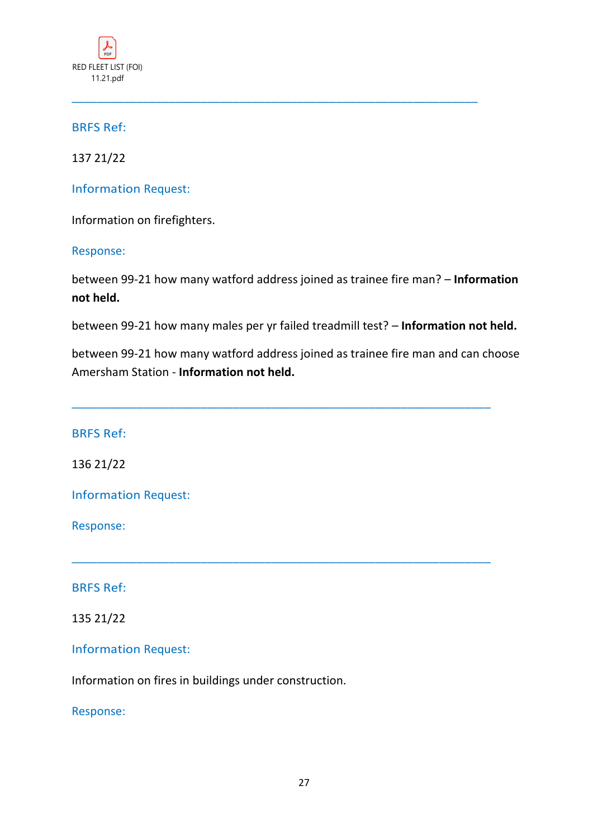

137 21/22

Information Request:

Information on firefighters.

Response:

between 99-21 how many watford address joined as trainee fire man? – **Information not held.**

\_\_\_\_\_\_\_\_\_\_\_\_\_\_\_\_\_\_\_\_\_\_\_\_\_\_\_\_\_\_\_\_\_\_\_\_\_\_\_\_\_\_\_\_\_\_\_\_\_\_\_\_\_\_\_\_\_\_\_\_\_\_\_

between 99-21 how many males per yr failed treadmill test? – **Information not held.**

between 99-21 how many watford address joined as trainee fire man and can choose Amersham Station - **Information not held.**

\_\_\_\_\_\_\_\_\_\_\_\_\_\_\_\_\_\_\_\_\_\_\_\_\_\_\_\_\_\_\_\_\_\_\_\_\_\_\_\_\_\_\_\_\_\_\_\_\_\_\_\_\_\_\_\_\_\_\_\_\_\_\_\_\_

\_\_\_\_\_\_\_\_\_\_\_\_\_\_\_\_\_\_\_\_\_\_\_\_\_\_\_\_\_\_\_\_\_\_\_\_\_\_\_\_\_\_\_\_\_\_\_\_\_\_\_\_\_\_\_\_\_\_\_\_\_\_\_\_\_

BRFS Ref:

136 21/22

Information Request:

Response:

BRFS Ref:

135 21/22

Information Request:

Information on fires in buildings under construction.

Response: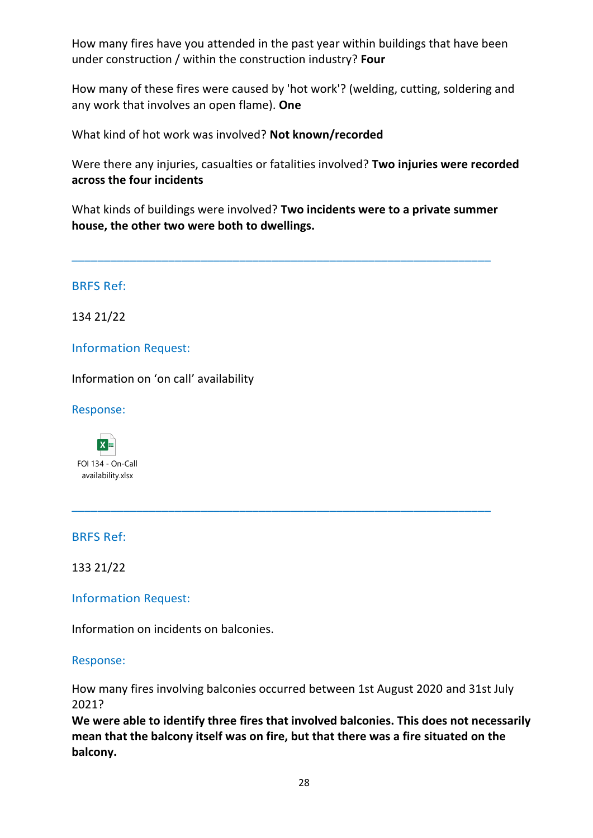How many fires have you attended in the past year within buildings that have been under construction / within the construction industry? **Four**

How many of these fires were caused by 'hot work'? (welding, cutting, soldering and any work that involves an open flame). **One**

What kind of hot work was involved? **Not known/recorded**

Were there any injuries, casualties or fatalities involved? **Two injuries were recorded across the four incidents**

What kinds of buildings were involved? **Two incidents were to a private summer house, the other two were both to dwellings.**

\_\_\_\_\_\_\_\_\_\_\_\_\_\_\_\_\_\_\_\_\_\_\_\_\_\_\_\_\_\_\_\_\_\_\_\_\_\_\_\_\_\_\_\_\_\_\_\_\_\_\_\_\_\_\_\_\_\_\_\_\_\_\_\_\_

\_\_\_\_\_\_\_\_\_\_\_\_\_\_\_\_\_\_\_\_\_\_\_\_\_\_\_\_\_\_\_\_\_\_\_\_\_\_\_\_\_\_\_\_\_\_\_\_\_\_\_\_\_\_\_\_\_\_\_\_\_\_\_\_\_

BRFS Ref:

134 21/22

Information Request:

Information on 'on call' availability

Response:

 $x =$ FOI 134 - On-Call availability.xlsx

BRFS Ref:

133 21/22

Information Request:

Information on incidents on balconies.

Response:

How many fires involving balconies occurred between 1st August 2020 and 31st July 2021?

**We were able to identify three fires that involved balconies. This does not necessarily mean that the balcony itself was on fire, but that there was a fire situated on the balcony.**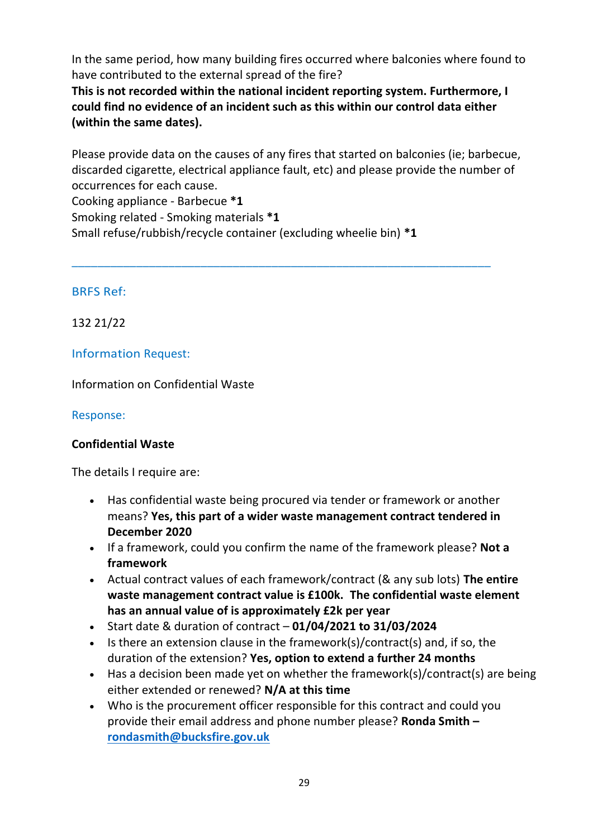In the same period, how many building fires occurred where balconies where found to have contributed to the external spread of the fire?

**This is not recorded within the national incident reporting system. Furthermore, I could find no evidence of an incident such as this within our control data either (within the same dates).**

Please provide data on the causes of any fires that started on balconies (ie; barbecue, discarded cigarette, electrical appliance fault, etc) and please provide the number of occurrences for each cause.

\_\_\_\_\_\_\_\_\_\_\_\_\_\_\_\_\_\_\_\_\_\_\_\_\_\_\_\_\_\_\_\_\_\_\_\_\_\_\_\_\_\_\_\_\_\_\_\_\_\_\_\_\_\_\_\_\_\_\_\_\_\_\_\_\_

Cooking appliance - Barbecue **\*1**

Smoking related - Smoking materials **\*1**

Small refuse/rubbish/recycle container (excluding wheelie bin) **\*1**

## BRFS Ref:

132 21/22

# Information Request:

Information on Confidential Waste

## Response:

# **Confidential Waste**

The details I require are:

- Has confidential waste being procured via tender or framework or another means? **Yes, this part of a wider waste management contract tendered in December 2020**
- If a framework, could you confirm the name of the framework please? **Not a framework**
- Actual contract values of each framework/contract (& any sub lots) **The entire waste management contract value is £100k. The confidential waste element has an annual value of is approximately £2k per year**
- Start date & duration of contract **01/04/2021 to 31/03/2024**
- Is there an extension clause in the framework(s)/contract(s) and, if so, the duration of the extension? **Yes, option to extend a further 24 months**
- Has a decision been made yet on whether the framework(s)/contract(s) are being either extended or renewed? **N/A at this time**
- Who is the procurement officer responsible for this contract and could you provide their email address and phone number please? **Ronda Smith – [rondasmith@bucksfire.gov.uk](mailto:rondasmith@bucksfire.gov.uk)**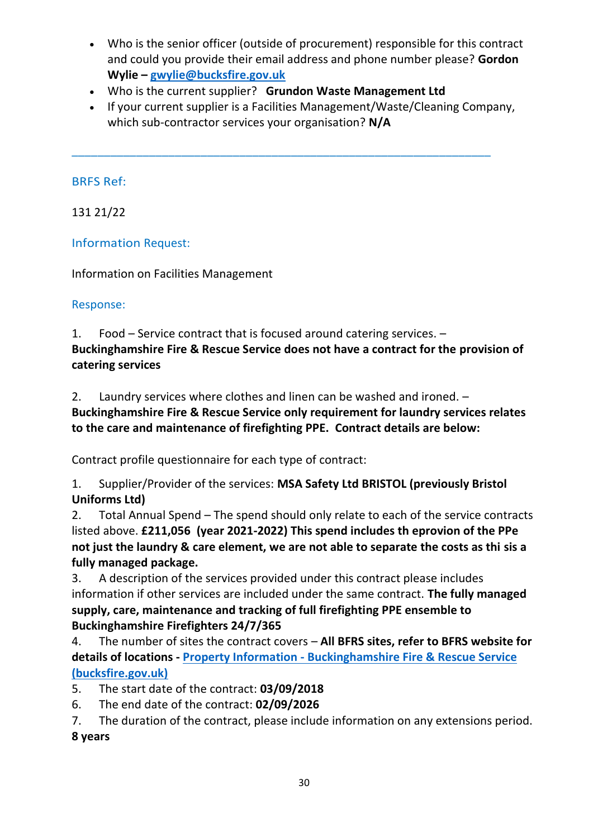- Who is the senior officer (outside of procurement) responsible for this contract and could you provide their email address and phone number please? **Gordon Wylie – [gwylie@bucksfire.gov.uk](mailto:gwylie@bucksfire.gov.uk)**
- Who is the current supplier? **Grundon Waste Management Ltd**

\_\_\_\_\_\_\_\_\_\_\_\_\_\_\_\_\_\_\_\_\_\_\_\_\_\_\_\_\_\_\_\_\_\_\_\_\_\_\_\_\_\_\_\_\_\_\_\_\_\_\_\_\_\_\_\_\_\_\_\_\_\_\_\_\_

• If your current supplier is a Facilities Management/Waste/Cleaning Company, which sub-contractor services your organisation? **N/A**

# BRFS Ref:

131 21/22

# Information Request:

Information on Facilities Management

# Response:

1. Food – Service contract that is focused around catering services. – **Buckinghamshire Fire & Rescue Service does not have a contract for the provision of catering services**

2. Laundry services where clothes and linen can be washed and ironed. –

**Buckinghamshire Fire & Rescue Service only requirement for laundry services relates to the care and maintenance of firefighting PPE. Contract details are below:**

Contract profile questionnaire for each type of contract:

1. Supplier/Provider of the services: **MSA Safety Ltd BRISTOL (previously Bristol Uniforms Ltd)**

2. Total Annual Spend – The spend should only relate to each of the service contracts listed above. **£211,056 (year 2021-2022) This spend includes th eprovion of the PPe not just the laundry & care element, we are not able to separate the costs as thi sis a fully managed package.**

3. A description of the services provided under this contract please includes information if other services are included under the same contract. **The fully managed supply, care, maintenance and tracking of full firefighting PPE ensemble to Buckinghamshire Firefighters 24/7/365** 

4. The number of sites the contract covers – **All BFRS sites, refer to BFRS website for details of locations - Property Information - [Buckinghamshire Fire & Rescue Service](https://gbr01.safelinks.protection.outlook.com/?url=https%3A%2F%2Fbucksfire.gov.uk%2Fauthority%2Fproperty-information%2F&data=04%7C01%7Cknellist%40bucksfire.gov.uk%7Ca09a9f665b8c4e93092d08d97b759cbd%7Cedcc07179b324eaeb464ad6257536311%7C1%7C0%7C637676567391012461%7CUnknown%7CTWFpbGZsb3d8eyJWIjoiMC4wLjAwMDAiLCJQIjoiV2luMzIiLCJBTiI6Ik1haWwiLCJXVCI6Mn0%3D%7C1000&sdata=E6rIdwkAtTGeA99u7evkRf2MhBeuFC%2Buxqn5fkxjY%2Fc%3D&reserved=0)  [\(bucksfire.gov.uk\)](https://gbr01.safelinks.protection.outlook.com/?url=https%3A%2F%2Fbucksfire.gov.uk%2Fauthority%2Fproperty-information%2F&data=04%7C01%7Cknellist%40bucksfire.gov.uk%7Ca09a9f665b8c4e93092d08d97b759cbd%7Cedcc07179b324eaeb464ad6257536311%7C1%7C0%7C637676567391012461%7CUnknown%7CTWFpbGZsb3d8eyJWIjoiMC4wLjAwMDAiLCJQIjoiV2luMzIiLCJBTiI6Ik1haWwiLCJXVCI6Mn0%3D%7C1000&sdata=E6rIdwkAtTGeA99u7evkRf2MhBeuFC%2Buxqn5fkxjY%2Fc%3D&reserved=0)**

5. The start date of the contract: **03/09/2018**

6. The end date of the contract: **02/09/2026**

7. The duration of the contract, please include information on any extensions period. **8 years**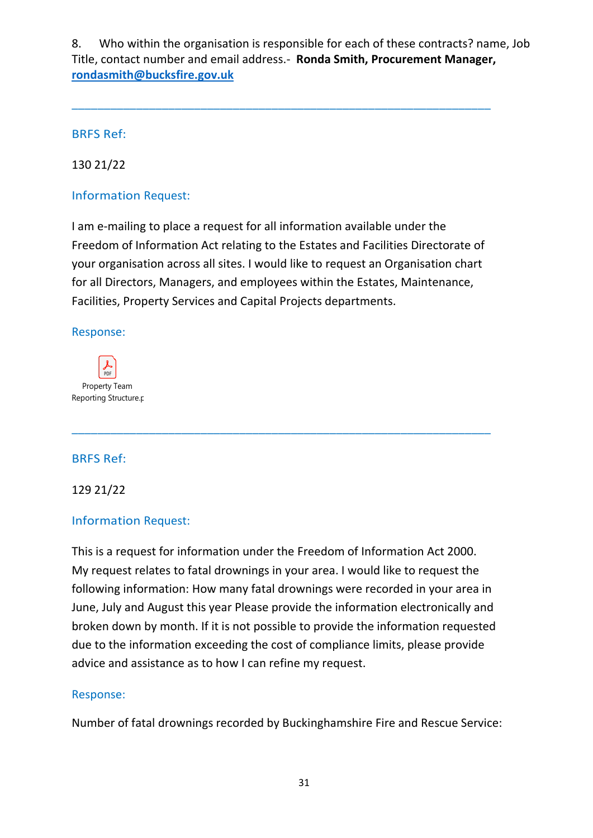8. Who within the organisation is responsible for each of these contracts? name, Job Title, contact number and email address.- **Ronda Smith, Procurement Manager, [rondasmith@bucksfire.gov.uk](mailto:rondasmith@bucksfire.gov.uk)**

\_\_\_\_\_\_\_\_\_\_\_\_\_\_\_\_\_\_\_\_\_\_\_\_\_\_\_\_\_\_\_\_\_\_\_\_\_\_\_\_\_\_\_\_\_\_\_\_\_\_\_\_\_\_\_\_\_\_\_\_\_\_\_\_\_

BRFS Ref:

130 21/22

Information Request:

I am e-mailing to place a request for all information available under the Freedom of Information Act relating to the Estates and Facilities Directorate of your organisation across all sites. I would like to request an Organisation chart for all Directors, Managers, and employees within the Estates, Maintenance, Facilities, Property Services and Capital Projects departments.

\_\_\_\_\_\_\_\_\_\_\_\_\_\_\_\_\_\_\_\_\_\_\_\_\_\_\_\_\_\_\_\_\_\_\_\_\_\_\_\_\_\_\_\_\_\_\_\_\_\_\_\_\_\_\_\_\_\_\_\_\_\_\_\_\_

Response:



# BRFS Ref:

129 21/22

## Information Request:

This is a request for information under the Freedom of Information Act 2000. My request relates to fatal drownings in your area. I would like to request the following information: How many fatal drownings were recorded in your area in June, July and August this year Please provide the information electronically and broken down by month. If it is not possible to provide the information requested due to the information exceeding the cost of compliance limits, please provide advice and assistance as to how I can refine my request.

## Response:

Number of fatal drownings recorded by Buckinghamshire Fire and Rescue Service: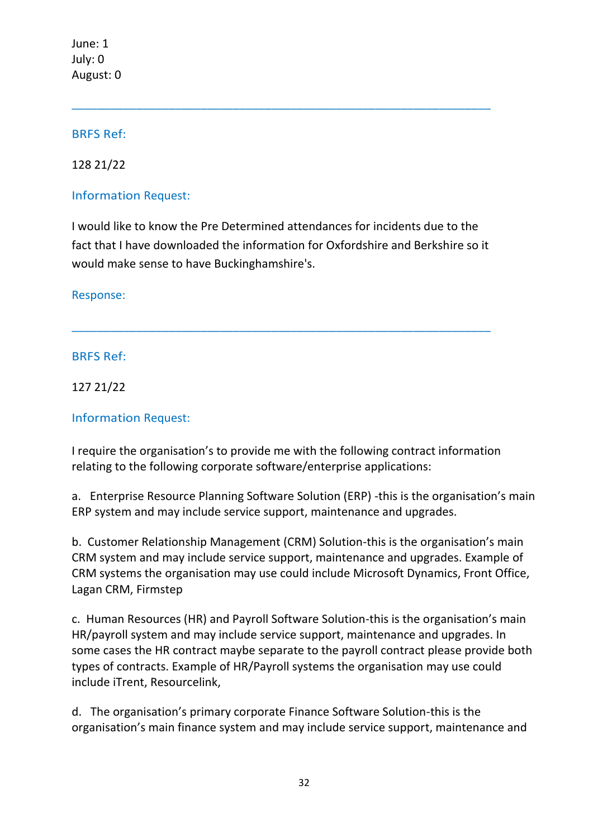June: 1 July: 0 August: 0

## BRFS Ref:

128 21/22

## Information Request:

I would like to know the Pre Determined attendances for incidents due to the fact that I have downloaded the information for Oxfordshire and Berkshire so it would make sense to have Buckinghamshire's.

\_\_\_\_\_\_\_\_\_\_\_\_\_\_\_\_\_\_\_\_\_\_\_\_\_\_\_\_\_\_\_\_\_\_\_\_\_\_\_\_\_\_\_\_\_\_\_\_\_\_\_\_\_\_\_\_\_\_\_\_\_\_\_\_\_

\_\_\_\_\_\_\_\_\_\_\_\_\_\_\_\_\_\_\_\_\_\_\_\_\_\_\_\_\_\_\_\_\_\_\_\_\_\_\_\_\_\_\_\_\_\_\_\_\_\_\_\_\_\_\_\_\_\_\_\_\_\_\_\_\_

Response:

# BRFS Ref:

127 21/22

## Information Request:

I require the organisation's to provide me with the following contract information relating to the following corporate software/enterprise applications:

a. Enterprise Resource Planning Software Solution (ERP) -this is the organisation's main ERP system and may include service support, maintenance and upgrades.

b. Customer Relationship Management (CRM) Solution-this is the organisation's main CRM system and may include service support, maintenance and upgrades. Example of CRM systems the organisation may use could include Microsoft Dynamics, Front Office, Lagan CRM, Firmstep

c. Human Resources (HR) and Payroll Software Solution-this is the organisation's main HR/payroll system and may include service support, maintenance and upgrades. In some cases the HR contract maybe separate to the payroll contract please provide both types of contracts. Example of HR/Payroll systems the organisation may use could include iTrent, Resourcelink,

d. The organisation's primary corporate Finance Software Solution-this is the organisation's main finance system and may include service support, maintenance and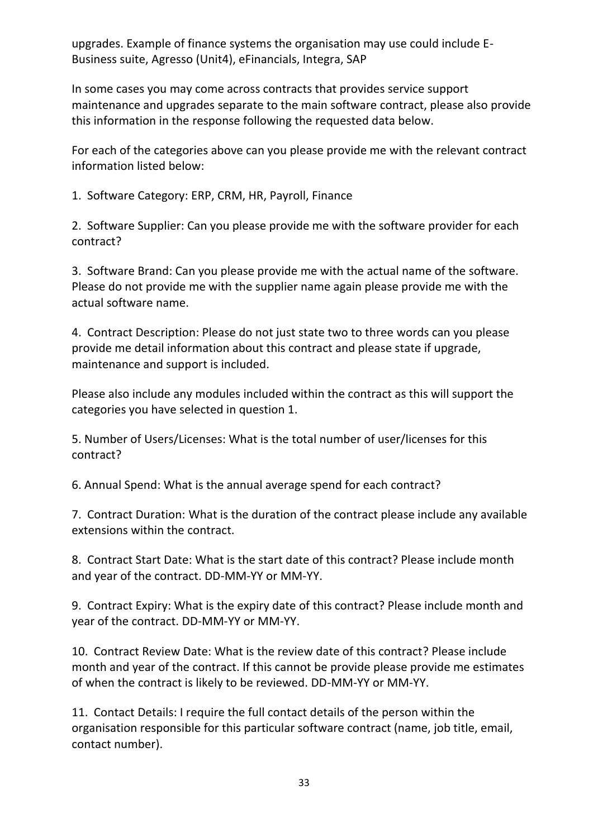upgrades. Example of finance systems the organisation may use could include E-Business suite, Agresso (Unit4), eFinancials, Integra, SAP

In some cases you may come across contracts that provides service support maintenance and upgrades separate to the main software contract, please also provide this information in the response following the requested data below.

For each of the categories above can you please provide me with the relevant contract information listed below:

1. Software Category: ERP, CRM, HR, Payroll, Finance

2. Software Supplier: Can you please provide me with the software provider for each contract?

3. Software Brand: Can you please provide me with the actual name of the software. Please do not provide me with the supplier name again please provide me with the actual software name.

4. Contract Description: Please do not just state two to three words can you please provide me detail information about this contract and please state if upgrade, maintenance and support is included.

Please also include any modules included within the contract as this will support the categories you have selected in question 1.

5. Number of Users/Licenses: What is the total number of user/licenses for this contract?

6. Annual Spend: What is the annual average spend for each contract?

7. Contract Duration: What is the duration of the contract please include any available extensions within the contract.

8. Contract Start Date: What is the start date of this contract? Please include month and year of the contract. DD-MM-YY or MM-YY.

9. Contract Expiry: What is the expiry date of this contract? Please include month and year of the contract. DD-MM-YY or MM-YY.

10. Contract Review Date: What is the review date of this contract? Please include month and year of the contract. If this cannot be provide please provide me estimates of when the contract is likely to be reviewed. DD-MM-YY or MM-YY.

11. Contact Details: I require the full contact details of the person within the organisation responsible for this particular software contract (name, job title, email, contact number).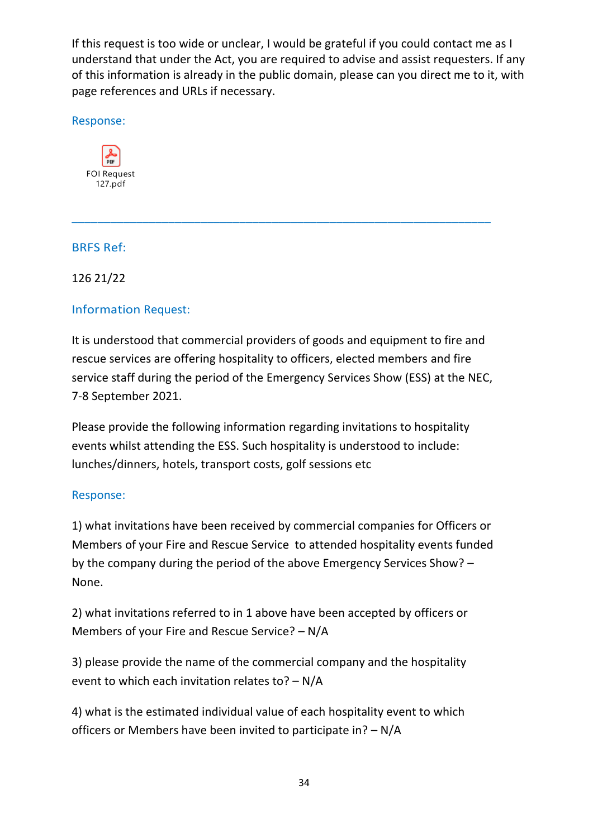If this request is too wide or unclear, I would be grateful if you could contact me as I understand that under the Act, you are required to advise and assist requesters. If any of this information is already in the public domain, please can you direct me to it, with page references and URLs if necessary.

Response:



# BRFS Ref:

126 21/22

# Information Request:

It is understood that commercial providers of goods and equipment to fire and rescue services are offering hospitality to officers, elected members and fire service staff during the period of the Emergency Services Show (ESS) at the NEC, 7-8 September 2021.

\_\_\_\_\_\_\_\_\_\_\_\_\_\_\_\_\_\_\_\_\_\_\_\_\_\_\_\_\_\_\_\_\_\_\_\_\_\_\_\_\_\_\_\_\_\_\_\_\_\_\_\_\_\_\_\_\_\_\_\_\_\_\_\_\_

Please provide the following information regarding invitations to hospitality events whilst attending the ESS. Such hospitality is understood to include: lunches/dinners, hotels, transport costs, golf sessions etc

# Response:

1) what invitations have been received by commercial companies for Officers or Members of your Fire and Rescue Service to attended hospitality events funded by the company during the period of the above Emergency Services Show? – None.

2) what invitations referred to in 1 above have been accepted by officers or Members of your Fire and Rescue Service? – N/A

3) please provide the name of the commercial company and the hospitality event to which each invitation relates to? – N/A

4) what is the estimated individual value of each hospitality event to which officers or Members have been invited to participate in? – N/A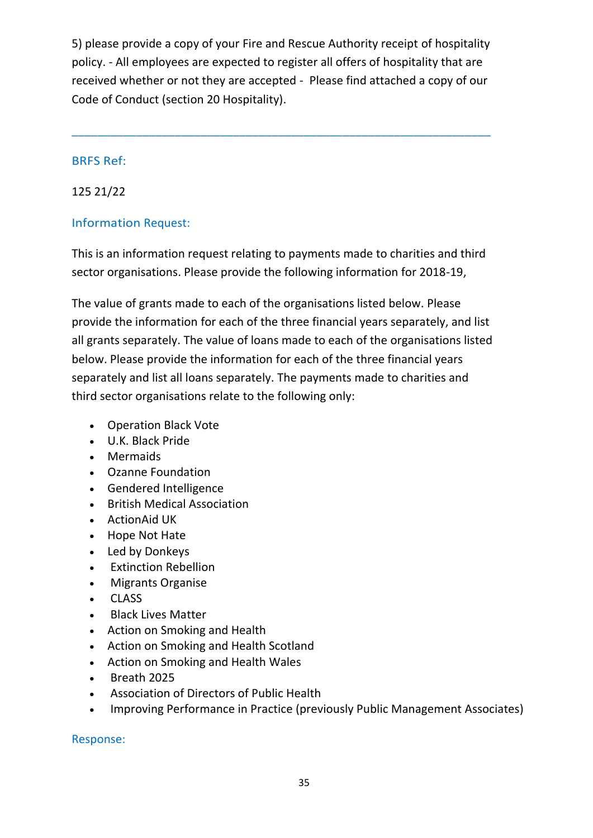5) please provide a copy of your Fire and Rescue Authority receipt of hospitality policy. - All employees are expected to register all offers of hospitality that are received whether or not they are accepted - Please find attached a copy of our Code of Conduct (section 20 Hospitality).

\_\_\_\_\_\_\_\_\_\_\_\_\_\_\_\_\_\_\_\_\_\_\_\_\_\_\_\_\_\_\_\_\_\_\_\_\_\_\_\_\_\_\_\_\_\_\_\_\_\_\_\_\_\_\_\_\_\_\_\_\_\_\_\_\_

#### BRFS Ref:

## 125 21/22

## Information Request:

This is an information request relating to payments made to charities and third sector organisations. Please provide the following information for 2018-19,

The value of grants made to each of the organisations listed below. Please provide the information for each of the three financial years separately, and list all grants separately. The value of loans made to each of the organisations listed below. Please provide the information for each of the three financial years separately and list all loans separately. The payments made to charities and third sector organisations relate to the following only:

- Operation Black Vote
- U.K. Black Pride
- Mermaids
- Ozanne Foundation
- Gendered Intelligence
- British Medical Association
- ActionAid UK
- Hope Not Hate
- Led by Donkeys
- Extinction Rebellion
- Migrants Organise
- CLASS
- **Black Lives Matter**
- Action on Smoking and Health
- Action on Smoking and Health Scotland
- Action on Smoking and Health Wales
- Breath 2025
- Association of Directors of Public Health
- Improving Performance in Practice (previously Public Management Associates)

Response: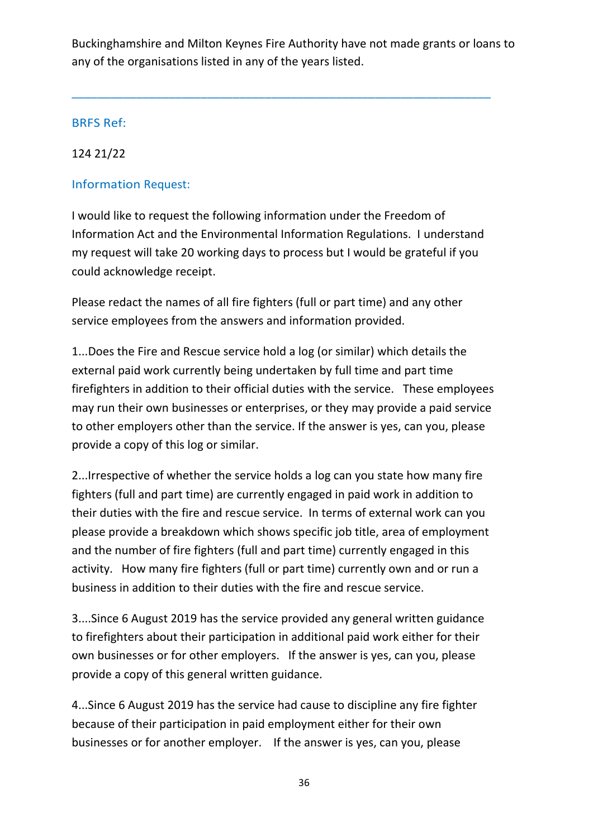Buckinghamshire and Milton Keynes Fire Authority have not made grants or loans to any of the organisations listed in any of the years listed.

\_\_\_\_\_\_\_\_\_\_\_\_\_\_\_\_\_\_\_\_\_\_\_\_\_\_\_\_\_\_\_\_\_\_\_\_\_\_\_\_\_\_\_\_\_\_\_\_\_\_\_\_\_\_\_\_\_\_\_\_\_\_\_\_\_

## BRFS Ref:

## 124 21/22

# Information Request:

I would like to request the following information under the Freedom of Information Act and the Environmental Information Regulations. I understand my request will take 20 working days to process but I would be grateful if you could acknowledge receipt.

Please redact the names of all fire fighters (full or part time) and any other service employees from the answers and information provided.

1...Does the Fire and Rescue service hold a log (or similar) which details the external paid work currently being undertaken by full time and part time firefighters in addition to their official duties with the service. These employees may run their own businesses or enterprises, or they may provide a paid service to other employers other than the service. If the answer is yes, can you, please provide a copy of this log or similar.

2...Irrespective of whether the service holds a log can you state how many fire fighters (full and part time) are currently engaged in paid work in addition to their duties with the fire and rescue service. In terms of external work can you please provide a breakdown which shows specific job title, area of employment and the number of fire fighters (full and part time) currently engaged in this activity. How many fire fighters (full or part time) currently own and or run a business in addition to their duties with the fire and rescue service.

3....Since 6 August 2019 has the service provided any general written guidance to firefighters about their participation in additional paid work either for their own businesses or for other employers. If the answer is yes, can you, please provide a copy of this general written guidance.

4...Since 6 August 2019 has the service had cause to discipline any fire fighter because of their participation in paid employment either for their own businesses or for another employer. If the answer is yes, can you, please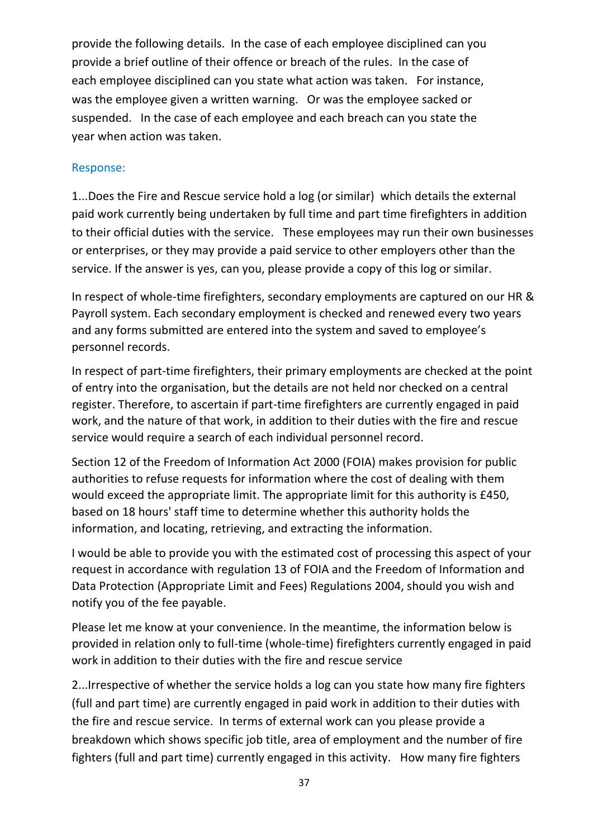provide the following details. In the case of each employee disciplined can you provide a brief outline of their offence or breach of the rules. In the case of each employee disciplined can you state what action was taken. For instance, was the employee given a written warning. Or was the employee sacked or suspended. In the case of each employee and each breach can you state the year when action was taken.

#### Response:

1...Does the Fire and Rescue service hold a log (or similar) which details the external paid work currently being undertaken by full time and part time firefighters in addition to their official duties with the service. These employees may run their own businesses or enterprises, or they may provide a paid service to other employers other than the service. If the answer is yes, can you, please provide a copy of this log or similar.

In respect of whole-time firefighters, secondary employments are captured on our HR & Payroll system. Each secondary employment is checked and renewed every two years and any forms submitted are entered into the system and saved to employee's personnel records.

In respect of part-time firefighters, their primary employments are checked at the point of entry into the organisation, but the details are not held nor checked on a central register. Therefore, to ascertain if part-time firefighters are currently engaged in paid work, and the nature of that work, in addition to their duties with the fire and rescue service would require a search of each individual personnel record.

Section 12 of the Freedom of Information Act 2000 (FOIA) makes provision for public authorities to refuse requests for information where the cost of dealing with them would exceed the appropriate limit. The appropriate limit for this authority is £450, based on 18 hours' staff time to determine whether this authority holds the information, and locating, retrieving, and extracting the information.

I would be able to provide you with the estimated cost of processing this aspect of your request in accordance with regulation 13 of FOIA and the Freedom of Information and Data Protection (Appropriate Limit and Fees) Regulations 2004, should you wish and notify you of the fee payable.

Please let me know at your convenience. In the meantime, the information below is provided in relation only to full-time (whole-time) firefighters currently engaged in paid work in addition to their duties with the fire and rescue service

2...Irrespective of whether the service holds a log can you state how many fire fighters (full and part time) are currently engaged in paid work in addition to their duties with the fire and rescue service. In terms of external work can you please provide a breakdown which shows specific job title, area of employment and the number of fire fighters (full and part time) currently engaged in this activity. How many fire fighters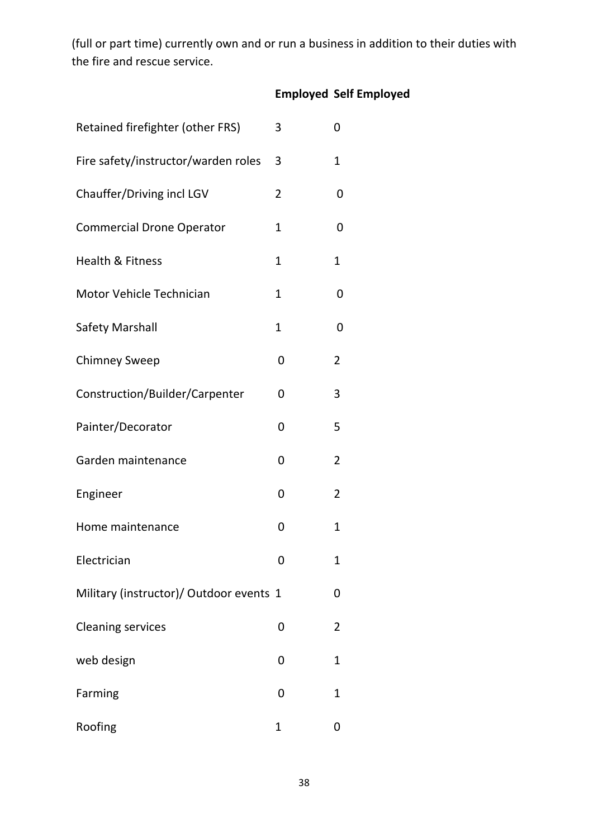(full or part time) currently own and or run a business in addition to their duties with the fire and rescue service.

|                                         |                | <b>Employed Self Employed</b> |
|-----------------------------------------|----------------|-------------------------------|
| Retained firefighter (other FRS)        | 3              | 0                             |
| Fire safety/instructor/warden roles     | 3              | 1                             |
| Chauffer/Driving incl LGV               | $\overline{2}$ | 0                             |
| <b>Commercial Drone Operator</b>        | 1              | 0                             |
| <b>Health &amp; Fitness</b>             | 1              | 1                             |
| Motor Vehicle Technician                | $\mathbf{1}$   | 0                             |
| <b>Safety Marshall</b>                  | 1              | 0                             |
| <b>Chimney Sweep</b>                    | 0              | 2                             |
| Construction/Builder/Carpenter          | 0              | 3                             |
| Painter/Decorator                       | 0              | 5                             |
| Garden maintenance                      | 0              | 2                             |
| Engineer                                | 0              | 2                             |
| Home maintenance                        | 0              | 1                             |
| Electrician                             | 0              | 1                             |
| Military (instructor)/ Outdoor events 1 |                | 0                             |
| <b>Cleaning services</b>                | 0              | 2                             |
| web design                              | 0              | 1                             |
| Farming                                 | 0              | 1                             |
| Roofing                                 | $\mathbf{1}$   | 0                             |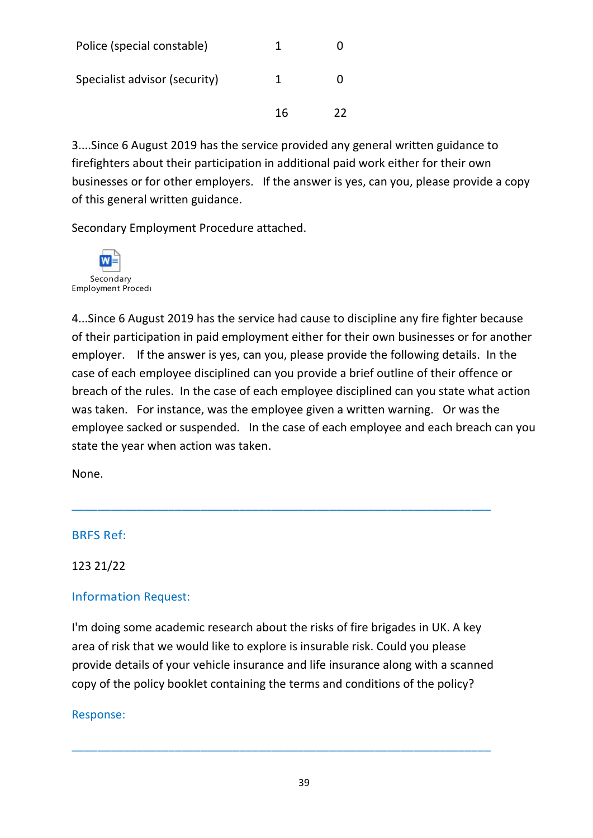| Police (special constable)    |    |    |
|-------------------------------|----|----|
| Specialist advisor (security) | 1  |    |
|                               | 16 | つつ |

3....Since 6 August 2019 has the service provided any general written guidance to firefighters about their participation in additional paid work either for their own businesses or for other employers. If the answer is yes, can you, please provide a copy of this general written guidance.

Secondary Employment Procedure attached.



4...Since 6 August 2019 has the service had cause to discipline any fire fighter because of their participation in paid employment either for their own businesses or for another employer. If the answer is yes, can you, please provide the following details. In the case of each employee disciplined can you provide a brief outline of their offence or breach of the rules. In the case of each employee disciplined can you state what action was taken. For instance, was the employee given a written warning. Or was the employee sacked or suspended. In the case of each employee and each breach can you state the year when action was taken.

None.

## BRFS Ref:

123 21/22

# Information Request:

I'm doing some academic research about the risks of fire brigades in UK. A key area of risk that we would like to explore is insurable risk. Could you please provide details of your vehicle insurance and life insurance along with a scanned copy of the policy booklet containing the terms and conditions of the policy?

\_\_\_\_\_\_\_\_\_\_\_\_\_\_\_\_\_\_\_\_\_\_\_\_\_\_\_\_\_\_\_\_\_\_\_\_\_\_\_\_\_\_\_\_\_\_\_\_\_\_\_\_\_\_\_\_\_\_\_\_\_\_\_\_\_

\_\_\_\_\_\_\_\_\_\_\_\_\_\_\_\_\_\_\_\_\_\_\_\_\_\_\_\_\_\_\_\_\_\_\_\_\_\_\_\_\_\_\_\_\_\_\_\_\_\_\_\_\_\_\_\_\_\_\_\_\_\_\_\_\_

## Response: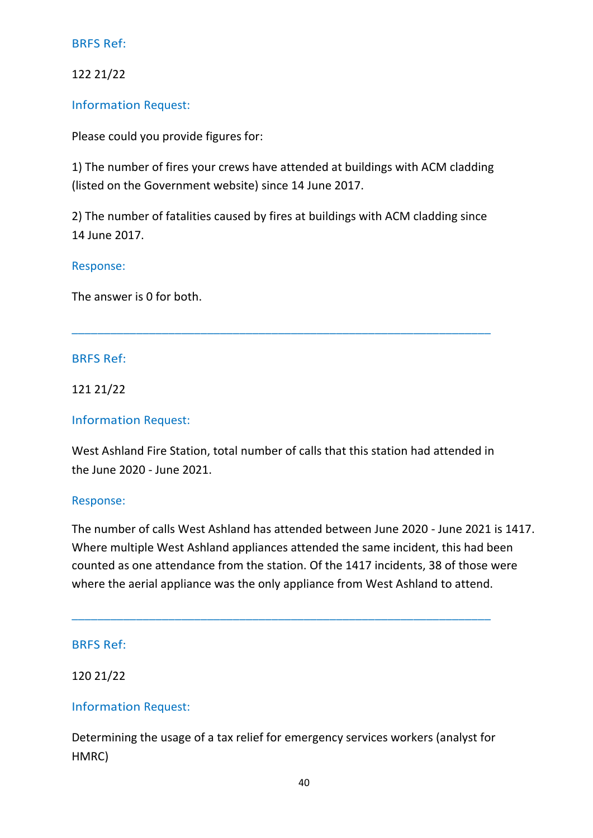122 21/22

Information Request:

Please could you provide figures for:

1) The number of fires your crews have attended at buildings with ACM cladding (listed on the Government website) since 14 June 2017.

2) The number of fatalities caused by fires at buildings with ACM cladding since 14 June 2017.

\_\_\_\_\_\_\_\_\_\_\_\_\_\_\_\_\_\_\_\_\_\_\_\_\_\_\_\_\_\_\_\_\_\_\_\_\_\_\_\_\_\_\_\_\_\_\_\_\_\_\_\_\_\_\_\_\_\_\_\_\_\_\_\_\_

## Response:

The answer is 0 for both.

## BRFS Ref:

121 21/22

#### Information Request:

West Ashland Fire Station, total number of calls that this station had attended in the June 2020 - June 2021.

#### Response:

The number of calls West Ashland has attended between June 2020 - June 2021 is 1417. Where multiple West Ashland appliances attended the same incident, this had been counted as one attendance from the station. Of the 1417 incidents, 38 of those were where the aerial appliance was the only appliance from West Ashland to attend.

#### BRFS Ref:

#### 120 21/22

## Information Request:

Determining the usage of a tax relief for emergency services workers (analyst for HMRC)

\_\_\_\_\_\_\_\_\_\_\_\_\_\_\_\_\_\_\_\_\_\_\_\_\_\_\_\_\_\_\_\_\_\_\_\_\_\_\_\_\_\_\_\_\_\_\_\_\_\_\_\_\_\_\_\_\_\_\_\_\_\_\_\_\_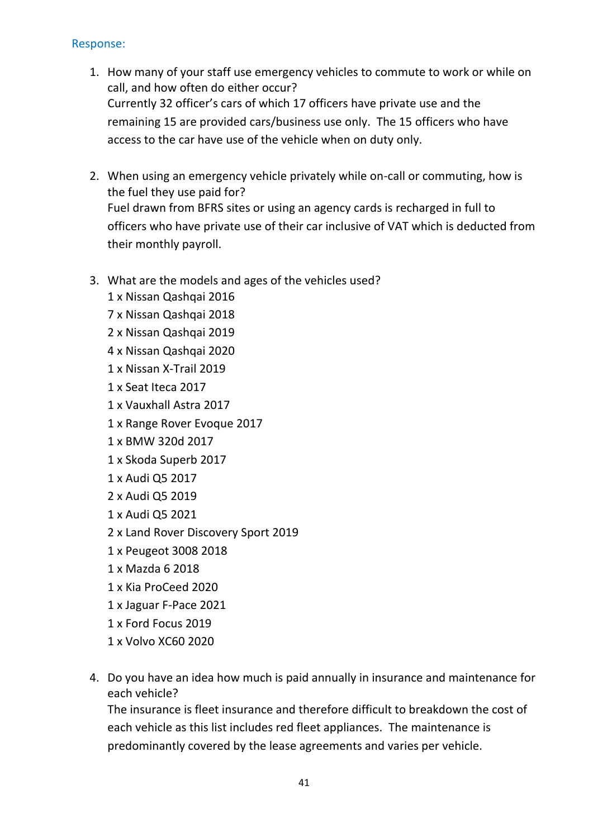## Response:

- 1. How many of your staff use emergency vehicles to commute to work or while on call, and how often do either occur? Currently 32 officer's cars of which 17 officers have private use and the remaining 15 are provided cars/business use only. The 15 officers who have access to the car have use of the vehicle when on duty only.
- 2. When using an emergency vehicle privately while on-call or commuting, how is the fuel they use paid for? Fuel drawn from BFRS sites or using an agency cards is recharged in full to officers who have private use of their car inclusive of VAT which is deducted from their monthly payroll.
- 3. What are the models and ages of the vehicles used?
	- 1 x Nissan Qashqai 2016
	- 7 x Nissan Qashqai 2018
	- 2 x Nissan Qashqai 2019
	- 4 x Nissan Qashqai 2020
	- 1 x Nissan X-Trail 2019
	- 1 x Seat Iteca 2017
	- 1 x Vauxhall Astra 2017
	- 1 x Range Rover Evoque 2017
	- 1 x BMW 320d 2017
	- 1 x Skoda Superb 2017
	- 1 x Audi Q5 2017
	- 2 x Audi Q5 2019
	- 1 x Audi Q5 2021
	- 2 x Land Rover Discovery Sport 2019
	- 1 x Peugeot 3008 2018
	- 1 x Mazda 6 2018
	- 1 x Kia ProCeed 2020
	- 1 x Jaguar F-Pace 2021
	- 1 x Ford Focus 2019
	- 1 x Volvo XC60 2020
- 4. Do you have an idea how much is paid annually in insurance and maintenance for each vehicle?

The insurance is fleet insurance and therefore difficult to breakdown the cost of each vehicle as this list includes red fleet appliances. The maintenance is predominantly covered by the lease agreements and varies per vehicle.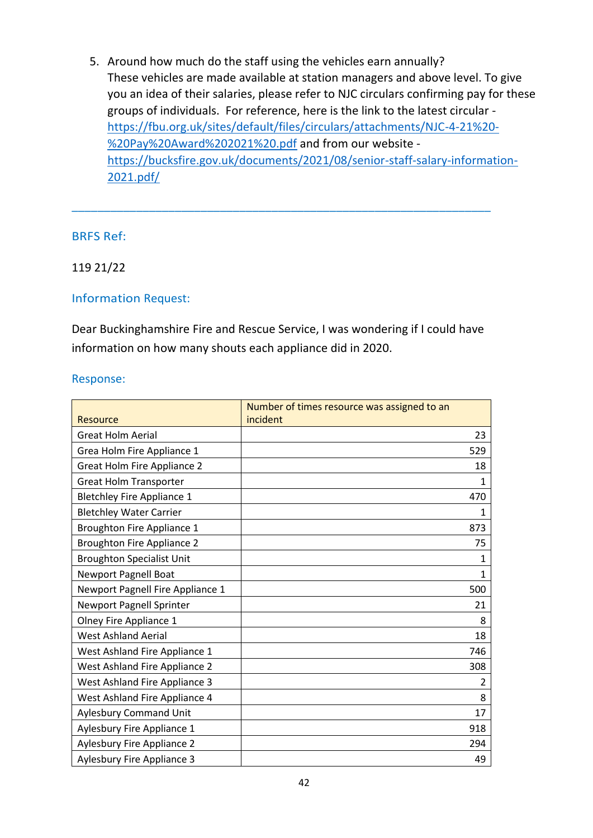5. Around how much do the staff using the vehicles earn annually? These vehicles are made available at station managers and above level. To give you an idea of their salaries, please refer to NJC circulars confirming pay for these groups of individuals. For reference, here is the link to the latest circular [https://fbu.org.uk/sites/default/files/circulars/attachments/NJC-4-21%20-](https://gbr01.safelinks.protection.outlook.com/?url=https%3A%2F%2Ffbu.org.uk%2Fsites%2Fdefault%2Ffiles%2Fcirculars%2Fattachments%2FNJC-4-21%2520-%2520Pay%2520Award%25202021%2520.pdf&data=04%7C01%7Cknellist%40bucksfire.gov.uk%7Cff0ef3933041462c290d08d9661983f5%7Cedcc07179b324eaeb464ad6257536311%7C1%7C0%7C637653082045973500%7CUnknown%7CTWFpbGZsb3d8eyJWIjoiMC4wLjAwMDAiLCJQIjoiV2luMzIiLCJBTiI6Ik1haWwiLCJXVCI6Mn0%3D%7C1000&sdata=Mb3TxSWXRkXbMtUwe%2F7LHizbPwD1mTpzDt%2FmIga%2BlNQ%3D&reserved=0) [%20Pay%20Award%202021%20.pdf](https://gbr01.safelinks.protection.outlook.com/?url=https%3A%2F%2Ffbu.org.uk%2Fsites%2Fdefault%2Ffiles%2Fcirculars%2Fattachments%2FNJC-4-21%2520-%2520Pay%2520Award%25202021%2520.pdf&data=04%7C01%7Cknellist%40bucksfire.gov.uk%7Cff0ef3933041462c290d08d9661983f5%7Cedcc07179b324eaeb464ad6257536311%7C1%7C0%7C637653082045973500%7CUnknown%7CTWFpbGZsb3d8eyJWIjoiMC4wLjAwMDAiLCJQIjoiV2luMzIiLCJBTiI6Ik1haWwiLCJXVCI6Mn0%3D%7C1000&sdata=Mb3TxSWXRkXbMtUwe%2F7LHizbPwD1mTpzDt%2FmIga%2BlNQ%3D&reserved=0) and from our website [https://bucksfire.gov.uk/documents/2021/08/senior-staff-salary-information-](https://gbr01.safelinks.protection.outlook.com/?url=https%3A%2F%2Fbucksfire.gov.uk%2Fdocuments%2F2021%2F08%2Fsenior-staff-salary-information-2021.pdf%2F&data=04%7C01%7Cknellist%40bucksfire.gov.uk%7Cff0ef3933041462c290d08d9661983f5%7Cedcc07179b324eaeb464ad6257536311%7C1%7C0%7C637653082045983459%7CUnknown%7CTWFpbGZsb3d8eyJWIjoiMC4wLjAwMDAiLCJQIjoiV2luMzIiLCJBTiI6Ik1haWwiLCJXVCI6Mn0%3D%7C1000&sdata=%2BjdBpnP1ctIfAE7k2R%2BORvZ3TqhtiLGKtz0HgthsN2w%3D&reserved=0)[2021.pdf/](https://gbr01.safelinks.protection.outlook.com/?url=https%3A%2F%2Fbucksfire.gov.uk%2Fdocuments%2F2021%2F08%2Fsenior-staff-salary-information-2021.pdf%2F&data=04%7C01%7Cknellist%40bucksfire.gov.uk%7Cff0ef3933041462c290d08d9661983f5%7Cedcc07179b324eaeb464ad6257536311%7C1%7C0%7C637653082045983459%7CUnknown%7CTWFpbGZsb3d8eyJWIjoiMC4wLjAwMDAiLCJQIjoiV2luMzIiLCJBTiI6Ik1haWwiLCJXVCI6Mn0%3D%7C1000&sdata=%2BjdBpnP1ctIfAE7k2R%2BORvZ3TqhtiLGKtz0HgthsN2w%3D&reserved=0)

## BRFS Ref:

## 119 21/22

#### Information Request:

Dear Buckinghamshire Fire and Rescue Service, I was wondering if I could have information on how many shouts each appliance did in 2020.

\_\_\_\_\_\_\_\_\_\_\_\_\_\_\_\_\_\_\_\_\_\_\_\_\_\_\_\_\_\_\_\_\_\_\_\_\_\_\_\_\_\_\_\_\_\_\_\_\_\_\_\_\_\_\_\_\_\_\_\_\_\_\_\_\_

#### Response:

|                                   | Number of times resource was assigned to an |              |
|-----------------------------------|---------------------------------------------|--------------|
| <b>Resource</b>                   | incident                                    |              |
| <b>Great Holm Aerial</b>          |                                             | 23           |
| Grea Holm Fire Appliance 1        |                                             | 529          |
| Great Holm Fire Appliance 2       |                                             | 18           |
| <b>Great Holm Transporter</b>     |                                             | 1            |
| <b>Bletchley Fire Appliance 1</b> |                                             | 470          |
| <b>Bletchley Water Carrier</b>    |                                             | 1            |
| Broughton Fire Appliance 1        |                                             | 873          |
| <b>Broughton Fire Appliance 2</b> |                                             | 75           |
| <b>Broughton Specialist Unit</b>  |                                             | 1            |
| <b>Newport Pagnell Boat</b>       |                                             | $\mathbf{1}$ |
| Newport Pagnell Fire Appliance 1  |                                             | 500          |
| <b>Newport Pagnell Sprinter</b>   |                                             | 21           |
| Olney Fire Appliance 1            |                                             | 8            |
| <b>West Ashland Aerial</b>        |                                             | 18           |
| West Ashland Fire Appliance 1     |                                             | 746          |
| West Ashland Fire Appliance 2     |                                             | 308          |
| West Ashland Fire Appliance 3     |                                             | 2            |
| West Ashland Fire Appliance 4     |                                             | 8            |
| <b>Aylesbury Command Unit</b>     |                                             | 17           |
| Aylesbury Fire Appliance 1        |                                             | 918          |
| <b>Aylesbury Fire Appliance 2</b> |                                             | 294          |
| Aylesbury Fire Appliance 3        |                                             | 49           |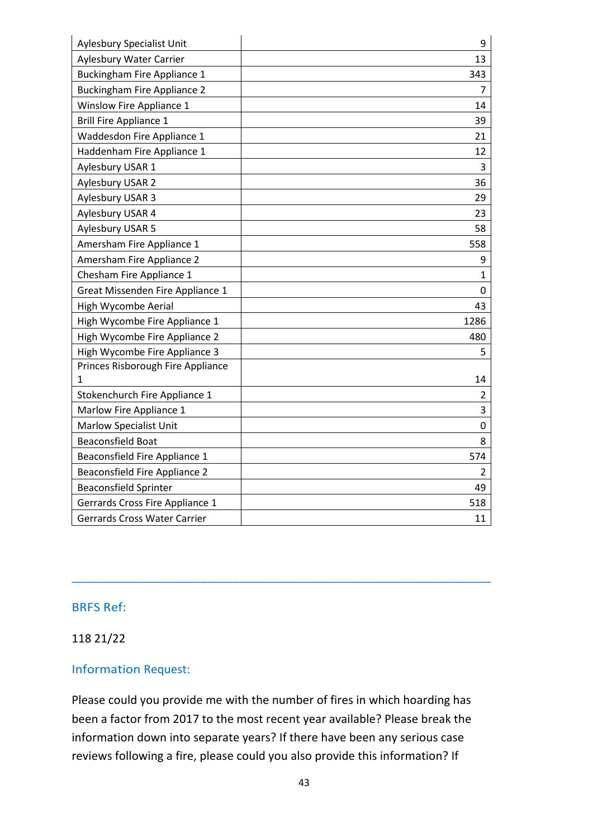| <b>Aylesbury Specialist Unit</b>     | 9              |
|--------------------------------------|----------------|
| <b>Aylesbury Water Carrier</b>       | 13             |
| <b>Buckingham Fire Appliance 1</b>   | 343            |
| <b>Buckingham Fire Appliance 2</b>   | 7              |
| <b>Winslow Fire Appliance 1</b>      | 14             |
| <b>Brill Fire Appliance 1</b>        | 39             |
| Waddesdon Fire Appliance 1           | 21             |
| Haddenham Fire Appliance 1           | 12             |
| Aylesbury USAR 1                     | 3              |
| Aylesbury USAR 2                     | 36             |
| Aylesbury USAR 3                     | 29             |
| Aylesbury USAR 4                     | 23             |
| Aylesbury USAR 5                     | 58             |
| Amersham Fire Appliance 1            | 558            |
| Amersham Fire Appliance 2            | 9              |
| Chesham Fire Appliance 1             | $\mathbf{1}$   |
| Great Missenden Fire Appliance 1     | 0              |
| High Wycombe Aerial                  | 43             |
| High Wycombe Fire Appliance 1        | 1286           |
| High Wycombe Fire Appliance 2        | 480            |
| High Wycombe Fire Appliance 3        | 5              |
| Princes Risborough Fire Appliance    |                |
| 1                                    | 14             |
| Stokenchurch Fire Appliance 1        | $\overline{2}$ |
| Marlow Fire Appliance 1              | 3              |
| <b>Marlow Specialist Unit</b>        | 0              |
| <b>Beaconsfield Boat</b>             | 8              |
| Beaconsfield Fire Appliance 1        | 574            |
| <b>Beaconsfield Fire Appliance 2</b> | $\overline{2}$ |
| <b>Beaconsfield Sprinter</b>         | 49             |
| Gerrards Cross Fire Appliance 1      | 518            |
| <b>Gerrards Cross Water Carrier</b>  | 11             |

#### 118 21/22

#### Information Request:

Please could you provide me with the number of fires in which hoarding has been a factor from 2017 to the most recent year available? Please break the information down into separate years? If there have been any serious case reviews following a fire, please could you also provide this information? If

\_\_\_\_\_\_\_\_\_\_\_\_\_\_\_\_\_\_\_\_\_\_\_\_\_\_\_\_\_\_\_\_\_\_\_\_\_\_\_\_\_\_\_\_\_\_\_\_\_\_\_\_\_\_\_\_\_\_\_\_\_\_\_\_\_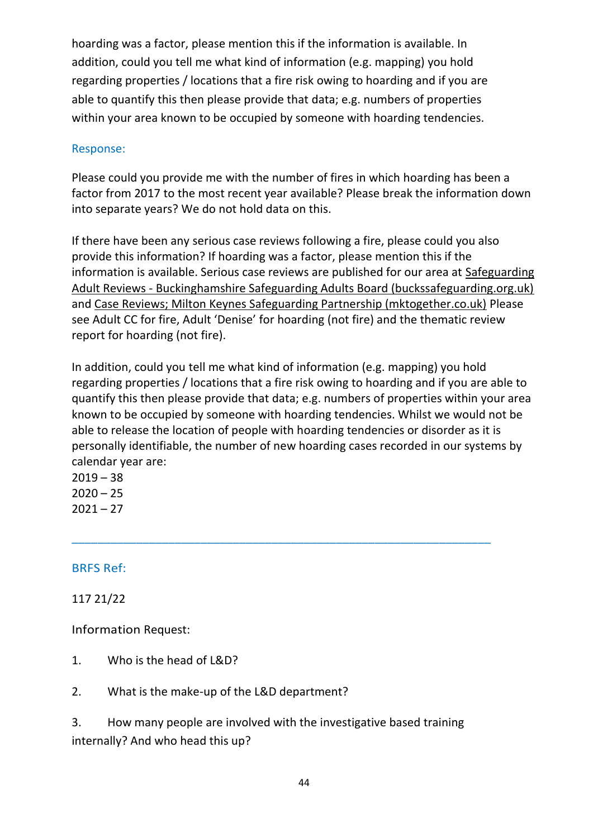hoarding was a factor, please mention this if the information is available. In addition, could you tell me what kind of information (e.g. mapping) you hold regarding properties / locations that a fire risk owing to hoarding and if you are able to quantify this then please provide that data; e.g. numbers of properties within your area known to be occupied by someone with hoarding tendencies.

## Response:

Please could you provide me with the number of fires in which hoarding has been a factor from 2017 to the most recent year available? Please break the information down into separate years? We do not hold data on this.

If there have been any serious case reviews following a fire, please could you also provide this information? If hoarding was a factor, please mention this if the information is available. Serious case reviews are published for our area at [Safeguarding](https://gbr01.safelinks.protection.outlook.com/?url=https%3A%2F%2Fwww.buckssafeguarding.org.uk%2Fadultsboard%2Fresources%2Fsafeguarding-adult-reviews%2F&data=04%7C01%7Cknellist%40bucksfire.gov.uk%7Ca2e2d4b3cc51467afd2508d94d0a81d5%7Cedcc07179b324eaeb464ad6257536311%7C1%7C0%7C637625529779642918%7CUnknown%7CTWFpbGZsb3d8eyJWIjoiMC4wLjAwMDAiLCJQIjoiV2luMzIiLCJBTiI6Ik1haWwiLCJXVCI6Mn0%3D%7C1000&sdata=rEXDOnIGyPSHXAKpiDkKxH%2FFFe5X6nHVMXzd1k6yY0Q%3D&reserved=0)  Adult Reviews - [Buckinghamshire Safeguarding Adults Board \(buckssafeguarding.org.uk\)](https://gbr01.safelinks.protection.outlook.com/?url=https%3A%2F%2Fwww.buckssafeguarding.org.uk%2Fadultsboard%2Fresources%2Fsafeguarding-adult-reviews%2F&data=04%7C01%7Cknellist%40bucksfire.gov.uk%7Ca2e2d4b3cc51467afd2508d94d0a81d5%7Cedcc07179b324eaeb464ad6257536311%7C1%7C0%7C637625529779642918%7CUnknown%7CTWFpbGZsb3d8eyJWIjoiMC4wLjAwMDAiLCJQIjoiV2luMzIiLCJBTiI6Ik1haWwiLCJXVCI6Mn0%3D%7C1000&sdata=rEXDOnIGyPSHXAKpiDkKxH%2FFFe5X6nHVMXzd1k6yY0Q%3D&reserved=0) and [Case Reviews; Milton Keynes Safeguarding Partnership \(mktogether.co.uk\)](https://gbr01.safelinks.protection.outlook.com/?url=https%3A%2F%2Fwww.mktogether.co.uk%2Fpublications%2Fcase-reviews%2F&data=04%7C01%7Cknellist%40bucksfire.gov.uk%7Ca2e2d4b3cc51467afd2508d94d0a81d5%7Cedcc07179b324eaeb464ad6257536311%7C1%7C0%7C637625529779642918%7CUnknown%7CTWFpbGZsb3d8eyJWIjoiMC4wLjAwMDAiLCJQIjoiV2luMzIiLCJBTiI6Ik1haWwiLCJXVCI6Mn0%3D%7C1000&sdata=JKmgFXEsiXI5IUW4imLFCTgAsevlcrt9fxhiPWLQ2cI%3D&reserved=0) Please see Adult CC for fire, Adult 'Denise' for hoarding (not fire) and the thematic review report for hoarding (not fire).

In addition, could you tell me what kind of information (e.g. mapping) you hold regarding properties / locations that a fire risk owing to hoarding and if you are able to quantify this then please provide that data; e.g. numbers of properties within your area known to be occupied by someone with hoarding tendencies. Whilst we would not be able to release the location of people with hoarding tendencies or disorder as it is personally identifiable, the number of new hoarding cases recorded in our systems by calendar year are:

\_\_\_\_\_\_\_\_\_\_\_\_\_\_\_\_\_\_\_\_\_\_\_\_\_\_\_\_\_\_\_\_\_\_\_\_\_\_\_\_\_\_\_\_\_\_\_\_\_\_\_\_\_\_\_\_\_\_\_\_\_\_\_\_\_

 $2019 - 38$  $2020 - 25$  $2021 - 27$ 

# BRFS Ref:

117 21/22

Information Request:

- 1. Who is the head of L&D?
- 2. What is the make-up of the L&D department?

3. How many people are involved with the investigative based training internally? And who head this up?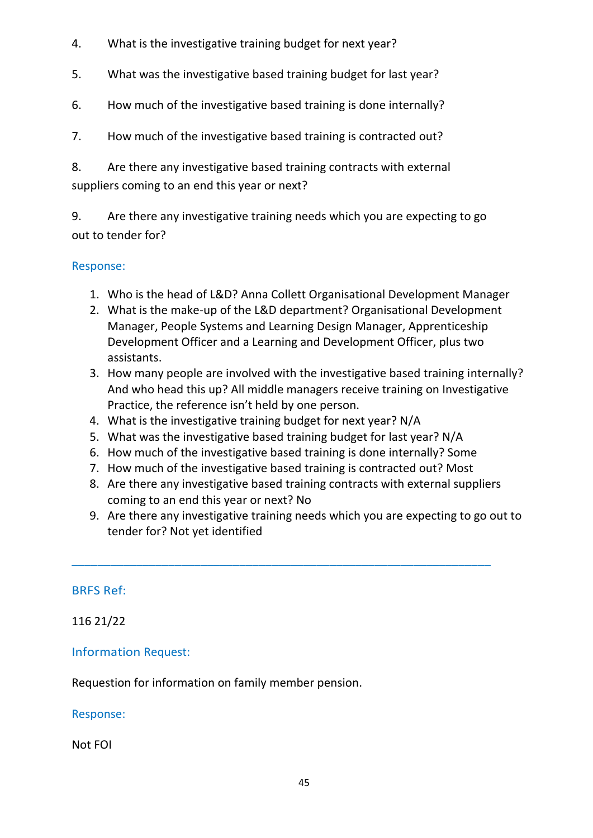- 4. What is the investigative training budget for next year?
- 5. What was the investigative based training budget for last year?
- 6. How much of the investigative based training is done internally?
- 7. How much of the investigative based training is contracted out?

8. Are there any investigative based training contracts with external suppliers coming to an end this year or next?

9. Are there any investigative training needs which you are expecting to go out to tender for?

## Response:

- 1. Who is the head of L&D? Anna Collett Organisational Development Manager
- 2. What is the make-up of the L&D department? Organisational Development Manager, People Systems and Learning Design Manager, Apprenticeship Development Officer and a Learning and Development Officer, plus two assistants.
- 3. How many people are involved with the investigative based training internally? And who head this up? All middle managers receive training on Investigative Practice, the reference isn't held by one person.
- 4. What is the investigative training budget for next year? N/A
- 5. What was the investigative based training budget for last year? N/A
- 6. How much of the investigative based training is done internally? Some
- 7. How much of the investigative based training is contracted out? Most

\_\_\_\_\_\_\_\_\_\_\_\_\_\_\_\_\_\_\_\_\_\_\_\_\_\_\_\_\_\_\_\_\_\_\_\_\_\_\_\_\_\_\_\_\_\_\_\_\_\_\_\_\_\_\_\_\_\_\_\_\_\_\_\_\_

- 8. Are there any investigative based training contracts with external suppliers coming to an end this year or next? No
- 9. Are there any investigative training needs which you are expecting to go out to tender for? Not yet identified

## BRFS Ref:

116 21/22

# Information Request:

Requestion for information on family member pension.

## Response:

Not FOI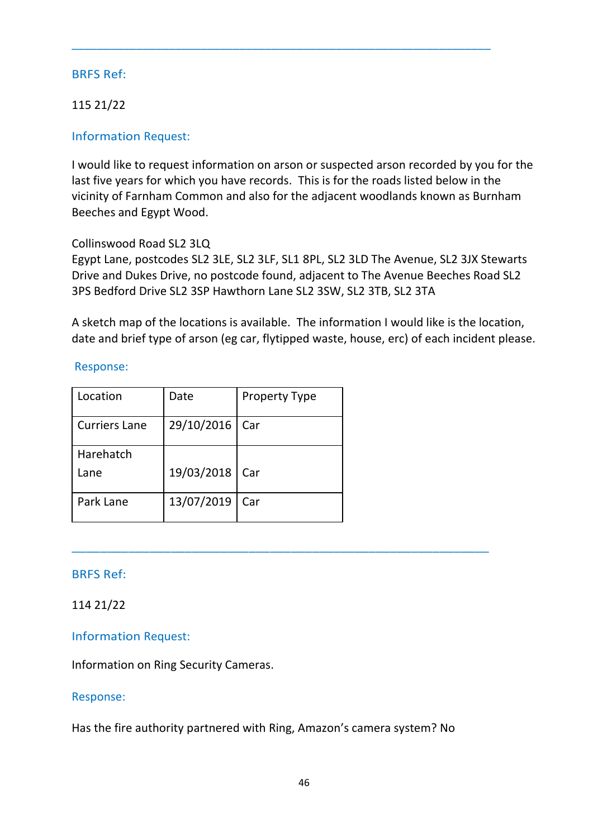# 115 21/22

## Information Request:

I would like to request information on arson or suspected arson recorded by you for the last five years for which you have records. This is for the roads listed below in the vicinity of Farnham Common and also for the adjacent woodlands known as Burnham Beeches and Egypt Wood.

\_\_\_\_\_\_\_\_\_\_\_\_\_\_\_\_\_\_\_\_\_\_\_\_\_\_\_\_\_\_\_\_\_\_\_\_\_\_\_\_\_\_\_\_\_\_\_\_\_\_\_\_\_\_\_\_\_\_\_\_\_\_\_\_\_

## Collinswood Road SL2 3LQ

Egypt Lane, postcodes SL2 3LE, SL2 3LF, SL1 8PL, SL2 3LD The Avenue, SL2 3JX Stewarts Drive and Dukes Drive, no postcode found, adjacent to The Avenue Beeches Road SL2 3PS Bedford Drive SL2 3SP Hawthorn Lane SL2 3SW, SL2 3TB, SL2 3TA

A sketch map of the locations is available. The information I would like is the location, date and brief type of arson (eg car, flytipped waste, house, erc) of each incident please.

## Response:

| Location             | Date       | <b>Property Type</b> |
|----------------------|------------|----------------------|
| <b>Curriers Lane</b> | 29/10/2016 | Car                  |
| Harehatch<br>Lane    | 19/03/2018 | Car                  |
| Park Lane            | 13/07/2019 | Car                  |

## BRFS Ref:

## 114 21/22

## Information Request:

Information on Ring Security Cameras.

## Response:

Has the fire authority partnered with Ring, Amazon's camera system? No

\_\_\_\_\_\_\_\_\_\_\_\_\_\_\_\_\_\_\_\_\_\_\_\_\_\_\_\_\_\_\_\_\_\_\_\_\_\_\_\_\_\_\_\_\_\_\_\_\_\_\_\_\_\_\_\_\_\_\_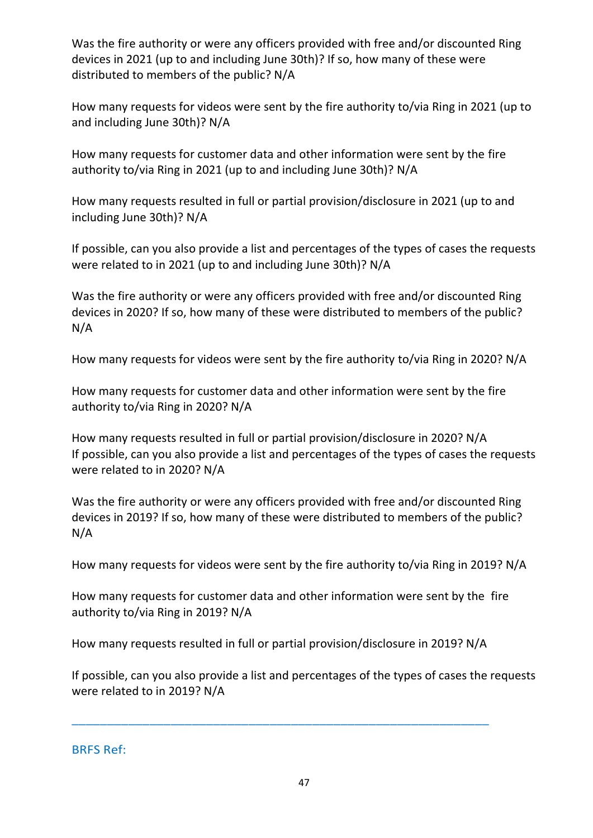Was the fire authority or were any officers provided with free and/or discounted Ring devices in 2021 (up to and including June 30th)? If so, how many of these were distributed to members of the public? N/A

How many requests for videos were sent by the fire authority to/via Ring in 2021 (up to and including June 30th)? N/A

How many requests for customer data and other information were sent by the fire authority to/via Ring in 2021 (up to and including June 30th)? N/A

How many requests resulted in full or partial provision/disclosure in 2021 (up to and including June 30th)? N/A

If possible, can you also provide a list and percentages of the types of cases the requests were related to in 2021 (up to and including June 30th)? N/A

Was the fire authority or were any officers provided with free and/or discounted Ring devices in 2020? If so, how many of these were distributed to members of the public? N/A

How many requests for videos were sent by the fire authority to/via Ring in 2020? N/A

How many requests for customer data and other information were sent by the fire authority to/via Ring in 2020? N/A

How many requests resulted in full or partial provision/disclosure in 2020? N/A If possible, can you also provide a list and percentages of the types of cases the requests were related to in 2020? N/A

Was the fire authority or were any officers provided with free and/or discounted Ring devices in 2019? If so, how many of these were distributed to members of the public? N/A

How many requests for videos were sent by the fire authority to/via Ring in 2019? N/A

How many requests for customer data and other information were sent by the fire authority to/via Ring in 2019? N/A

How many requests resulted in full or partial provision/disclosure in 2019? N/A

\_\_\_\_\_\_\_\_\_\_\_\_\_\_\_\_\_\_\_\_\_\_\_\_\_\_\_\_\_\_\_\_\_\_\_\_\_\_\_\_\_\_\_\_\_\_\_\_\_\_\_\_\_\_\_\_\_\_\_

If possible, can you also provide a list and percentages of the types of cases the requests were related to in 2019? N/A

BRFS Ref: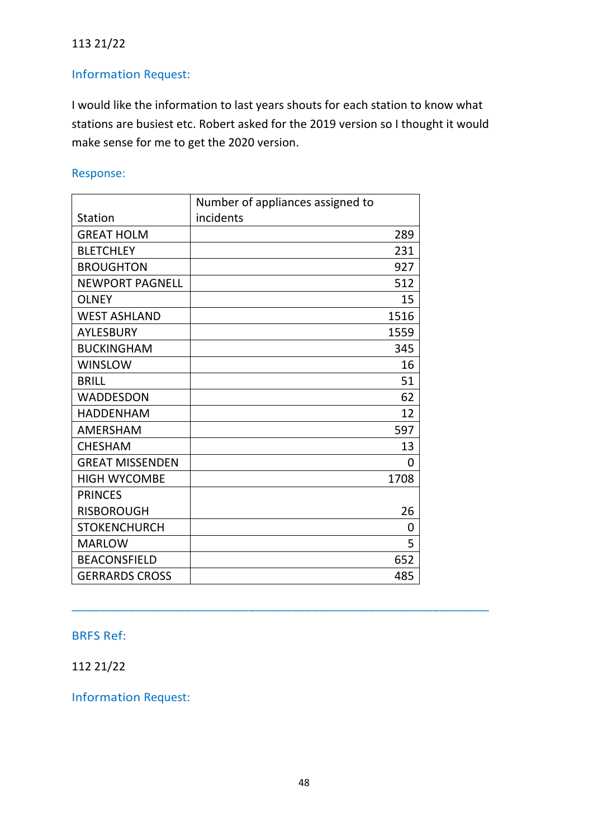## 113 21/22

# Information Request:

I would like the information to last years shouts for each station to know what stations are busiest etc. Robert asked for the 2019 version so I thought it would make sense for me to get the 2020 version.

## Response:

|                        | Number of appliances assigned to |      |
|------------------------|----------------------------------|------|
| <b>Station</b>         | incidents                        |      |
| <b>GREAT HOLM</b>      |                                  | 289  |
| <b>BLETCHLEY</b>       |                                  | 231  |
| <b>BROUGHTON</b>       |                                  | 927  |
| <b>NEWPORT PAGNELL</b> |                                  | 512  |
| <b>OLNEY</b>           |                                  | 15   |
| <b>WEST ASHLAND</b>    |                                  | 1516 |
| <b>AYLESBURY</b>       |                                  | 1559 |
| <b>BUCKINGHAM</b>      |                                  | 345  |
| <b>WINSLOW</b>         |                                  | 16   |
| <b>BRILL</b>           |                                  | 51   |
| <b>WADDESDON</b>       |                                  | 62   |
| <b>HADDENHAM</b>       |                                  | 12   |
| <b>AMERSHAM</b>        |                                  | 597  |
| <b>CHESHAM</b>         |                                  | 13   |
| <b>GREAT MISSENDEN</b> |                                  | 0    |
| <b>HIGH WYCOMBE</b>    |                                  | 1708 |
| <b>PRINCES</b>         |                                  |      |
| <b>RISBOROUGH</b>      |                                  | 26   |
| <b>STOKENCHURCH</b>    |                                  | 0    |
| <b>MARLOW</b>          |                                  | 5    |
| <b>BEACONSFIELD</b>    |                                  | 652  |
| <b>GERRARDS CROSS</b>  |                                  | 485  |

## BRFS Ref:

112 21/22

Information Request:

\_\_\_\_\_\_\_\_\_\_\_\_\_\_\_\_\_\_\_\_\_\_\_\_\_\_\_\_\_\_\_\_\_\_\_\_\_\_\_\_\_\_\_\_\_\_\_\_\_\_\_\_\_\_\_\_\_\_\_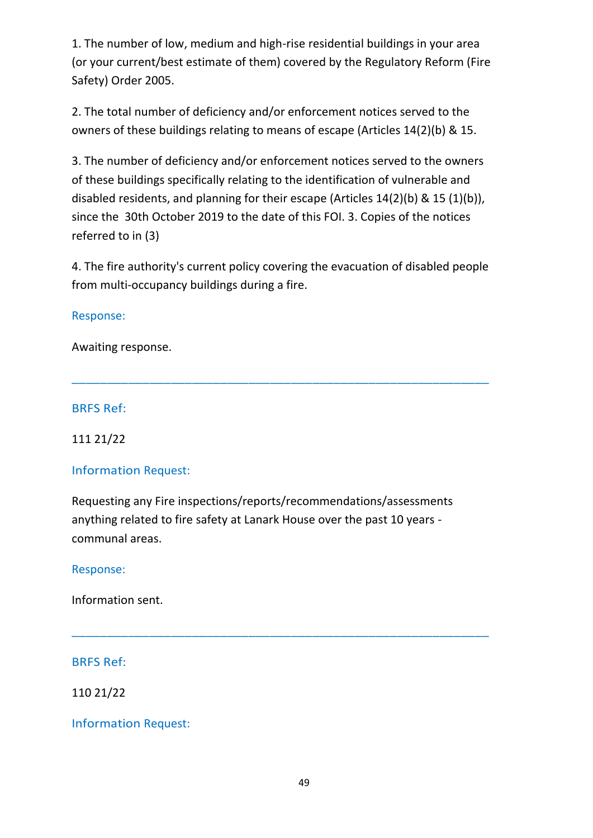1. The number of low, medium and high-rise residential buildings in your area (or your current/best estimate of them) covered by the Regulatory Reform (Fire Safety) Order 2005.

2. The total number of deficiency and/or enforcement notices served to the owners of these buildings relating to means of escape (Articles 14(2)(b) & 15.

3. The number of deficiency and/or enforcement notices served to the owners of these buildings specifically relating to the identification of vulnerable and disabled residents, and planning for their escape (Articles 14(2)(b) & 15 (1)(b)), since the 30th October 2019 to the date of this FOI. 3. Copies of the notices referred to in (3)

4. The fire authority's current policy covering the evacuation of disabled people from multi-occupancy buildings during a fire.

\_\_\_\_\_\_\_\_\_\_\_\_\_\_\_\_\_\_\_\_\_\_\_\_\_\_\_\_\_\_\_\_\_\_\_\_\_\_\_\_\_\_\_\_\_\_\_\_\_\_\_\_\_\_\_\_\_\_\_

## Response:

Awaiting response.

## BRFS Ref:

111 21/22

# Information Request:

Requesting any Fire inspections/reports/recommendations/assessments anything related to fire safety at Lanark House over the past 10 years communal areas.

\_\_\_\_\_\_\_\_\_\_\_\_\_\_\_\_\_\_\_\_\_\_\_\_\_\_\_\_\_\_\_\_\_\_\_\_\_\_\_\_\_\_\_\_\_\_\_\_\_\_\_\_\_\_\_\_\_\_\_

# Response:

Information sent.

BRFS Ref:

110 21/22

Information Request: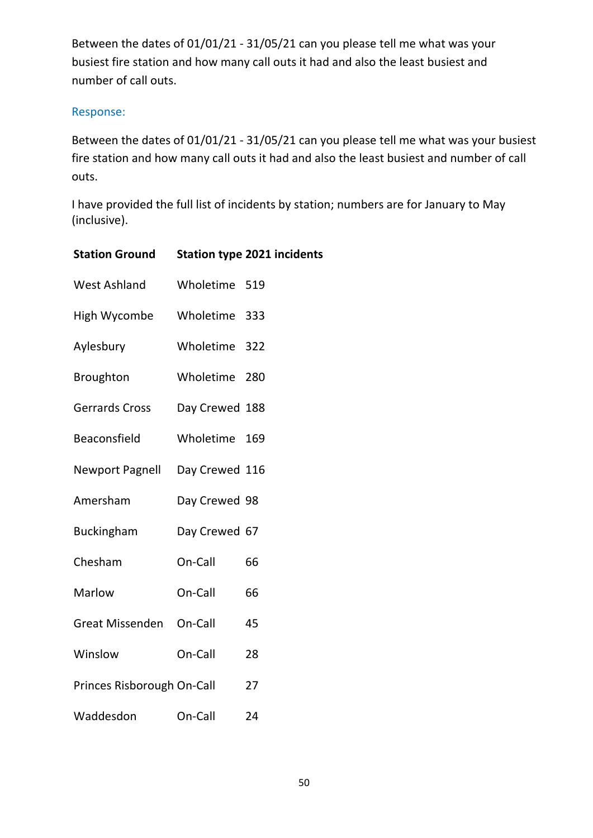Between the dates of 01/01/21 - 31/05/21 can you please tell me what was your busiest fire station and how many call outs it had and also the least busiest and number of call outs.

## Response:

Between the dates of 01/01/21 - 31/05/21 can you please tell me what was your busiest fire station and how many call outs it had and also the least busiest and number of call outs.

I have provided the full list of incidents by station; numbers are for January to May (inclusive).

| <b>Station Ground</b>          |                | <b>Station type 2021 incidents</b> |
|--------------------------------|----------------|------------------------------------|
| <b>West Ashland</b>            | Wholetime 519  |                                    |
| High Wycombe                   | Wholetime 333  |                                    |
| Aylesbury                      | Wholetime 322  |                                    |
| <b>Broughton</b>               | Wholetime 280  |                                    |
| Gerrards Cross                 | Day Crewed 188 |                                    |
| Beaconsfield                   | Wholetime      | 169                                |
| Newport Pagnell Day Crewed 116 |                |                                    |
| Amersham                       | Day Crewed 98  |                                    |
| <b>Buckingham</b>              | Day Crewed 67  |                                    |
| Chesham                        | On-Call        | 66                                 |
| Marlow                         | On-Call        | 66                                 |
| Great Missenden On-Call        |                | 45                                 |
| Winslow                        | On-Call        | 28                                 |
| Princes Risborough On-Call     |                | 27                                 |
| Waddesdon                      | On-Call        | 24                                 |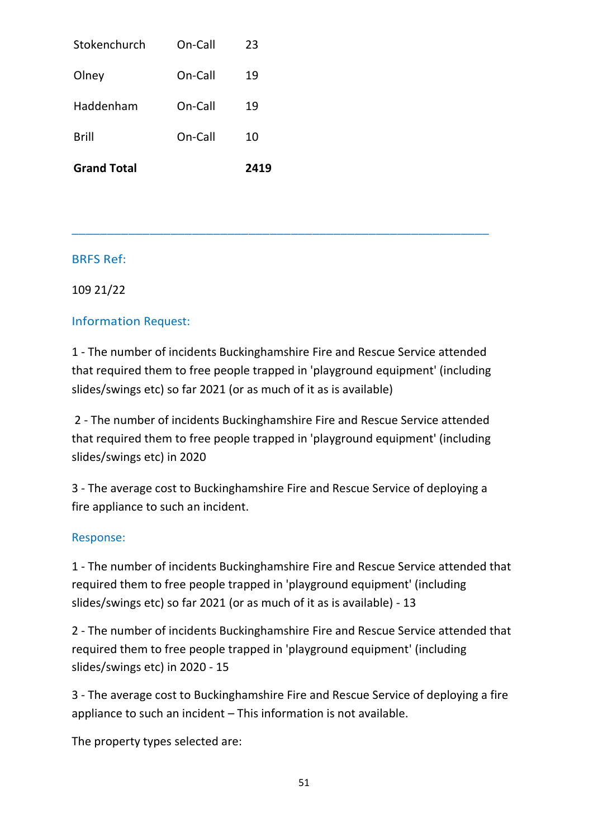| <b>Grand Total</b> |         | 2419 |
|--------------------|---------|------|
| <b>Brill</b>       | On-Call | 10   |
| Haddenham          | On-Call | 19   |
| Olney              | On-Call | 19   |
| Stokenchurch       | On-Call | 23   |

109 21/22

## Information Request:

1 - The number of incidents Buckinghamshire Fire and Rescue Service attended that required them to free people trapped in 'playground equipment' (including slides/swings etc) so far 2021 (or as much of it as is available)

\_\_\_\_\_\_\_\_\_\_\_\_\_\_\_\_\_\_\_\_\_\_\_\_\_\_\_\_\_\_\_\_\_\_\_\_\_\_\_\_\_\_\_\_\_\_\_\_\_\_\_\_\_\_\_\_\_\_\_

2 - The number of incidents Buckinghamshire Fire and Rescue Service attended that required them to free people trapped in 'playground equipment' (including slides/swings etc) in 2020

3 - The average cost to Buckinghamshire Fire and Rescue Service of deploying a fire appliance to such an incident.

## Response:

1 - The number of incidents Buckinghamshire Fire and Rescue Service attended that required them to free people trapped in 'playground equipment' (including slides/swings etc) so far 2021 (or as much of it as is available) - 13

2 - The number of incidents Buckinghamshire Fire and Rescue Service attended that required them to free people trapped in 'playground equipment' (including slides/swings etc) in 2020 - 15

3 - The average cost to Buckinghamshire Fire and Rescue Service of deploying a fire appliance to such an incident – This information is not available.

The property types selected are: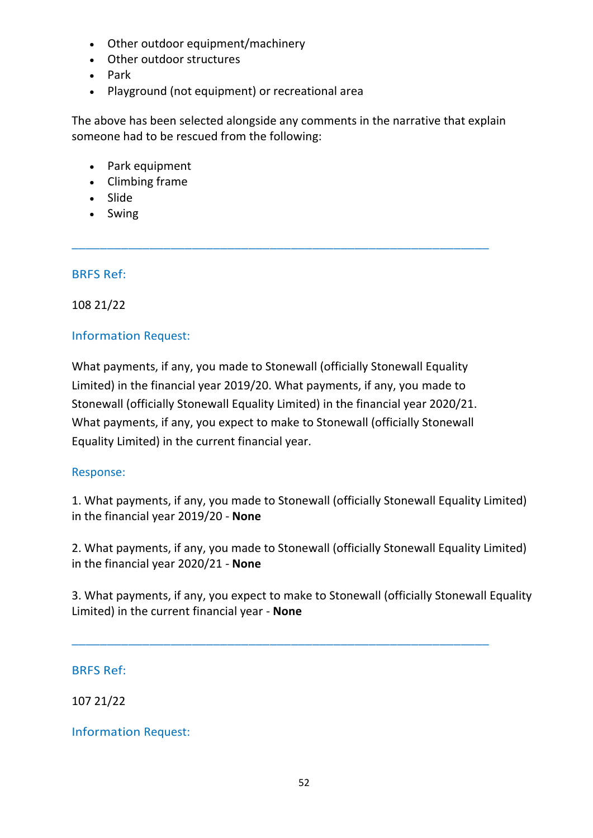- Other outdoor equipment/machinery
- Other outdoor structures
- Park
- Playground (not equipment) or recreational area

The above has been selected alongside any comments in the narrative that explain someone had to be rescued from the following:

\_\_\_\_\_\_\_\_\_\_\_\_\_\_\_\_\_\_\_\_\_\_\_\_\_\_\_\_\_\_\_\_\_\_\_\_\_\_\_\_\_\_\_\_\_\_\_\_\_\_\_\_\_\_\_\_\_\_\_

- Park equipment
- Climbing frame
- Slide
- Swing

## BRFS Ref:

108 21/22

## Information Request:

What payments, if any, you made to Stonewall (officially Stonewall Equality Limited) in the financial year 2019/20. What payments, if any, you made to Stonewall (officially Stonewall Equality Limited) in the financial year 2020/21. What payments, if any, you expect to make to Stonewall (officially Stonewall Equality Limited) in the current financial year.

## Response:

1. What payments, if any, you made to Stonewall (officially Stonewall Equality Limited) in the financial year 2019/20 - **None**

2. What payments, if any, you made to Stonewall (officially Stonewall Equality Limited) in the financial year 2020/21 - **None**

3. What payments, if any, you expect to make to Stonewall (officially Stonewall Equality Limited) in the current financial year - **None**

\_\_\_\_\_\_\_\_\_\_\_\_\_\_\_\_\_\_\_\_\_\_\_\_\_\_\_\_\_\_\_\_\_\_\_\_\_\_\_\_\_\_\_\_\_\_\_\_\_\_\_\_\_\_\_\_\_\_\_

## BRFS Ref:

107 21/22

## Information Request: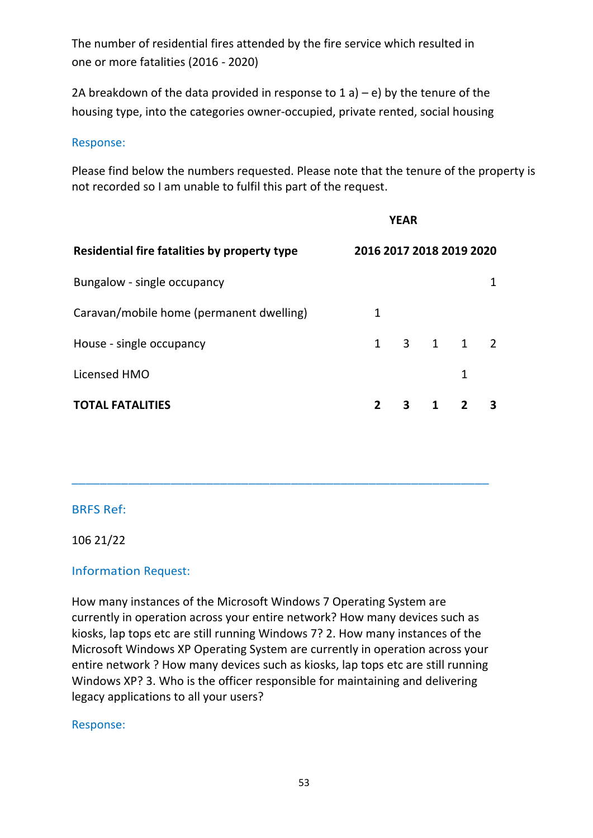The number of residential fires attended by the fire service which resulted in one or more fatalities (2016 - 2020)

2A breakdown of the data provided in response to  $1 a$ ) – e) by the tenure of the housing type, into the categories owner-occupied, private rented, social housing

#### Response:

Please find below the numbers requested. Please note that the tenure of the property is not recorded so I am unable to fulfil this part of the request.

|                                              |                          | <b>YEAR</b> |   |              |   |
|----------------------------------------------|--------------------------|-------------|---|--------------|---|
| Residential fire fatalities by property type | 2016 2017 2018 2019 2020 |             |   |              |   |
| Bungalow - single occupancy                  |                          |             |   |              |   |
| Caravan/mobile home (permanent dwelling)     | 1                        |             |   |              |   |
| House - single occupancy                     | $\mathbf{1}$             |             |   | 3 1 1 2      |   |
| Licensed HMO                                 |                          |             |   | 1            |   |
| <b>TOTAL FATALITIES</b>                      | $\mathbf{z}$             | 3           | 1 | $\mathbf{z}$ | 3 |

## BRFS Ref:

#### 106 21/22

## Information Request:

How many instances of the Microsoft Windows 7 Operating System are currently in operation across your entire network? How many devices such as kiosks, lap tops etc are still running Windows 7? 2. How many instances of the Microsoft Windows XP Operating System are currently in operation across your entire network ? How many devices such as kiosks, lap tops etc are still running Windows XP? 3. Who is the officer responsible for maintaining and delivering legacy applications to all your users?

\_\_\_\_\_\_\_\_\_\_\_\_\_\_\_\_\_\_\_\_\_\_\_\_\_\_\_\_\_\_\_\_\_\_\_\_\_\_\_\_\_\_\_\_\_\_\_\_\_\_\_\_\_\_\_\_\_\_\_

#### Response: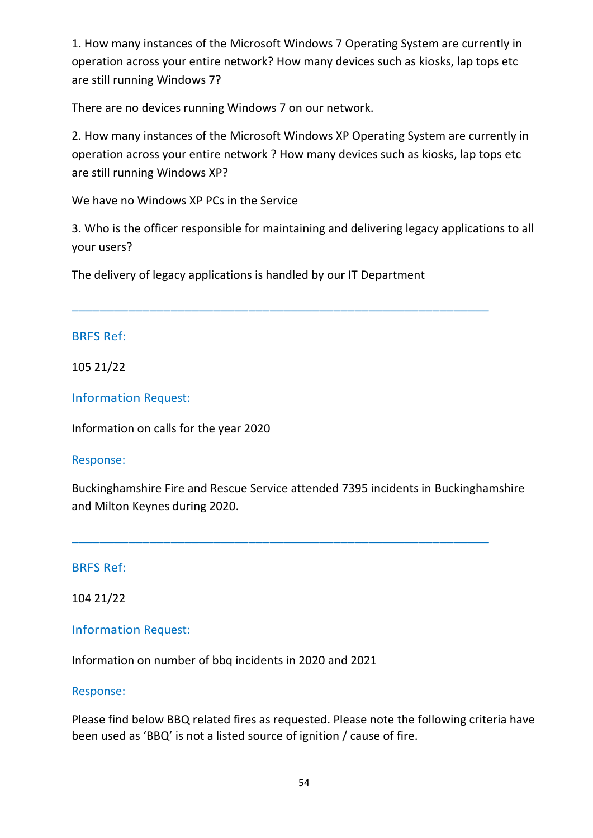1. How many instances of the Microsoft Windows 7 Operating System are currently in operation across your entire network? How many devices such as kiosks, lap tops etc are still running Windows 7?

There are no devices running Windows 7 on our network.

2. How many instances of the Microsoft Windows XP Operating System are currently in operation across your entire network ? How many devices such as kiosks, lap tops etc are still running Windows XP?

We have no Windows XP PCs in the Service

3. Who is the officer responsible for maintaining and delivering legacy applications to all your users?

The delivery of legacy applications is handled by our IT Department

\_\_\_\_\_\_\_\_\_\_\_\_\_\_\_\_\_\_\_\_\_\_\_\_\_\_\_\_\_\_\_\_\_\_\_\_\_\_\_\_\_\_\_\_\_\_\_\_\_\_\_\_\_\_\_\_\_\_\_

## BRFS Ref:

105 21/22

Information Request:

Information on calls for the year 2020

## Response:

Buckinghamshire Fire and Rescue Service attended 7395 incidents in Buckinghamshire and Milton Keynes during 2020.

\_\_\_\_\_\_\_\_\_\_\_\_\_\_\_\_\_\_\_\_\_\_\_\_\_\_\_\_\_\_\_\_\_\_\_\_\_\_\_\_\_\_\_\_\_\_\_\_\_\_\_\_\_\_\_\_\_\_\_

## BRFS Ref:

104 21/22

# Information Request:

Information on number of bbq incidents in 2020 and 2021

## Response:

Please find below BBQ related fires as requested. Please note the following criteria have been used as 'BBQ' is not a listed source of ignition / cause of fire.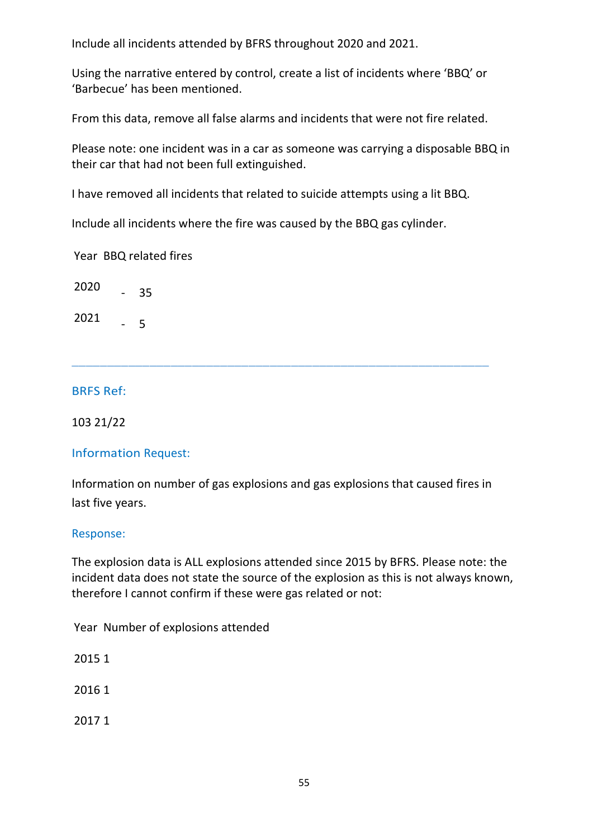Include all incidents attended by BFRS throughout 2020 and 2021.

Using the narrative entered by control, create a list of incidents where 'BBQ' or 'Barbecue' has been mentioned.

From this data, remove all false alarms and incidents that were not fire related.

Please note: one incident was in a car as someone was carrying a disposable BBQ in their car that had not been full extinguished.

I have removed all incidents that related to suicide attempts using a lit BBQ.

Include all incidents where the fire was caused by the BBQ gas cylinder.

Year BBQ related fires

2020 - 35

2021 - 5

## BRFS Ref:

103 21/22

## Information Request:

Information on number of gas explosions and gas explosions that caused fires in last five years.

\_\_\_\_\_\_\_\_\_\_\_\_\_\_\_\_\_\_\_\_\_\_\_\_\_\_\_\_\_\_\_\_\_\_\_\_\_\_\_\_\_\_\_\_\_\_\_\_\_\_\_\_\_\_\_\_\_\_\_

#### Response:

The explosion data is ALL explosions attended since 2015 by BFRS. Please note: the incident data does not state the source of the explosion as this is not always known, therefore I cannot confirm if these were gas related or not:

Year Number of explosions attended

2015 1

2016 1

2017 1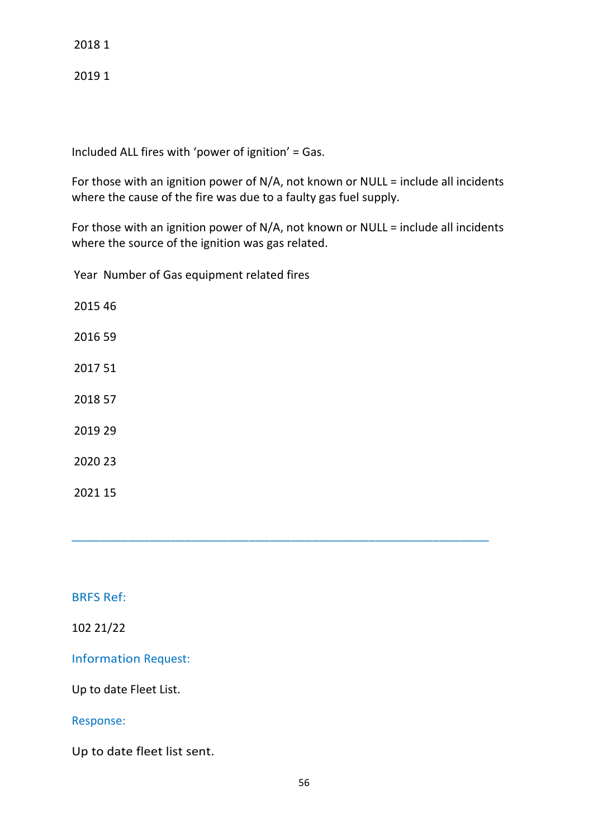2018 1

2019 1

Included ALL fires with 'power of ignition' = Gas.

For those with an ignition power of N/A, not known or NULL = include all incidents where the cause of the fire was due to a faulty gas fuel supply.

For those with an ignition power of N/A, not known or NULL = include all incidents where the source of the ignition was gas related.

\_\_\_\_\_\_\_\_\_\_\_\_\_\_\_\_\_\_\_\_\_\_\_\_\_\_\_\_\_\_\_\_\_\_\_\_\_\_\_\_\_\_\_\_\_\_\_\_\_\_\_\_\_\_\_\_\_\_\_

Year Number of Gas equipment related fires

## BRFS Ref:

102 21/22

Information Request:

Up to date Fleet List.

#### Response:

Up to date fleet list sent.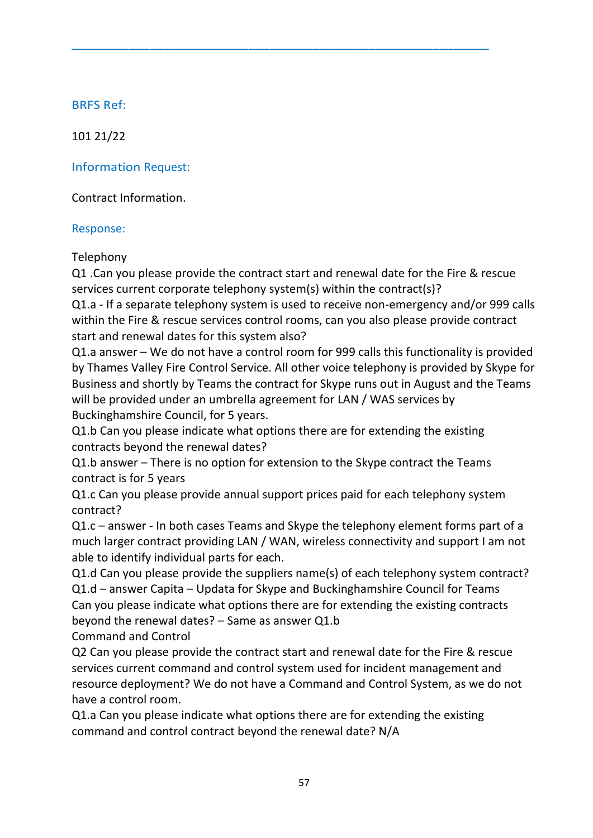101 21/22

Information Request:

Contract Information.

## Response:

Telephony

Q1 .Can you please provide the contract start and renewal date for the Fire & rescue services current corporate telephony system(s) within the contract(s)?

 $\overline{a}$  , and the contribution of the contribution of the contribution of the contribution of the contribution of the contribution of the contribution of the contribution of the contribution of the contribution of the co

Q1.a - If a separate telephony system is used to receive non-emergency and/or 999 calls within the Fire & rescue services control rooms, can you also please provide contract start and renewal dates for this system also?

Q1.a answer – We do not have a control room for 999 calls this functionality is provided by Thames Valley Fire Control Service. All other voice telephony is provided by Skype for Business and shortly by Teams the contract for Skype runs out in August and the Teams will be provided under an umbrella agreement for LAN / WAS services by Buckinghamshire Council, for 5 years.

Q1.b Can you please indicate what options there are for extending the existing contracts beyond the renewal dates?

Q1.b answer – There is no option for extension to the Skype contract the Teams contract is for 5 years

Q1.c Can you please provide annual support prices paid for each telephony system contract?

Q1.c – answer - In both cases Teams and Skype the telephony element forms part of a much larger contract providing LAN / WAN, wireless connectivity and support I am not able to identify individual parts for each.

Q1.d Can you please provide the suppliers name(s) of each telephony system contract? Q1.d – answer Capita – Updata for Skype and Buckinghamshire Council for Teams Can you please indicate what options there are for extending the existing contracts beyond the renewal dates? – Same as answer Q1.b

Command and Control

Q2 Can you please provide the contract start and renewal date for the Fire & rescue services current command and control system used for incident management and resource deployment? We do not have a Command and Control System, as we do not have a control room.

Q1.a Can you please indicate what options there are for extending the existing command and control contract beyond the renewal date? N/A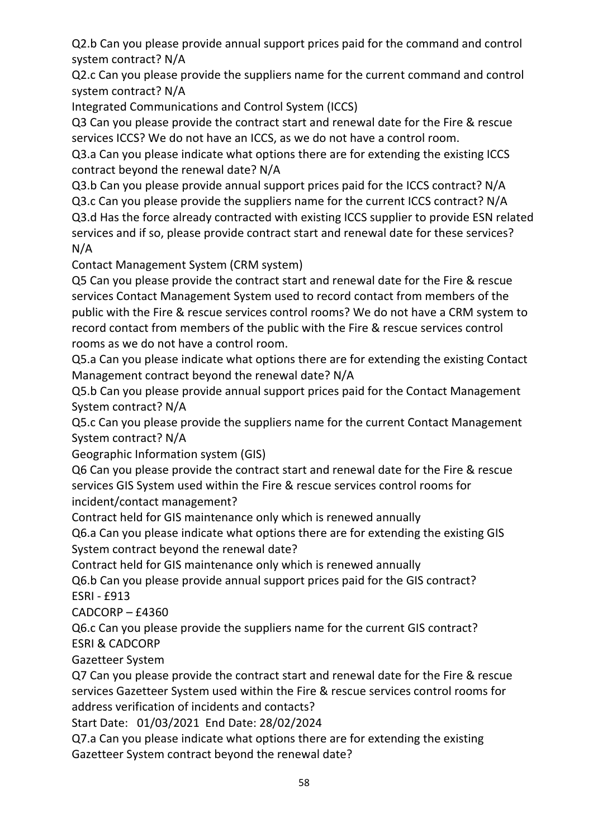Q2.b Can you please provide annual support prices paid for the command and control system contract? N/A

Q2.c Can you please provide the suppliers name for the current command and control system contract? N/A

Integrated Communications and Control System (ICCS)

Q3 Can you please provide the contract start and renewal date for the Fire & rescue services ICCS? We do not have an ICCS, as we do not have a control room.

Q3.a Can you please indicate what options there are for extending the existing ICCS contract beyond the renewal date? N/A

Q3.b Can you please provide annual support prices paid for the ICCS contract? N/A

Q3.c Can you please provide the suppliers name for the current ICCS contract? N/A Q3.d Has the force already contracted with existing ICCS supplier to provide ESN related services and if so, please provide contract start and renewal date for these services? N/A

Contact Management System (CRM system)

Q5 Can you please provide the contract start and renewal date for the Fire & rescue services Contact Management System used to record contact from members of the public with the Fire & rescue services control rooms? We do not have a CRM system to record contact from members of the public with the Fire & rescue services control rooms as we do not have a control room.

Q5.a Can you please indicate what options there are for extending the existing Contact Management contract beyond the renewal date? N/A

Q5.b Can you please provide annual support prices paid for the Contact Management System contract? N/A

Q5.c Can you please provide the suppliers name for the current Contact Management System contract? N/A

Geographic Information system (GIS)

Q6 Can you please provide the contract start and renewal date for the Fire & rescue services GIS System used within the Fire & rescue services control rooms for incident/contact management?

Contract held for GIS maintenance only which is renewed annually

Q6.a Can you please indicate what options there are for extending the existing GIS System contract beyond the renewal date?

Contract held for GIS maintenance only which is renewed annually

Q6.b Can you please provide annual support prices paid for the GIS contract? ESRI - £913

CADCORP – £4360

Q6.c Can you please provide the suppliers name for the current GIS contract? ESRI & CADCORP

Gazetteer System

Q7 Can you please provide the contract start and renewal date for the Fire & rescue services Gazetteer System used within the Fire & rescue services control rooms for address verification of incidents and contacts?

Start Date: 01/03/2021 End Date: 28/02/2024

Q7.a Can you please indicate what options there are for extending the existing Gazetteer System contract beyond the renewal date?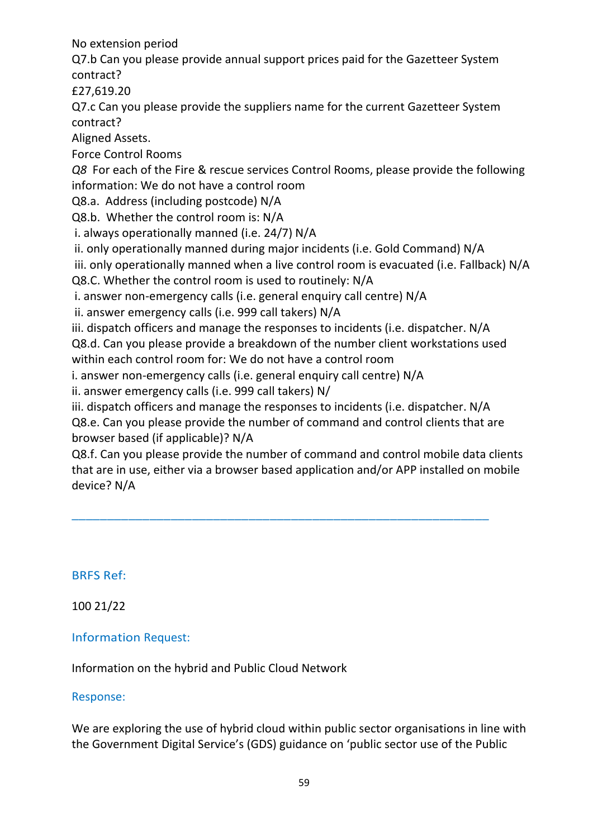No extension period

Q7.b Can you please provide annual support prices paid for the Gazetteer System contract?

£27,619.20

Q7.c Can you please provide the suppliers name for the current Gazetteer System contract?

Aligned Assets.

Force Control Rooms

*Q8* For each of the Fire & rescue services Control Rooms, please provide the following information: We do not have a control room

Q8.a. Address (including postcode) N/A

Q8.b. Whether the control room is: N/A

i. always operationally manned (i.e. 24/7) N/A

ii. only operationally manned during major incidents (i.e. Gold Command) N/A

iii. only operationally manned when a live control room is evacuated (i.e. Fallback) N/A Q8.C. Whether the control room is used to routinely: N/A

i. answer non-emergency calls (i.e. general enquiry call centre) N/A

ii. answer emergency calls (i.e. 999 call takers) N/A

iii. dispatch officers and manage the responses to incidents (i.e. dispatcher. N/A Q8.d. Can you please provide a breakdown of the number client workstations used within each control room for: We do not have a control room

i. answer non-emergency calls (i.e. general enquiry call centre) N/A

ii. answer emergency calls (i.e. 999 call takers) N/

iii. dispatch officers and manage the responses to incidents (i.e. dispatcher. N/A

\_\_\_\_\_\_\_\_\_\_\_\_\_\_\_\_\_\_\_\_\_\_\_\_\_\_\_\_\_\_\_\_\_\_\_\_\_\_\_\_\_\_\_\_\_\_\_\_\_\_\_\_\_\_\_\_\_\_\_

Q8.e. Can you please provide the number of command and control clients that are browser based (if applicable)? N/A

Q8.f. Can you please provide the number of command and control mobile data clients that are in use, either via a browser based application and/or APP installed on mobile device? N/A

BRFS Ref:

100 21/22

Information Request:

Information on the hybrid and Public Cloud Network

Response:

We are exploring the use of hybrid cloud within public sector organisations in line with the Government Digital Service's (GDS) guidance on 'public sector use of the Public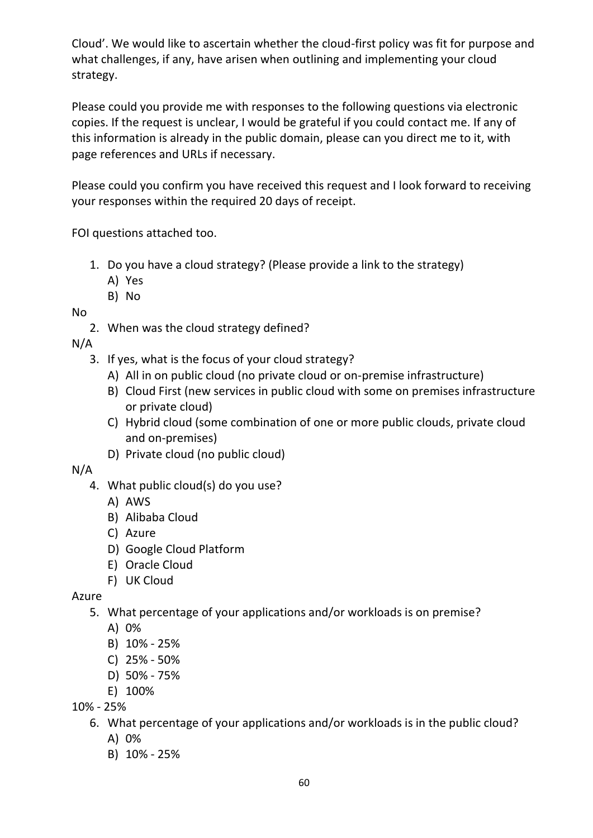Cloud'. We would like to ascertain whether the cloud-first policy was fit for purpose and what challenges, if any, have arisen when outlining and implementing your cloud strategy.

Please could you provide me with responses to the following questions via electronic copies. If the request is unclear, I would be grateful if you could contact me. If any of this information is already in the public domain, please can you direct me to it, with page references and URLs if necessary.

Please could you confirm you have received this request and I look forward to receiving your responses within the required 20 days of receipt.

FOI questions attached too.

- 1. Do you have a cloud strategy? (Please provide a link to the strategy)
	- A) Yes
	- B) No

No

2. When was the cloud strategy defined?

N/A

- 3. If yes, what is the focus of your cloud strategy?
	- A) All in on public cloud (no private cloud or on-premise infrastructure)
	- B) Cloud First (new services in public cloud with some on premises infrastructure or private cloud)
	- C) Hybrid cloud (some combination of one or more public clouds, private cloud and on-premises)
	- D) Private cloud (no public cloud)

## N/A

- 4. What public cloud(s) do you use?
	- A) AWS
	- B) Alibaba Cloud
	- C) Azure
	- D) Google Cloud Platform
	- E) Oracle Cloud
	- F) UK Cloud

# Azure

- 5. What percentage of your applications and/or workloads is on premise?
	- A) 0%
	- B) 10% 25%
	- C) 25% 50%
	- D) 50% 75%
	- E) 100%

10% - 25%

- 6. What percentage of your applications and/or workloads is in the public cloud?
	- A) 0%
	- B) 10% 25%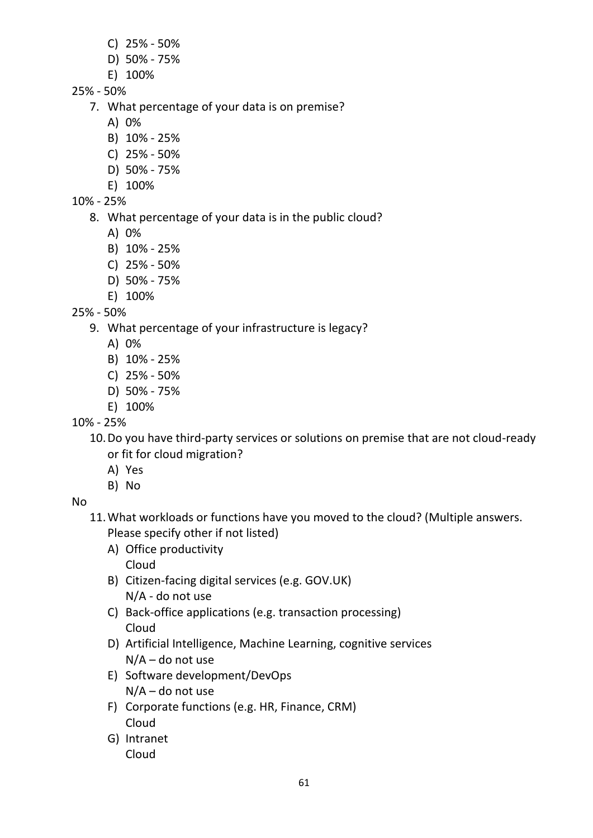- C) 25% 50%
- D) 50% 75%
- E) 100%
- 25% 50%
	- 7. What percentage of your data is on premise?
		- A) 0%
		- B) 10% 25%
		- C) 25% 50%
		- D) 50% 75%
		- E) 100%
- 10% 25%
	- 8. What percentage of your data is in the public cloud?
		- A) 0%
		- B) 10% 25%
		- C) 25% 50%
		- D) 50% 75%
		- E) 100%

25% - 50%

- 9. What percentage of your infrastructure is legacy?
	- A) 0%
	- B) 10% 25%
	- C) 25% 50%
	- D) 50% 75%
	- E) 100%

# 10% - 25%

10.Do you have third-party services or solutions on premise that are not cloud-ready or fit for cloud migration?

- A) Yes
- B) No

No

- 11.What workloads or functions have you moved to the cloud? (Multiple answers. Please specify other if not listed)
	- A) Office productivity Cloud
	- B) Citizen-facing digital services (e.g. GOV.UK) N/A - do not use
	- C) Back-office applications (e.g. transaction processing) Cloud
	- D) Artificial Intelligence, Machine Learning, cognitive services N/A – do not use
	- E) Software development/DevOps N/A – do not use
	- F) Corporate functions (e.g. HR, Finance, CRM) Cloud
	- G) Intranet Cloud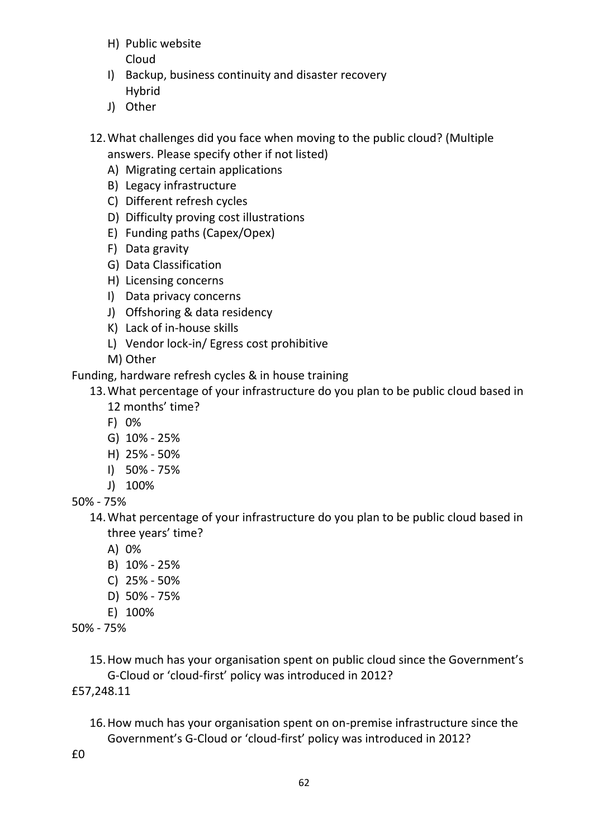- H) Public website Cloud
- I) Backup, business continuity and disaster recovery Hybrid
- J) Other
- 12.What challenges did you face when moving to the public cloud? (Multiple answers. Please specify other if not listed)
	- A) Migrating certain applications
	- B) Legacy infrastructure
	- C) Different refresh cycles
	- D) Difficulty proving cost illustrations
	- E) Funding paths (Capex/Opex)
	- F) Data gravity
	- G) Data Classification
	- H) Licensing concerns
	- I) Data privacy concerns
	- J) Offshoring & data residency
	- K) Lack of in-house skills
	- L) Vendor lock-in/ Egress cost prohibitive
	- M) Other

Funding, hardware refresh cycles & in house training

- 13.What percentage of your infrastructure do you plan to be public cloud based in 12 months' time?
	- F) 0%
	- G) 10% 25%
	- H) 25% 50%
	- I) 50% 75%
	- J) 100%

50% - 75%

- 14.What percentage of your infrastructure do you plan to be public cloud based in three years' time?
	- A) 0%
	- B) 10% 25%
	- C) 25% 50%
	- D) 50% 75%
	- E) 100%
- 50% 75%

15.How much has your organisation spent on public cloud since the Government's G-Cloud or 'cloud-first' policy was introduced in 2012?

£57,248.11

16.How much has your organisation spent on on-premise infrastructure since the Government's G-Cloud or 'cloud-first' policy was introduced in 2012?

£0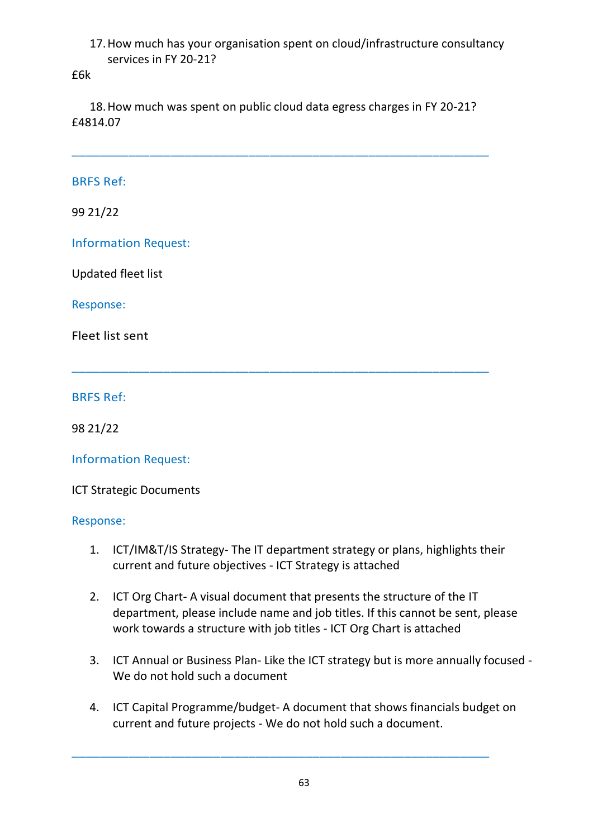## 17.How much has your organisation spent on cloud/infrastructure consultancy services in FY 20-21?

#### £6k

18.How much was spent on public cloud data egress charges in FY 20-21? £4814.07

\_\_\_\_\_\_\_\_\_\_\_\_\_\_\_\_\_\_\_\_\_\_\_\_\_\_\_\_\_\_\_\_\_\_\_\_\_\_\_\_\_\_\_\_\_\_\_\_\_\_\_\_\_\_\_\_\_\_\_

 $\overline{a}$  , and the contribution of the contribution of the contribution of the contribution of the contribution of the contribution of the contribution of the contribution of the contribution of the contribution of the co

## BRFS Ref:

99 21/22

Information Request:

Updated fleet list

## Response:

Fleet list sent

BRFS Ref:

98 21/22

Information Request:

ICT Strategic Documents

## Response:

- 1. ICT/IM&T/IS Strategy- The IT department strategy or plans, highlights their current and future objectives - ICT Strategy is attached
- 2. ICT Org Chart- A visual document that presents the structure of the IT department, please include name and job titles. If this cannot be sent, please work towards a structure with job titles - ICT Org Chart is attached
- 3. ICT Annual or Business Plan- Like the ICT strategy but is more annually focused We do not hold such a document
- 4. ICT Capital Programme/budget- A document that shows financials budget on current and future projects - We do not hold such a document.

\_\_\_\_\_\_\_\_\_\_\_\_\_\_\_\_\_\_\_\_\_\_\_\_\_\_\_\_\_\_\_\_\_\_\_\_\_\_\_\_\_\_\_\_\_\_\_\_\_\_\_\_\_\_\_\_\_\_\_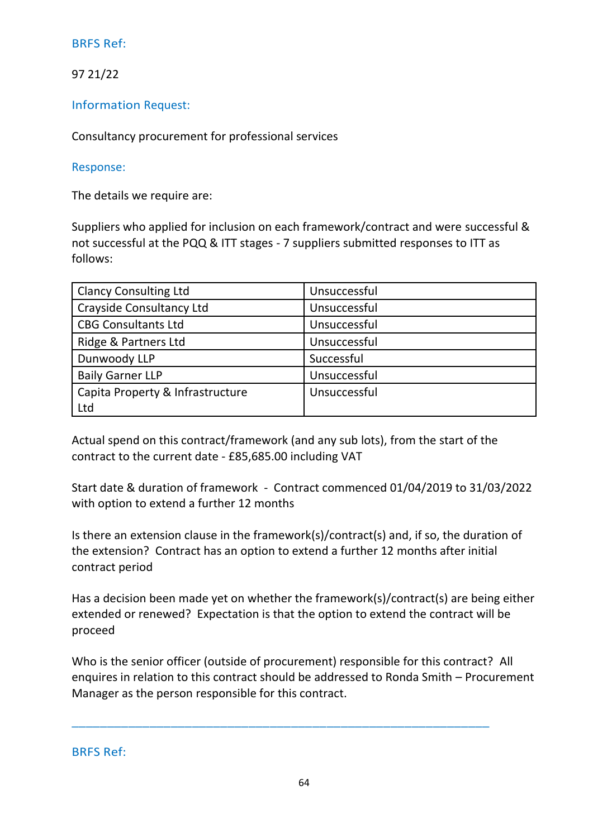97 21/22

Information Request:

Consultancy procurement for professional services

## Response:

The details we require are:

Suppliers who applied for inclusion on each framework/contract and were successful & not successful at the PQQ & ITT stages - 7 suppliers submitted responses to ITT as follows:

| <b>Clancy Consulting Ltd</b>     | Unsuccessful |
|----------------------------------|--------------|
| <b>Crayside Consultancy Ltd</b>  | Unsuccessful |
| <b>CBG Consultants Ltd</b>       | Unsuccessful |
| Ridge & Partners Ltd             | Unsuccessful |
| Dunwoody LLP                     | Successful   |
| <b>Baily Garner LLP</b>          | Unsuccessful |
| Capita Property & Infrastructure | Unsuccessful |
| Ltd                              |              |

Actual spend on this contract/framework (and any sub lots), from the start of the contract to the current date - £85,685.00 including VAT

Start date & duration of framework - Contract commenced 01/04/2019 to 31/03/2022 with option to extend a further 12 months

Is there an extension clause in the framework(s)/contract(s) and, if so, the duration of the extension? Contract has an option to extend a further 12 months after initial contract period

Has a decision been made yet on whether the framework(s)/contract(s) are being either extended or renewed? Expectation is that the option to extend the contract will be proceed

Who is the senior officer (outside of procurement) responsible for this contract? All enquires in relation to this contract should be addressed to Ronda Smith – Procurement Manager as the person responsible for this contract.

\_\_\_\_\_\_\_\_\_\_\_\_\_\_\_\_\_\_\_\_\_\_\_\_\_\_\_\_\_\_\_\_\_\_\_\_\_\_\_\_\_\_\_\_\_\_\_\_\_\_\_\_\_\_\_\_\_\_\_

BRFS Ref: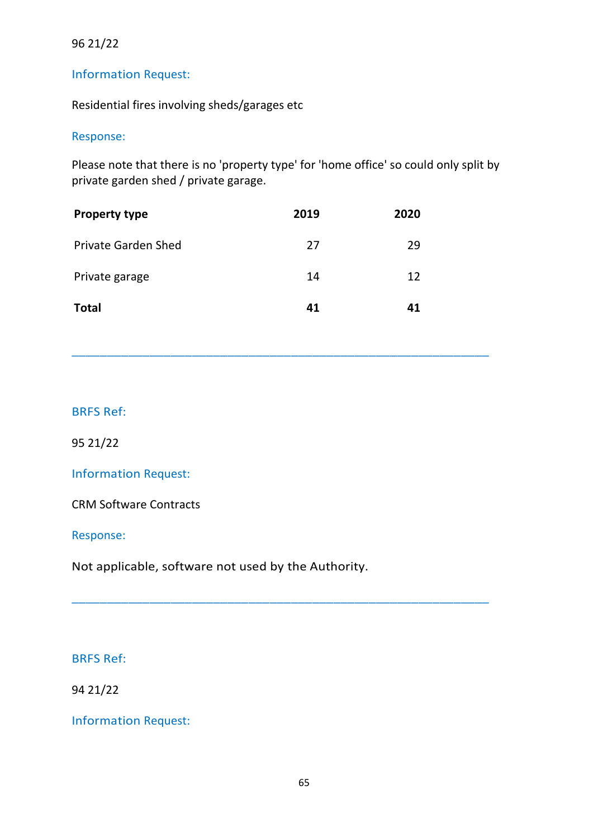## 96 21/22

## Information Request:

Residential fires involving sheds/garages etc

#### Response:

Please note that there is no 'property type' for 'home office' so could only split by private garden shed / private garage.

\_\_\_\_\_\_\_\_\_\_\_\_\_\_\_\_\_\_\_\_\_\_\_\_\_\_\_\_\_\_\_\_\_\_\_\_\_\_\_\_\_\_\_\_\_\_\_\_\_\_\_\_\_\_\_\_\_\_\_

\_\_\_\_\_\_\_\_\_\_\_\_\_\_\_\_\_\_\_\_\_\_\_\_\_\_\_\_\_\_\_\_\_\_\_\_\_\_\_\_\_\_\_\_\_\_\_\_\_\_\_\_\_\_\_\_\_\_\_

| <b>Property type</b>       | 2019 | 2020 |
|----------------------------|------|------|
| <b>Private Garden Shed</b> | 27   | 29   |
| Private garage             | 14   | 12   |
| <b>Total</b>               | 41   | 41   |

## BRFS Ref:

95 21/22

Information Request:

CRM Software Contracts

Response:

Not applicable, software not used by the Authority.

#### BRFS Ref:

94 21/22

Information Request: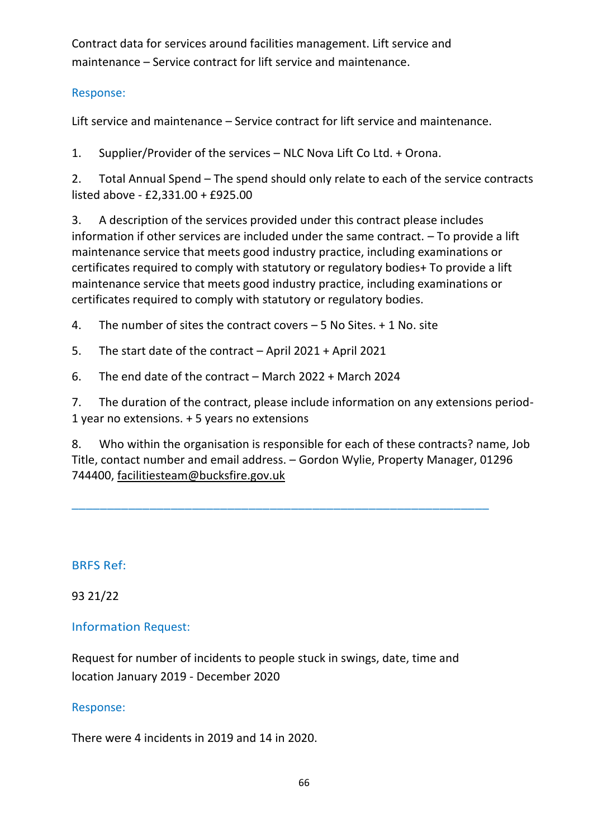Contract data for services around facilities management. Lift service and maintenance – Service contract for lift service and maintenance.

# Response:

Lift service and maintenance – Service contract for lift service and maintenance.

1. Supplier/Provider of the services – NLC Nova Lift Co Ltd. + Orona.

2. Total Annual Spend – The spend should only relate to each of the service contracts listed above - £2,331.00 + £925.00

3. A description of the services provided under this contract please includes information if other services are included under the same contract. – To provide a lift maintenance service that meets good industry practice, including examinations or certificates required to comply with statutory or regulatory bodies+ To provide a lift maintenance service that meets good industry practice, including examinations or certificates required to comply with statutory or regulatory bodies.

4. The number of sites the contract covers – 5 No Sites. + 1 No. site

5. The start date of the contract – April 2021 + April 2021

6. The end date of the contract – March 2022 + March 2024

7. The duration of the contract, please include information on any extensions period-1 year no extensions. + 5 years no extensions

8. Who within the organisation is responsible for each of these contracts? name, Job Title, contact number and email address. – Gordon Wylie, Property Manager, 01296 744400, [facilitiesteam@bucksfire.gov.uk](mailto:facilitiesteam@bucksfire.gov.uk)

\_\_\_\_\_\_\_\_\_\_\_\_\_\_\_\_\_\_\_\_\_\_\_\_\_\_\_\_\_\_\_\_\_\_\_\_\_\_\_\_\_\_\_\_\_\_\_\_\_\_\_\_\_\_\_\_\_\_\_

# BRFS Ref:

93 21/22

# Information Request:

Request for number of incidents to people stuck in swings, date, time and location January 2019 - December 2020

# Response:

There were 4 incidents in 2019 and 14 in 2020.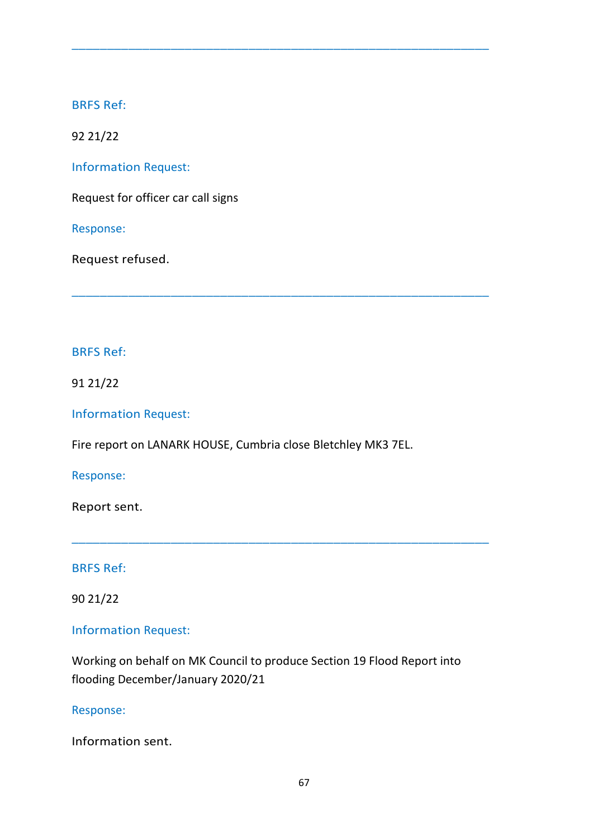92 21/22

Information Request:

Request for officer car call signs

Response:

Request refused.

## BRFS Ref:

91 21/22

Information Request:

Fire report on LANARK HOUSE, Cumbria close Bletchley MK3 7EL.

 $\overline{a}$  , and the contribution of the contribution of the contribution of the contribution of the contribution of the contribution of the contribution of the contribution of the contribution of the contribution of the co

\_\_\_\_\_\_\_\_\_\_\_\_\_\_\_\_\_\_\_\_\_\_\_\_\_\_\_\_\_\_\_\_\_\_\_\_\_\_\_\_\_\_\_\_\_\_\_\_\_\_\_\_\_\_\_\_\_\_\_

Response:

Report sent.

BRFS Ref:

90 21/22

# Information Request:

Working on behalf on MK Council to produce Section 19 Flood Report into flooding December/January 2020/21

\_\_\_\_\_\_\_\_\_\_\_\_\_\_\_\_\_\_\_\_\_\_\_\_\_\_\_\_\_\_\_\_\_\_\_\_\_\_\_\_\_\_\_\_\_\_\_\_\_\_\_\_\_\_\_\_\_\_\_

Response:

Information sent.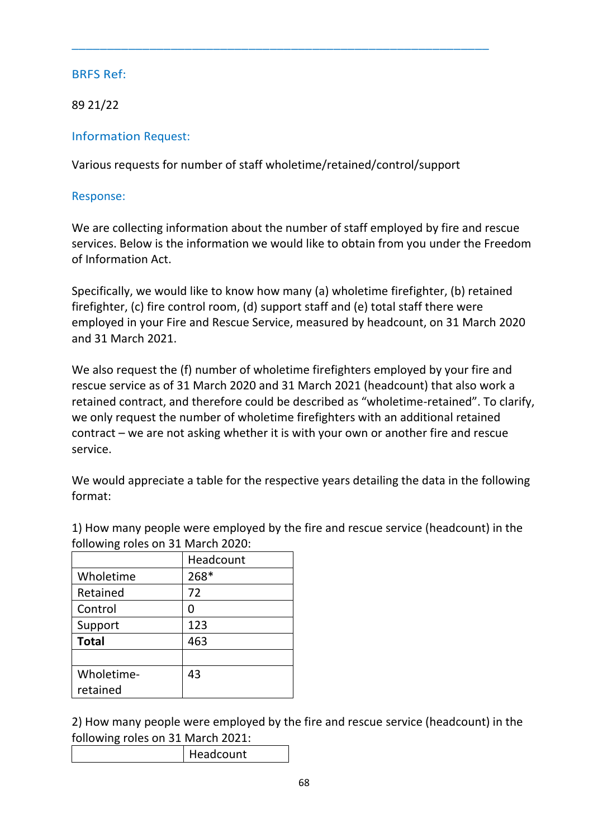89 21/22

Information Request:

Various requests for number of staff wholetime/retained/control/support

 $\overline{a}$  , and the contribution of the contribution of the contribution of the contribution of the contribution of the contribution of the contribution of the contribution of the contribution of the contribution of the co

Response:

We are collecting information about the number of staff employed by fire and rescue services. Below is the information we would like to obtain from you under the Freedom of Information Act.

Specifically, we would like to know how many (a) wholetime firefighter, (b) retained firefighter, (c) fire control room, (d) support staff and (e) total staff there were employed in your Fire and Rescue Service, measured by headcount, on 31 March 2020 and 31 March 2021.

We also request the (f) number of wholetime firefighters employed by your fire and rescue service as of 31 March 2020 and 31 March 2021 (headcount) that also work a retained contract, and therefore could be described as "wholetime-retained". To clarify, we only request the number of wholetime firefighters with an additional retained contract – we are not asking whether it is with your own or another fire and rescue service.

We would appreciate a table for the respective years detailing the data in the following format:

1) How many people were employed by the fire and rescue service (headcount) in the following roles on 31 March 2020:

|              | Headcount |
|--------------|-----------|
| Wholetime    | 268*      |
| Retained     | 72        |
| Control      | O         |
| Support      | 123       |
| <b>Total</b> | 463       |
|              |           |
| Wholetime-   | 43        |
| retained     |           |

2) How many people were employed by the fire and rescue service (headcount) in the following roles on 31 March 2021:

| Headcount |
|-----------|
|           |